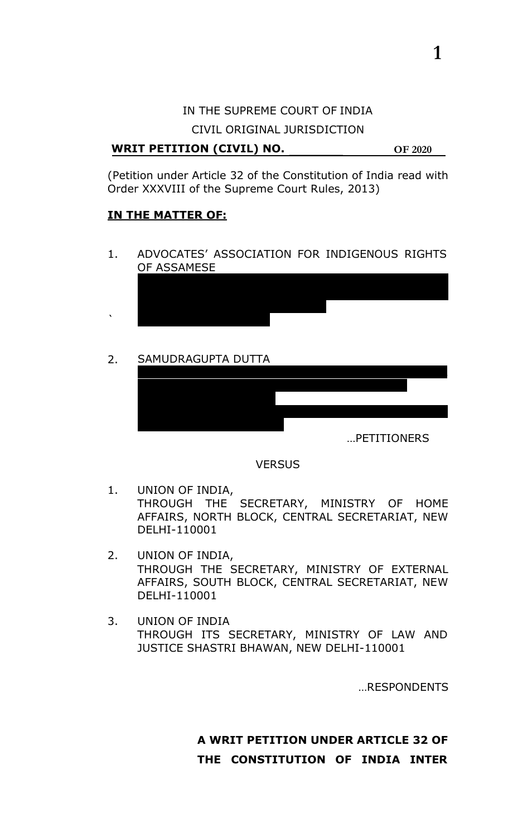# IN THE SUPREME COURT OF INDIA

# CIVIL ORIGINAL JURISDICTION

# **WRIT PETITION (CIVIL) NO. OF 2020**

(Petition under Article 32 of the Constitution of India read with Order XXXVIII of the Supreme Court Rules, 2013)

# **IN THE MATTER OF:**

- 1. ADVOCATES' ASSOCIATION FOR INDIGENOUS RIGHTS OF ASSAMESE
- HOUSE NO. 24, CHANDMARI, KRISHNA NAGAR, SEUJI PATH, AEI ROAD, P.O. SILPUKHURI, GUWAHATI-781003  $\ddot{ }$
- SAMUDRAGUPTA DUTTA 2.



## **VERSUS**

- 1. UNION OF INDIA, THROUGH THE SECRETARY, MINISTRY OF HOME AFFAIRS, NORTH BLOCK, CENTRAL SECRETARIAT, NEW DELHI-110001
- 2. UNION OF INDIA, THROUGH THE SECRETARY, MINISTRY OF EXTERNAL AFFAIRS, SOUTH BLOCK, CENTRAL SECRETARIAT, NEW DELHI-110001
- 3. UNION OF INDIA THROUGH ITS SECRETARY, MINISTRY OF LAW AND JUSTICE SHASTRI BHAWAN, NEW DELHI-110001

…RESPONDENTS

# **A WRIT PETITION UNDER ARTICLE 32 OF THE CONSTITUTION OF INDIA INTER**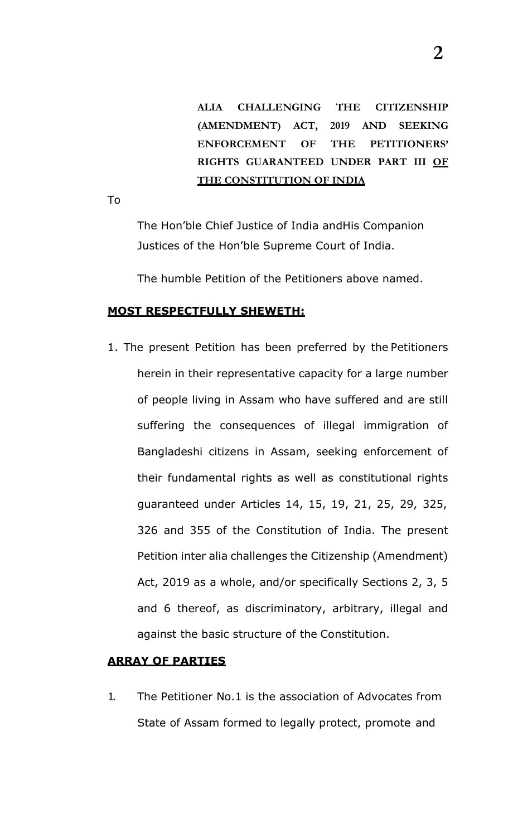**ALIA CHALLENGING THE CITIZENSHIP (AMENDMENT) ACT, 2019 AND SEEKING ENFORCEMENT OF THE PETITIONERS' RIGHTS GUARANTEED UNDER PART III OF THE CONSTITUTION OF INDIA**

To

The Hon'ble Chief Justice of India andHis Companion Justices of the Hon'ble Supreme Court of India.

The humble Petition of the Petitioners above named.

#### **MOST RESPECTFULLY SHEWETH:**

1. The present Petition has been preferred by the Petitioners herein in their representative capacity for a large number of people living in Assam who have suffered and are still suffering the consequences of illegal immigration of Bangladeshi citizens in Assam, seeking enforcement of their fundamental rights as well as constitutional rights guaranteed under Articles 14, 15, 19, 21, 25, 29, 325, 326 and 355 of the Constitution of India. The present Petition inter alia challenges the Citizenship (Amendment) Act, 2019 as a whole, and/or specifically Sections 2, 3, 5 and 6 thereof, as discriminatory, arbitrary, illegal and against the basic structure of the Constitution.

#### **ARRAY OF PARTIES**

1. The Petitioner No.1 is the association of Advocates from State of Assam formed to legally protect, promote and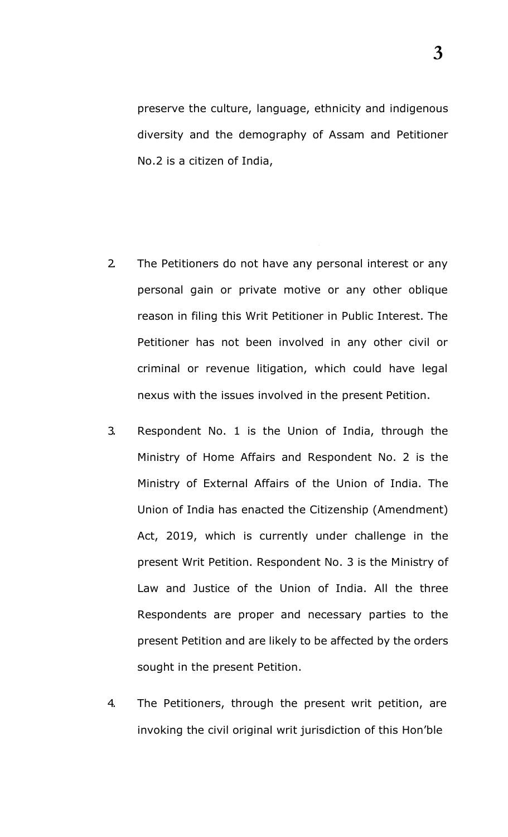preserve the culture, language, ethnicity and indigenous diversity and the demography of Assam and Petitioner No.2 is a citizen of India,

- 2. The Petitioners do not have any personal interest or any personal gain or private motive or any other oblique reason in filing this Writ Petitioner in Public Interest. The Petitioner has not been involved in any other civil or criminal or revenue litigation, which could have legal nexus with the issues involved in the present Petition.
- 3. Respondent No. 1 is the Union of India, through the Ministry of Home Affairs and Respondent No. 2 is the Ministry of External Affairs of the Union of India. The Union of India has enacted the Citizenship (Amendment) Act, 2019, which is currently under challenge in the present Writ Petition. Respondent No. 3 is the Ministry of Law and Justice of the Union of India. All the three Respondents are proper and necessary parties to the present Petition and are likely to be affected by the orders sought in the present Petition.
- 4. The Petitioners, through the present writ petition, are invoking the civil original writ jurisdiction of this Hon'ble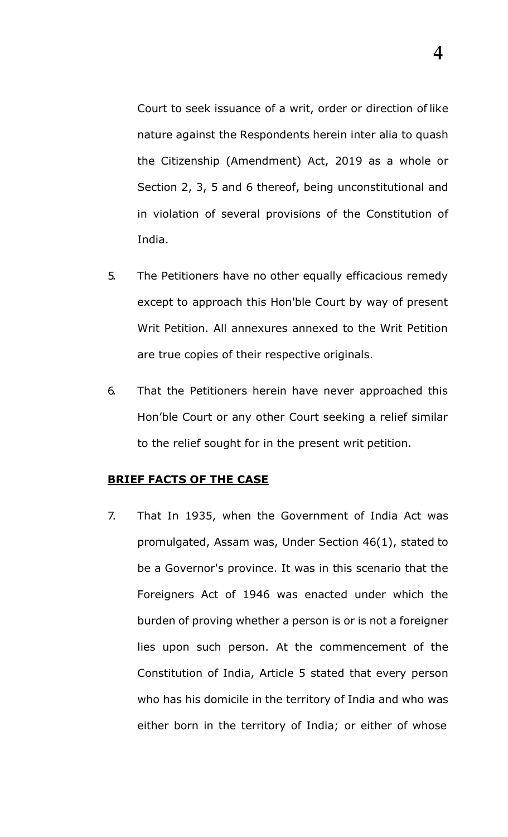Court to seek issuance of a writ, order or direction of like nature against the Respondents herein inter alia to quash the Citizenship (Amendment) Act, 2019 as a whole or Section 2, 3, 5 and 6 thereof, being unconstitutional and in violation of several provisions of the Constitution of India.

- 5. The Petitioners have no other equally efficacious remedy except to approach this Hon'ble Court by way of present Writ Petition. All annexures annexed to the Writ Petition are true copies of their respective originals.
- 6. That the Petitioners herein have never approached this Hon'ble Court or any other Court seeking a relief similar to the relief sought for in the present writ petition.

### **BRIEF FACTS OF THE CASE**

7. That In 1935, when the Government of India Act was promulgated, Assam was, Under Section 46(1), stated to be a Governor's province. It was in this scenario that the Foreigners Act of 1946 was enacted under which the burden of proving whether a person is or is not a foreigner lies upon such person. At the commencement of the Constitution of India, Article 5 stated that every person who has his domicile in the territory of India and who was either born in the territory of India; or either of whose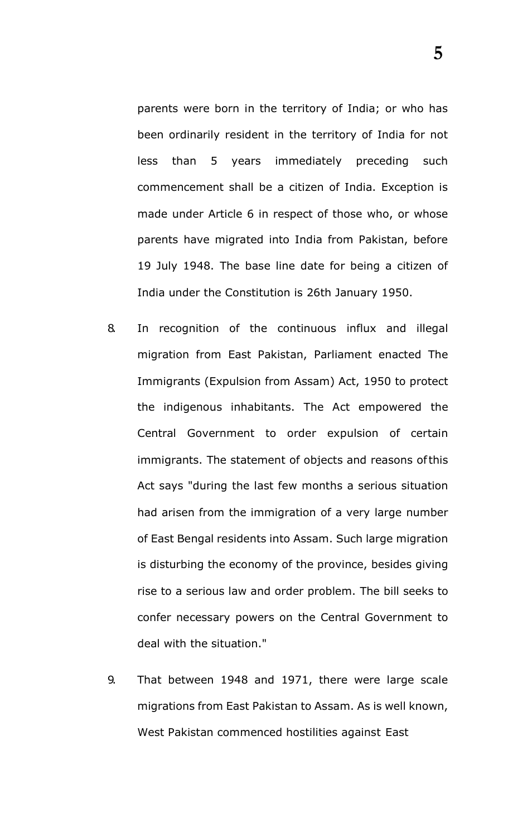parents were born in the territory of India; or who has been ordinarily resident in the territory of India for not less than 5 years immediately preceding such commencement shall be a citizen of India. Exception is made under Article 6 in respect of those who, or whose parents have migrated into India from Pakistan, before 19 July 1948. The base line date for being a citizen of India under the Constitution is 26th January 1950.

- 8. In recognition of the continuous influx and illegal migration from East Pakistan, Parliament enacted The Immigrants (Expulsion from Assam) Act, 1950 to protect the indigenous inhabitants. The Act empowered the Central Government to order expulsion of certain immigrants. The statement of objects and reasons ofthis Act says "during the last few months a serious situation had arisen from the immigration of a very large number of East Bengal residents into Assam. Such large migration is disturbing the economy of the province, besides giving rise to a serious law and order problem. The bill seeks to confer necessary powers on the Central Government to deal with the situation."
- 9. That between 1948 and 1971, there were large scale migrations from East Pakistan to Assam. As is well known, West Pakistan commenced hostilities against East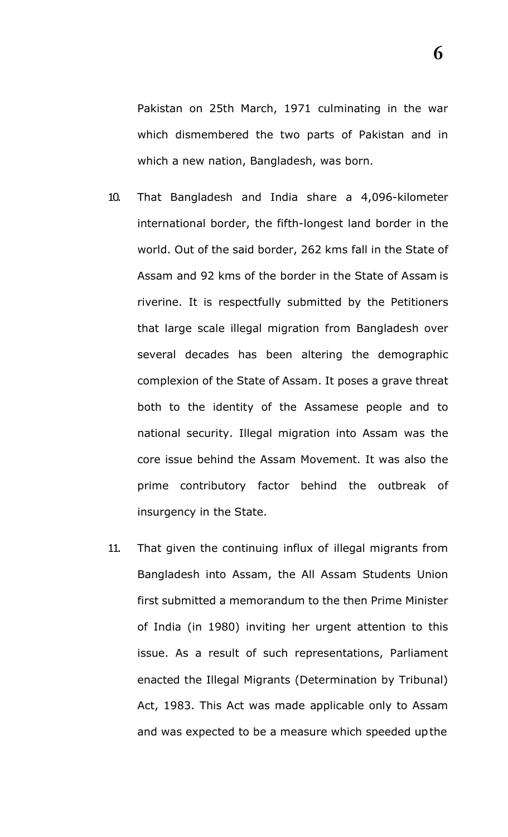Pakistan on 25th March, 1971 culminating in the war which dismembered the two parts of Pakistan and in which a new nation, Bangladesh, was born.

- 10. That Bangladesh and India share a 4,096-kilometer international border, the fifth-longest land border in the world. Out of the said border, 262 kms fall in the State of Assam and 92 kms of the border in the State of Assam is riverine. It is respectfully submitted by the Petitioners that large scale illegal migration from Bangladesh over several decades has been altering the demographic complexion of the State of Assam. It poses a grave threat both to the identity of the Assamese people and to national security. Illegal migration into Assam was the core issue behind the Assam Movement. It was also the prime contributory factor behind the outbreak of insurgency in the State.
- 11. That given the continuing influx of illegal migrants from Bangladesh into Assam, the All Assam Students Union first submitted a memorandum to the then Prime Minister of India (in 1980) inviting her urgent attention to this issue. As a result of such representations, Parliament enacted the Illegal Migrants (Determination by Tribunal) Act, 1983. This Act was made applicable only to Assam and was expected to be a measure which speeded upthe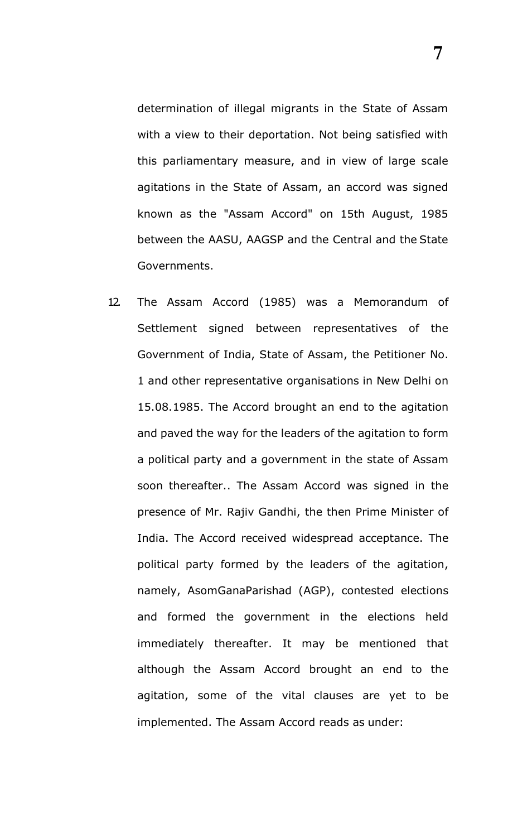determination of illegal migrants in the State of Assam with a view to their deportation. Not being satisfied with this parliamentary measure, and in view of large scale agitations in the State of Assam, an accord was signed known as the "Assam Accord" on 15th August, 1985 between the AASU, AAGSP and the Central and the State Governments.

12. The Assam Accord (1985) was a Memorandum of Settlement signed between representatives of the Government of India, State of Assam, the Petitioner No. 1 and other representative organisations in New Delhi on 15.08.1985. The Accord brought an end to the agitation and paved the way for the leaders of the agitation to form a political party and a government in the state of Assam soon thereafter.. The Assam Accord was signed in the presence of Mr. Rajiv Gandhi, the then Prime Minister of India. The Accord received widespread acceptance. The political party formed by the leaders of the agitation, namely, AsomGanaParishad (AGP), contested elections and formed the government in the elections held immediately thereafter. It may be mentioned that although the Assam Accord brought an end to the agitation, some of the vital clauses are yet to be implemented. The Assam Accord reads as under: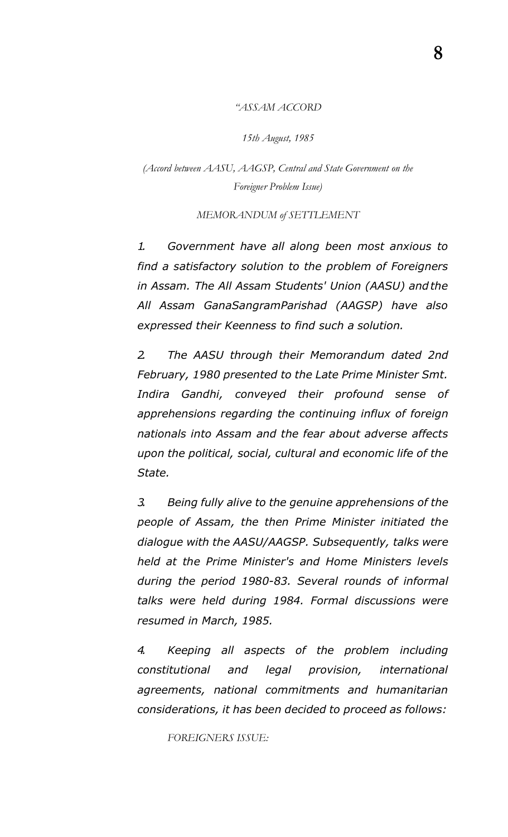#### *"ASSAM ACCORD*

*15th August, 1985*

# *(Accord between AASU, AAGSP, Central and State Government on the Foreigner Problem Issue)*

*MEMORANDUM of SETTLEMENT*

*1. Government have all along been most anxious to find a satisfactory solution to the problem of Foreigners in Assam. The All Assam Students' Union (AASU) andthe All Assam GanaSangramParishad (AAGSP) have also expressed their Keenness to find such a solution.*

*2. The AASU through their Memorandum dated 2nd February, 1980 presented to the Late Prime Minister Smt. Indira Gandhi, conveyed their profound sense of apprehensions regarding the continuing influx of foreign nationals into Assam and the fear about adverse affects upon the political, social, cultural and economic life of the State.*

*3. Being fully alive to the genuine apprehensions of the people of Assam, the then Prime Minister initiated the dialogue with the AASU/AAGSP. Subsequently, talks were held at the Prime Minister's and Home Ministers levels during the period 1980-83. Several rounds of informal talks were held during 1984. Formal discussions were resumed in March, 1985.*

*4. Keeping all aspects of the problem including constitutional and legal provision, international agreements, national commitments and humanitarian considerations, it has been decided to proceed as follows:*

*FOREIGNERS ISSUE:*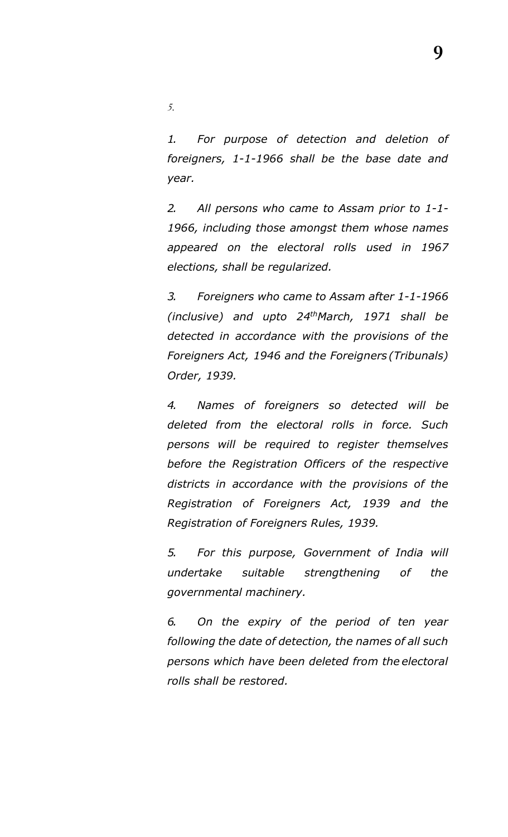*5.*

*1. For purpose of detection and deletion of foreigners, 1-1-1966 shall be the base date and year.*

*2. All persons who came to Assam prior to 1-1- 1966, including those amongst them whose names appeared on the electoral rolls used in 1967 elections, shall be regularized.*

*3. Foreigners who came to Assam after 1-1-1966 (inclusive) and upto 24thMarch, 1971 shall be detected in accordance with the provisions of the Foreigners Act, 1946 and the Foreigners (Tribunals) Order, 1939.*

*4. Names of foreigners so detected will be deleted from the electoral rolls in force. Such persons will be required to register themselves before the Registration Officers of the respective districts in accordance with the provisions of the Registration of Foreigners Act, 1939 and the Registration of Foreigners Rules, 1939.*

*5. For this purpose, Government of India will undertake suitable strengthening of the governmental machinery.*

*6. On the expiry of the period of ten year following the date of detection, the names of all such persons which have been deleted from the electoral rolls shall be restored.*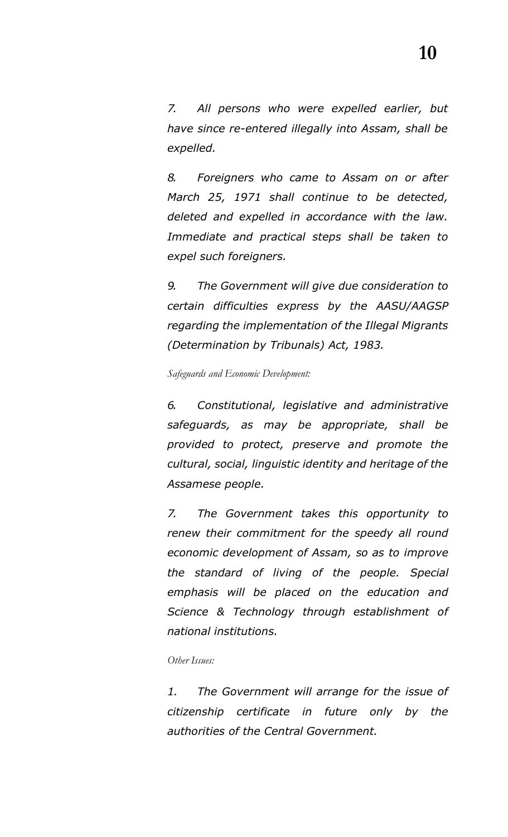*7. All persons who were expelled earlier, but have since re-entered illegally into Assam, shall be expelled.*

*8. Foreigners who came to Assam on or after March 25, 1971 shall continue to be detected, deleted and expelled in accordance with the law. Immediate and practical steps shall be taken to expel such foreigners.*

*9. The Government will give due consideration to certain difficulties express by the AASU/AAGSP regarding the implementation of the Illegal Migrants (Determination by Tribunals) Act, 1983.*

*Safeguards and Economic Development:*

*6. Constitutional, legislative and administrative safeguards, as may be appropriate, shall be provided to protect, preserve and promote the cultural, social, linguistic identity and heritage of the Assamese people.*

*7. The Government takes this opportunity to renew their commitment for the speedy all round economic development of Assam, so as to improve the standard of living of the people. Special emphasis will be placed on the education and Science & Technology through establishment of national institutions.*

*Other Issues:*

*1. The Government will arrange for the issue of citizenship certificate in future only by the authorities of the Central Government.*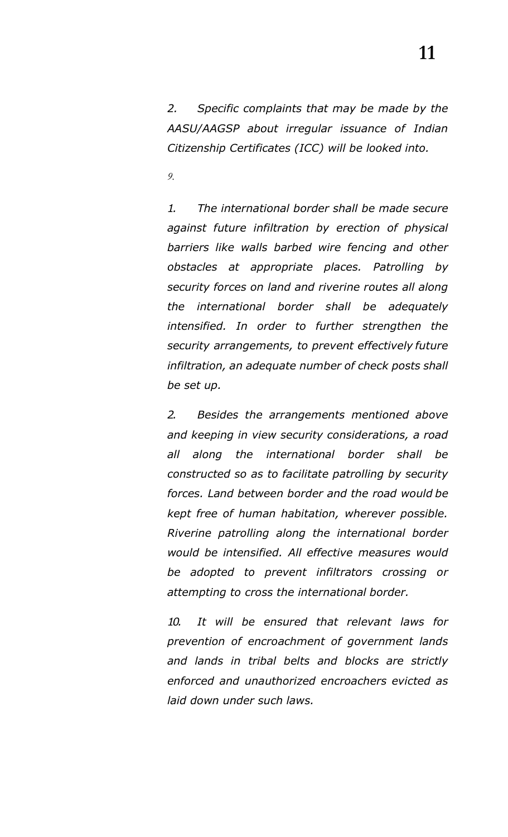*2. Specific complaints that may be made by the AASU/AAGSP about irregular issuance of Indian Citizenship Certificates (ICC) will be looked into.*

*9.*

*1. The international border shall be made secure against future infiltration by erection of physical barriers like walls barbed wire fencing and other obstacles at appropriate places. Patrolling by security forces on land and riverine routes all along the international border shall be adequately intensified. In order to further strengthen the security arrangements, to prevent effectively future infiltration, an adequate number of check posts shall be set up.*

*2. Besides the arrangements mentioned above and keeping in view security considerations, a road all along the international border shall be constructed so as to facilitate patrolling by security forces. Land between border and the road would be kept free of human habitation, wherever possible. Riverine patrolling along the international border would be intensified. All effective measures would be adopted to prevent infiltrators crossing or attempting to cross the international border.*

*10. It will be ensured that relevant laws for prevention of encroachment of government lands and lands in tribal belts and blocks are strictly enforced and unauthorized encroachers evicted as laid down under such laws.*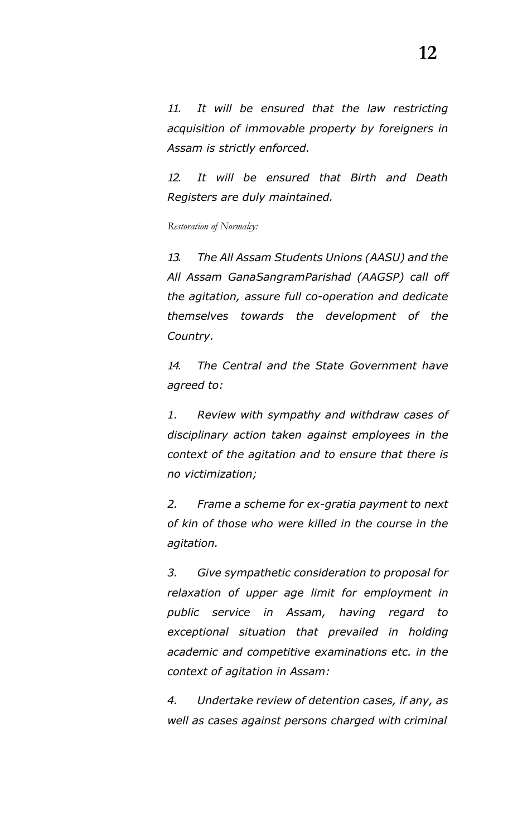*11. It will be ensured that the law restricting acquisition of immovable property by foreigners in Assam is strictly enforced.*

*12. It will be ensured that Birth and Death Registers are duly maintained.*

*Restoration of Normalcy:*

*13. The All Assam Students Unions (AASU) and the All Assam GanaSangramParishad (AAGSP) call off the agitation, assure full co-operation and dedicate themselves towards the development of the Country.*

*14. The Central and the State Government have agreed to:*

*1. Review with sympathy and withdraw cases of disciplinary action taken against employees in the context of the agitation and to ensure that there is no victimization;*

*2. Frame a scheme for ex-gratia payment to next of kin of those who were killed in the course in the agitation.*

*3. Give sympathetic consideration to proposal for relaxation of upper age limit for employment in public service in Assam, having regard to exceptional situation that prevailed in holding academic and competitive examinations etc. in the context of agitation in Assam:*

*4. Undertake review of detention cases, if any, as well as cases against persons charged with criminal*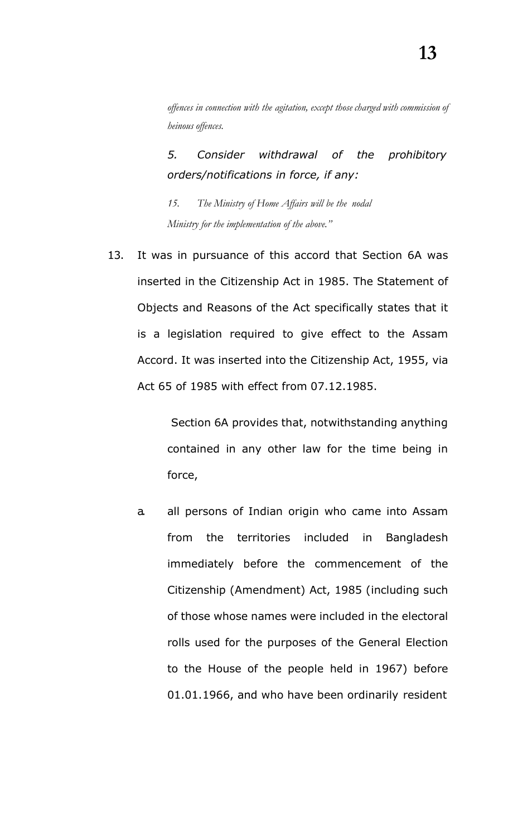*offences in connection with the agitation, except those charged with commission of heinous offences.*

*5. Consider withdrawal of the prohibitory orders/notifications in force, if any:*

*15. The Ministry of Home Affairs will be the nodal Ministry for the implementation of the above."*

13. It was in pursuance of this accord that Section 6A was inserted in the Citizenship Act in 1985. The Statement of Objects and Reasons of the Act specifically states that it is a legislation required to give effect to the Assam Accord. It was inserted into the Citizenship Act, 1955, via Act 65 of 1985 with effect from 07.12.1985.

> Section 6A provides that, notwithstanding anything contained in any other law for the time being in force,

a. all persons of Indian origin who came into Assam from the territories included in Bangladesh immediately before the commencement of the Citizenship (Amendment) Act, 1985 (including such of those whose names were included in the electoral rolls used for the purposes of the General Election to the House of the people held in 1967) before 01.01.1966, and who have been ordinarily resident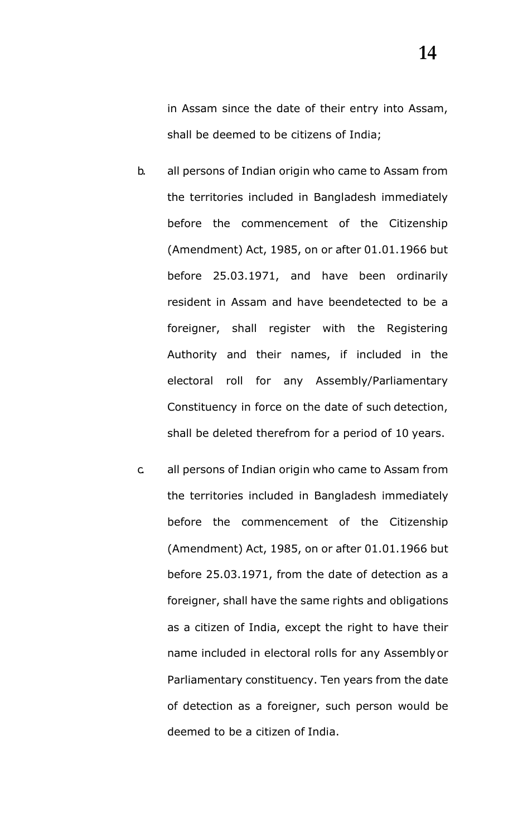in Assam since the date of their entry into Assam, shall be deemed to be citizens of India;

- b. all persons of Indian origin who came to Assam from the territories included in Bangladesh immediately before the commencement of the Citizenship (Amendment) Act, 1985, on or after 01.01.1966 but before 25.03.1971, and have been ordinarily resident in Assam and have beendetected to be a foreigner, shall register with the Registering Authority and their names, if included in the electoral roll for any Assembly/Parliamentary Constituency in force on the date of such detection, shall be deleted therefrom for a period of 10 years.
- c. all persons of Indian origin who came to Assam from the territories included in Bangladesh immediately before the commencement of the Citizenship (Amendment) Act, 1985, on or after 01.01.1966 but before 25.03.1971, from the date of detection as a foreigner, shall have the same rights and obligations as a citizen of India, except the right to have their name included in electoral rolls for any Assemblyor Parliamentary constituency. Ten years from the date of detection as a foreigner, such person would be deemed to be a citizen of India.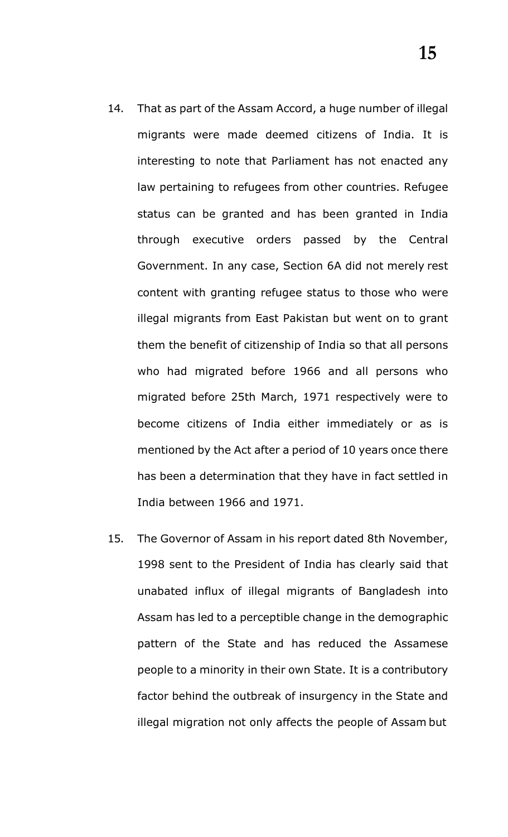- 14. That as part of the Assam Accord, a huge number of illegal migrants were made deemed citizens of India. It is interesting to note that Parliament has not enacted any law pertaining to refugees from other countries. Refugee status can be granted and has been granted in India through executive orders passed by the Central Government. In any case, Section 6A did not merely rest content with granting refugee status to those who were illegal migrants from East Pakistan but went on to grant them the benefit of citizenship of India so that all persons who had migrated before 1966 and all persons who migrated before 25th March, 1971 respectively were to become citizens of India either immediately or as is mentioned by the Act after a period of 10 years once there has been a determination that they have in fact settled in India between 1966 and 1971.
- 15. The Governor of Assam in his report dated 8th November, 1998 sent to the President of India has clearly said that unabated influx of illegal migrants of Bangladesh into Assam has led to a perceptible change in the demographic pattern of the State and has reduced the Assamese people to a minority in their own State. It is a contributory factor behind the outbreak of insurgency in the State and illegal migration not only affects the people of Assam but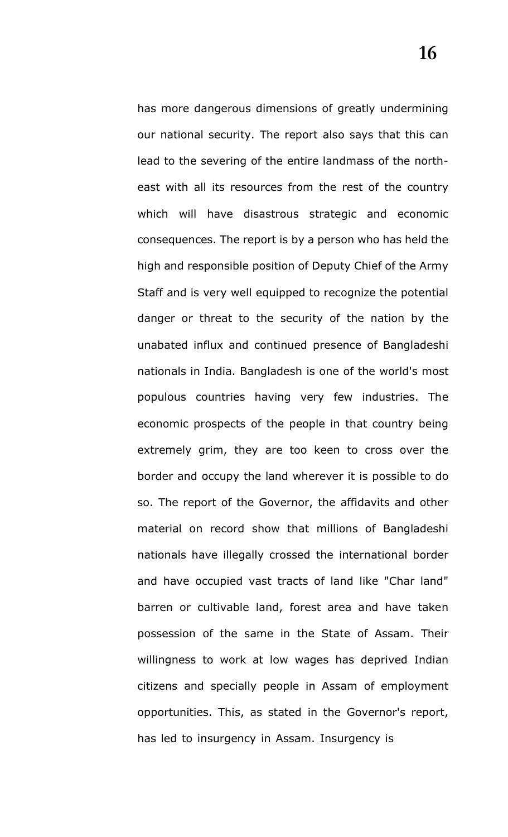has more dangerous dimensions of greatly undermining our national security. The report also says that this can lead to the severing of the entire landmass of the northeast with all its resources from the rest of the country which will have disastrous strategic and economic consequences. The report is by a person who has held the high and responsible position of Deputy Chief of the Army Staff and is very well equipped to recognize the potential danger or threat to the security of the nation by the unabated influx and continued presence of Bangladeshi nationals in India. Bangladesh is one of the world's most populous countries having very few industries. The economic prospects of the people in that country being extremely grim, they are too keen to cross over the border and occupy the land wherever it is possible to do so. The report of the Governor, the affidavits and other material on record show that millions of Bangladeshi nationals have illegally crossed the international border and have occupied vast tracts of land like "Char land" barren or cultivable land, forest area and have taken possession of the same in the State of Assam. Their willingness to work at low wages has deprived Indian citizens and specially people in Assam of employment opportunities. This, as stated in the Governor's report, has led to insurgency in Assam. Insurgency is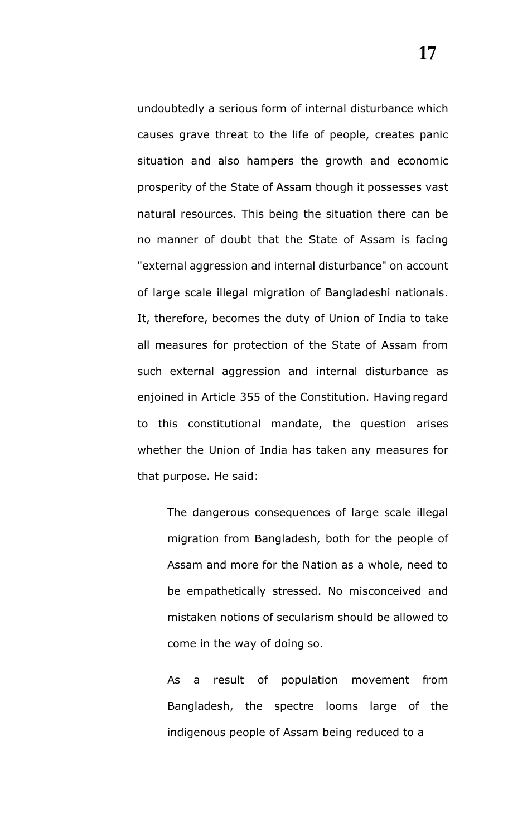undoubtedly a serious form of internal disturbance which causes grave threat to the life of people, creates panic situation and also hampers the growth and economic prosperity of the State of Assam though it possesses vast natural resources. This being the situation there can be no manner of doubt that the State of Assam is facing "external aggression and internal disturbance" on account of large scale illegal migration of Bangladeshi nationals. It, therefore, becomes the duty of Union of India to take all measures for protection of the State of Assam from such external aggression and internal disturbance as enjoined in Article 355 of the Constitution. Having regard to this constitutional mandate, the question arises whether the Union of India has taken any measures for that purpose. He said:

The dangerous consequences of large scale illegal migration from Bangladesh, both for the people of Assam and more for the Nation as a whole, need to be empathetically stressed. No misconceived and mistaken notions of secularism should be allowed to come in the way of doing so.

As a result of population movement from Bangladesh, the spectre looms large of the indigenous people of Assam being reduced to a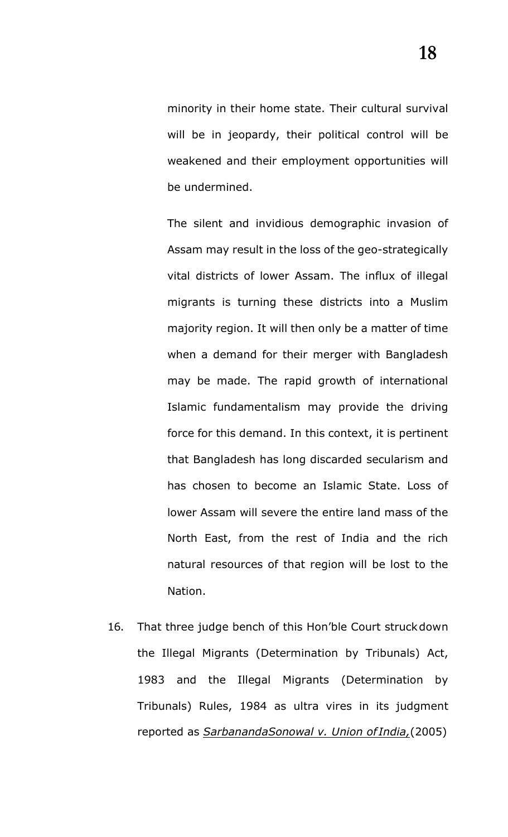minority in their home state. Their cultural survival will be in jeopardy, their political control will be weakened and their employment opportunities will be undermined.

The silent and invidious demographic invasion of Assam may result in the loss of the geo-strategically vital districts of lower Assam. The influx of illegal migrants is turning these districts into a Muslim majority region. It will then only be a matter of time when a demand for their merger with Bangladesh may be made. The rapid growth of international Islamic fundamentalism may provide the driving force for this demand. In this context, it is pertinent that Bangladesh has long discarded secularism and has chosen to become an Islamic State. Loss of lower Assam will severe the entire land mass of the North East, from the rest of India and the rich natural resources of that region will be lost to the Nation.

16. That three judge bench of this Hon'ble Court struckdown the Illegal Migrants (Determination by Tribunals) Act, 1983 and the Illegal Migrants (Determination by Tribunals) Rules, 1984 as ultra vires in its judgment reported as *SarbanandaSonowal v. Union of India,*(2005)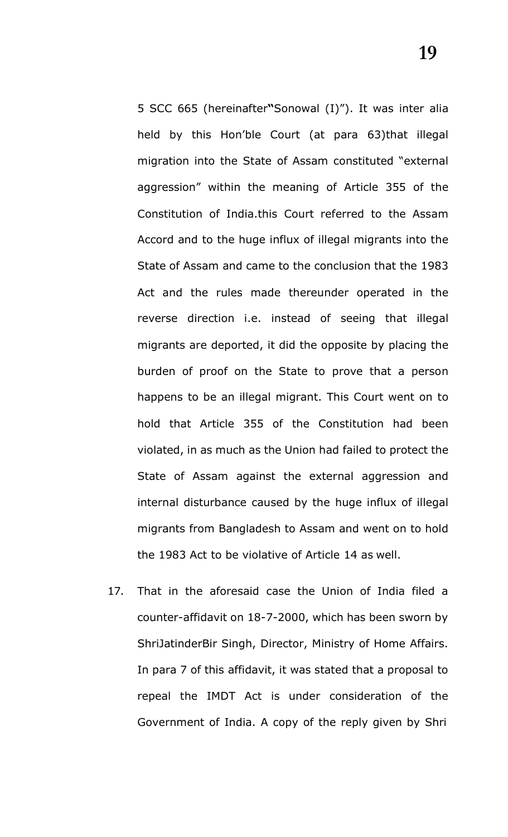5 SCC 665 (hereinafter**"**Sonowal (I)"). It was inter alia held by this Hon'ble Court (at para 63)that illegal migration into the State of Assam constituted "external aggression" within the meaning of Article 355 of the Constitution of India.this Court referred to the Assam Accord and to the huge influx of illegal migrants into the State of Assam and came to the conclusion that the 1983 Act and the rules made thereunder operated in the reverse direction i.e. instead of seeing that illegal migrants are deported, it did the opposite by placing the burden of proof on the State to prove that a person happens to be an illegal migrant. This Court went on to hold that Article 355 of the Constitution had been violated, in as much as the Union had failed to protect the State of Assam against the external aggression and internal disturbance caused by the huge influx of illegal migrants from Bangladesh to Assam and went on to hold the 1983 Act to be violative of Article 14 as well.

17. That in the aforesaid case the Union of India filed a counter-affidavit on 18-7-2000, which has been sworn by ShriJatinderBir Singh, Director, Ministry of Home Affairs. In para 7 of this affidavit, it was stated that a proposal to repeal the IMDT Act is under consideration of the Government of India. A copy of the reply given by Shri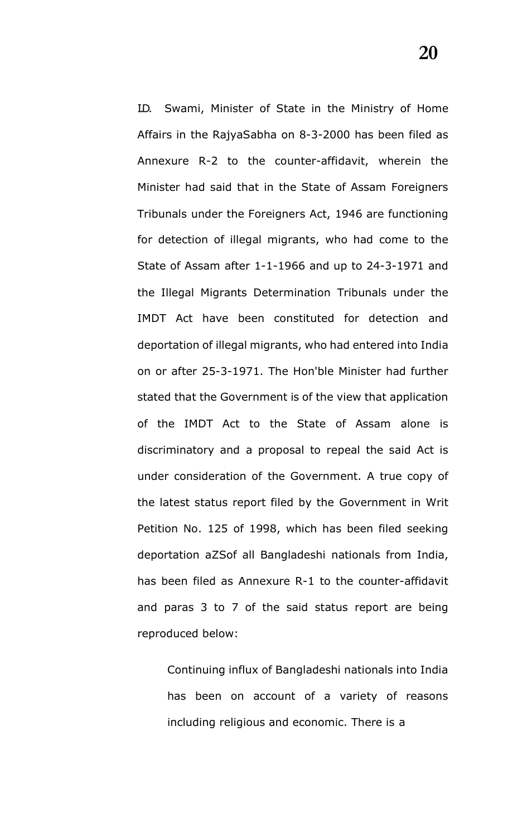I.D. Swami, Minister of State in the Ministry of Home Affairs in the RajyaSabha on 8-3-2000 has been filed as Annexure R-2 to the counter-affidavit, wherein the Minister had said that in the State of Assam Foreigners Tribunals under the Foreigners Act, 1946 are functioning for detection of illegal migrants, who had come to the State of Assam after 1-1-1966 and up to 24-3-1971 and the Illegal Migrants Determination Tribunals under the IMDT Act have been constituted for detection and deportation of illegal migrants, who had entered into India on or after 25-3-1971. The Hon'ble Minister had further stated that the Government is of the view that application of the IMDT Act to the State of Assam alone is discriminatory and a proposal to repeal the said Act is under consideration of the Government. A true copy of the latest status report filed by the Government in Writ Petition No. 125 of 1998, which has been filed seeking deportation aZSof all Bangladeshi nationals from India, has been filed as Annexure R-1 to the counter-affidavit and paras 3 to 7 of the said status report are being reproduced below:

Continuing influx of Bangladeshi nationals into India has been on account of a variety of reasons including religious and economic. There is a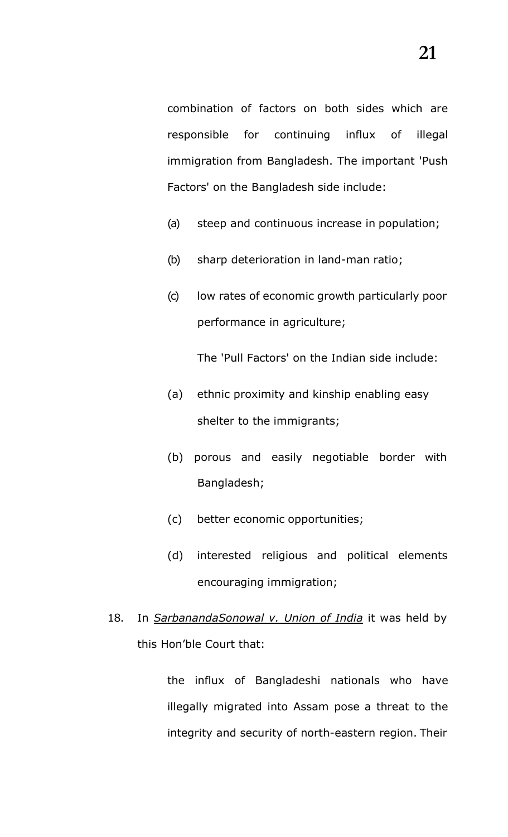combination of factors on both sides which are responsible for continuing influx of illegal immigration from Bangladesh. The important 'Push Factors' on the Bangladesh side include:

- (a) steep and continuous increase in population;
- (b) sharp deterioration in land-man ratio;
- (c) low rates of economic growth particularly poor performance in agriculture;

The 'Pull Factors' on the Indian side include:

- (a) ethnic proximity and kinship enabling easy shelter to the immigrants;
- (b) porous and easily negotiable border with Bangladesh;
- (c) better economic opportunities;
- (d) interested religious and political elements encouraging immigration;
- 18. In *SarbanandaSonowal v. Union of India* it was held by this Hon'ble Court that:

the influx of Bangladeshi nationals who have illegally migrated into Assam pose a threat to the integrity and security of north-eastern region. Their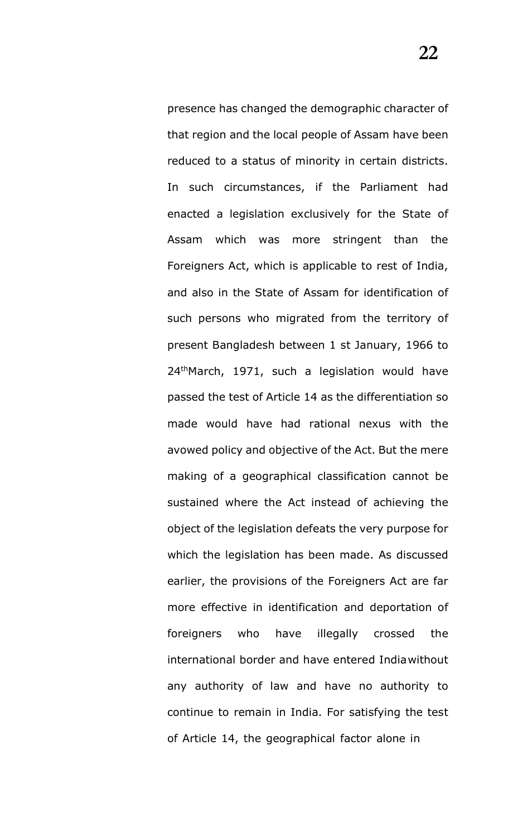presence has changed the demographic character of that region and the local people of Assam have been reduced to a status of minority in certain districts. In such circumstances, if the Parliament had enacted a legislation exclusively for the State of Assam which was more stringent than the Foreigners Act, which is applicable to rest of India, and also in the State of Assam for identification of such persons who migrated from the territory of present Bangladesh between 1 st January, 1966 to 24<sup>th</sup>March, 1971, such a legislation would have passed the test of Article 14 as the differentiation so made would have had rational nexus with the avowed policy and objective of the Act. But the mere making of a geographical classification cannot be sustained where the Act instead of achieving the object of the legislation defeats the very purpose for which the legislation has been made. As discussed earlier, the provisions of the Foreigners Act are far more effective in identification and deportation of foreigners who have illegally crossed the international border and have entered Indiawithout any authority of law and have no authority to continue to remain in India. For satisfying the test of Article 14, the geographical factor alone in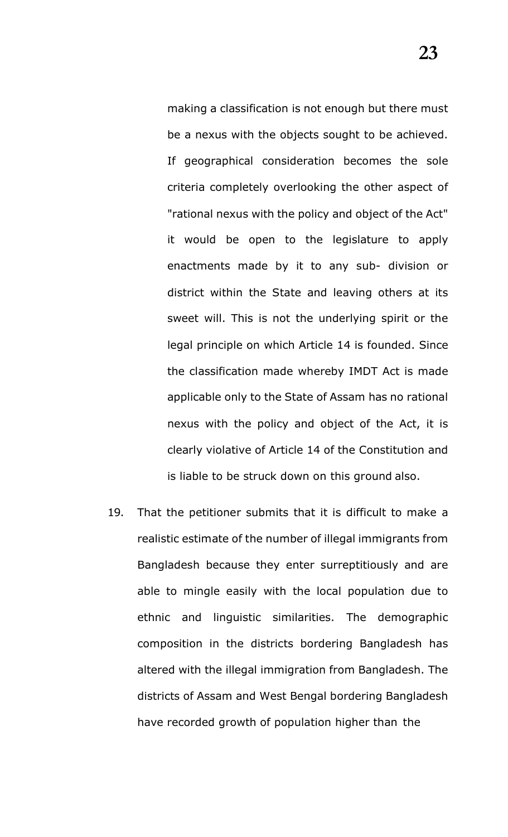making a classification is not enough but there must be a nexus with the objects sought to be achieved. If geographical consideration becomes the sole criteria completely overlooking the other aspect of "rational nexus with the policy and object of the Act" it would be open to the legislature to apply enactments made by it to any sub- division or district within the State and leaving others at its sweet will. This is not the underlying spirit or the legal principle on which Article 14 is founded. Since the classification made whereby IMDT Act is made applicable only to the State of Assam has no rational nexus with the policy and object of the Act, it is clearly violative of Article 14 of the Constitution and is liable to be struck down on this ground also.

19. That the petitioner submits that it is difficult to make a realistic estimate of the number of illegal immigrants from Bangladesh because they enter surreptitiously and are able to mingle easily with the local population due to ethnic and linguistic similarities. The demographic composition in the districts bordering Bangladesh has altered with the illegal immigration from Bangladesh. The districts of Assam and West Bengal bordering Bangladesh have recorded growth of population higher than the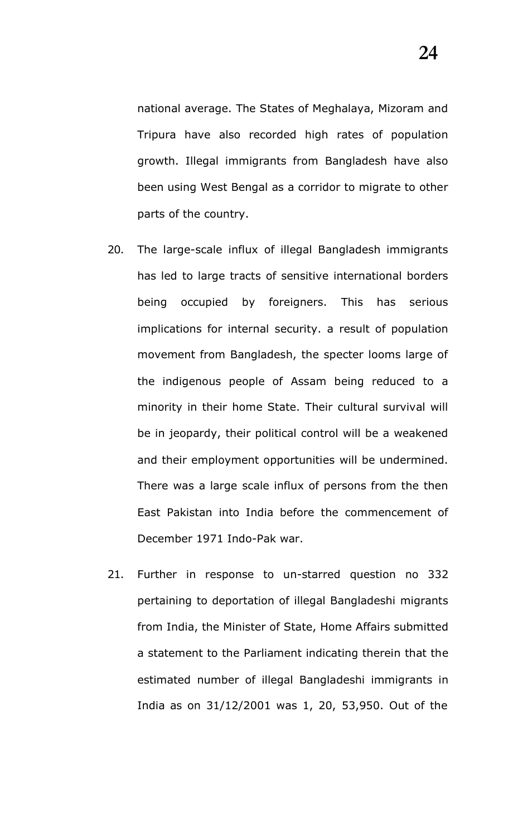national average. The States of Meghalaya, Mizoram and Tripura have also recorded high rates of population growth. Illegal immigrants from Bangladesh have also been using West Bengal as a corridor to migrate to other parts of the country.

- 20. The large-scale influx of illegal Bangladesh immigrants has led to large tracts of sensitive international borders being occupied by foreigners. This has serious implications for internal security. a result of population movement from Bangladesh, the specter looms large of the indigenous people of Assam being reduced to a minority in their home State. Their cultural survival will be in jeopardy, their political control will be a weakened and their employment opportunities will be undermined. There was a large scale influx of persons from the then East Pakistan into India before the commencement of December 1971 Indo-Pak war.
- 21. Further in response to un-starred question no 332 pertaining to deportation of illegal Bangladeshi migrants from India, the Minister of State, Home Affairs submitted a statement to the Parliament indicating therein that the estimated number of illegal Bangladeshi immigrants in India as on 31/12/2001 was 1, 20, 53,950. Out of the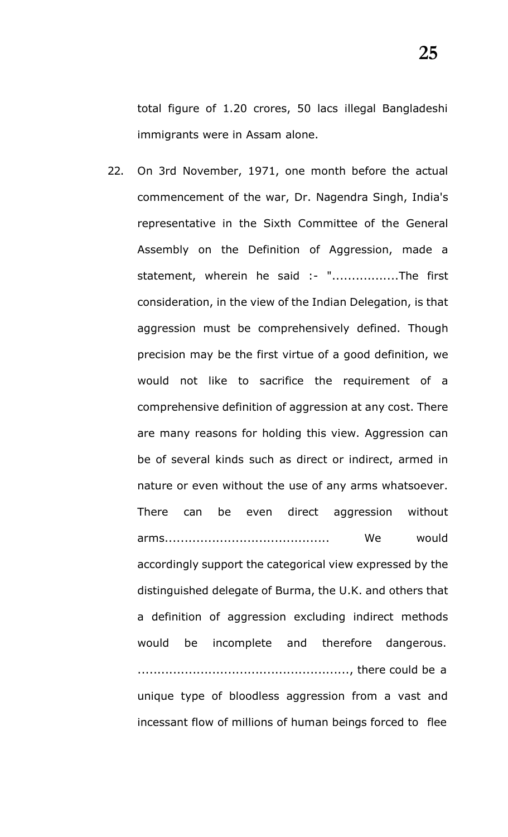total figure of 1.20 crores, 50 lacs illegal Bangladeshi immigrants were in Assam alone.

22. On 3rd November, 1971, one month before the actual commencement of the war, Dr. Nagendra Singh, India's representative in the Sixth Committee of the General Assembly on the Definition of Aggression, made a statement, wherein he said :- "..................The first consideration, in the view of the Indian Delegation, is that aggression must be comprehensively defined. Though precision may be the first virtue of a good definition, we would not like to sacrifice the requirement of a comprehensive definition of aggression at any cost. There are many reasons for holding this view. Aggression can be of several kinds such as direct or indirect, armed in nature or even without the use of any arms whatsoever. There can be even direct aggression without arms.......................................... We would accordingly support the categorical view expressed by the distinguished delegate of Burma, the U.K. and others that a definition of aggression excluding indirect methods would be incomplete and therefore dangerous. ......................................................, there could be a unique type of bloodless aggression from a vast and incessant flow of millions of human beings forced to flee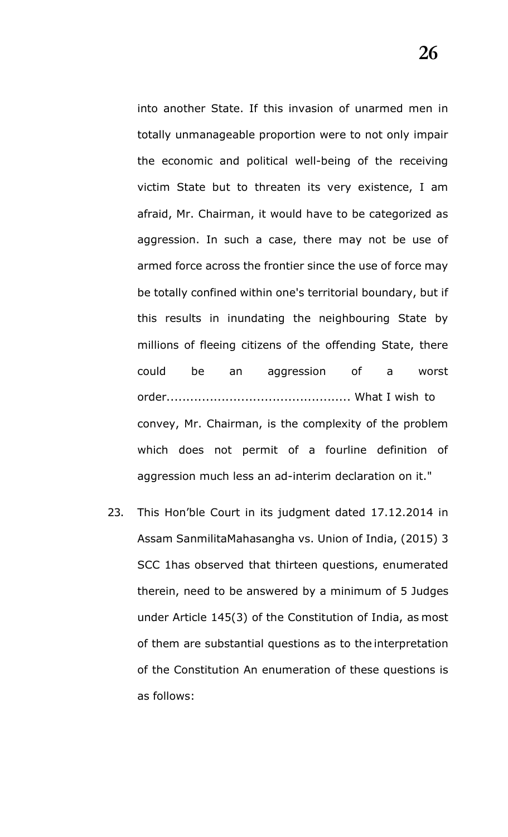into another State. If this invasion of unarmed men in totally unmanageable proportion were to not only impair the economic and political well-being of the receiving victim State but to threaten its very existence, I am afraid, Mr. Chairman, it would have to be categorized as aggression. In such a case, there may not be use of armed force across the frontier since the use of force may be totally confined within one's territorial boundary, but if this results in inundating the neighbouring State by millions of fleeing citizens of the offending State, there could be an aggression of a worst order............................................... What I wish to convey, Mr. Chairman, is the complexity of the problem which does not permit of a fourline definition of aggression much less an ad-interim declaration on it."

23. This Hon'ble Court in its judgment dated 17.12.2014 in Assam SanmilitaMahasangha vs. Union of India, (2015) 3 SCC 1has observed that thirteen questions, enumerated therein, need to be answered by a minimum of 5 Judges under Article 145(3) of the Constitution of India, as most of them are substantial questions as to the interpretation of the Constitution An enumeration of these questions is as follows: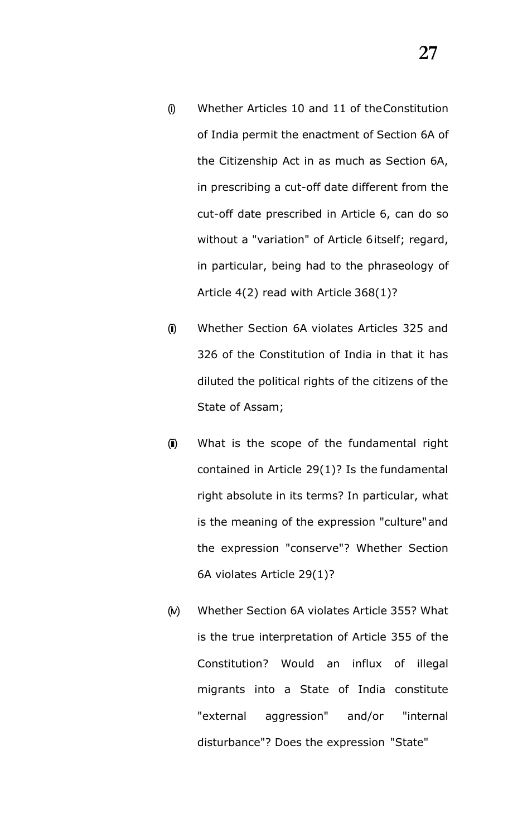- (i) Whether Articles 10 and 11 of theConstitution of India permit the enactment of Section 6A of the Citizenship Act in as much as Section 6A, in prescribing a cut-off date different from the cut-off date prescribed in Article 6, can do so without a "variation" of Article 6itself; regard, in particular, being had to the phraseology of Article 4(2) read with Article 368(1)?
- (ii) Whether Section 6A violates Articles 325 and 326 of the Constitution of India in that it has diluted the political rights of the citizens of the State of Assam;
- (iii) What is the scope of the fundamental right contained in Article 29(1)? Is the fundamental right absolute in its terms? In particular, what is the meaning of the expression "culture"and the expression "conserve"? Whether Section 6A violates Article 29(1)?
- (iv) Whether Section 6A violates Article 355? What is the true interpretation of Article 355 of the Constitution? Would an influx of illegal migrants into a State of India constitute "external aggression" and/or "internal disturbance"? Does the expression "State"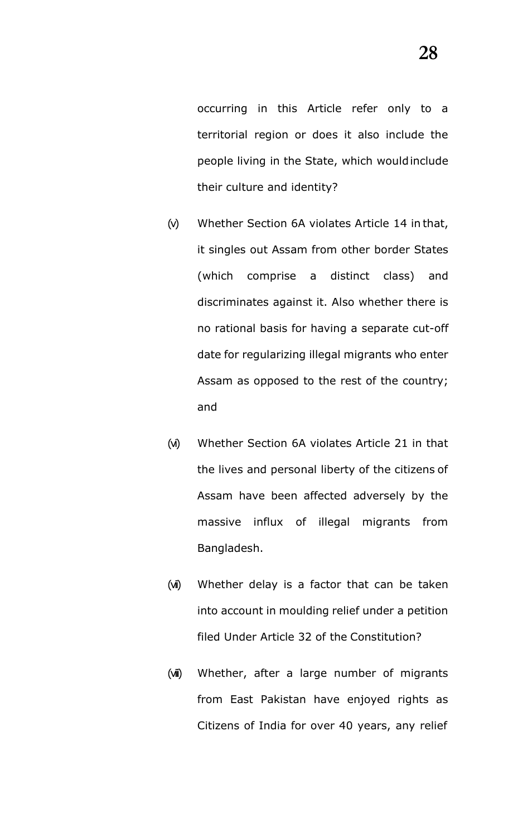occurring in this Article refer only to a territorial region or does it also include the people living in the State, which wouldinclude their culture and identity?

- (v) Whether Section 6A violates Article 14 in that, it singles out Assam from other border States (which comprise a distinct class) and discriminates against it. Also whether there is no rational basis for having a separate cut-off date for regularizing illegal migrants who enter Assam as opposed to the rest of the country; and
- (vi) Whether Section 6A violates Article 21 in that the lives and personal liberty of the citizens of Assam have been affected adversely by the massive influx of illegal migrants from Bangladesh.
- (vii) Whether delay is a factor that can be taken into account in moulding relief under a petition filed Under Article 32 of the Constitution?
- (viii) Whether, after a large number of migrants from East Pakistan have enjoyed rights as Citizens of India for over 40 years, any relief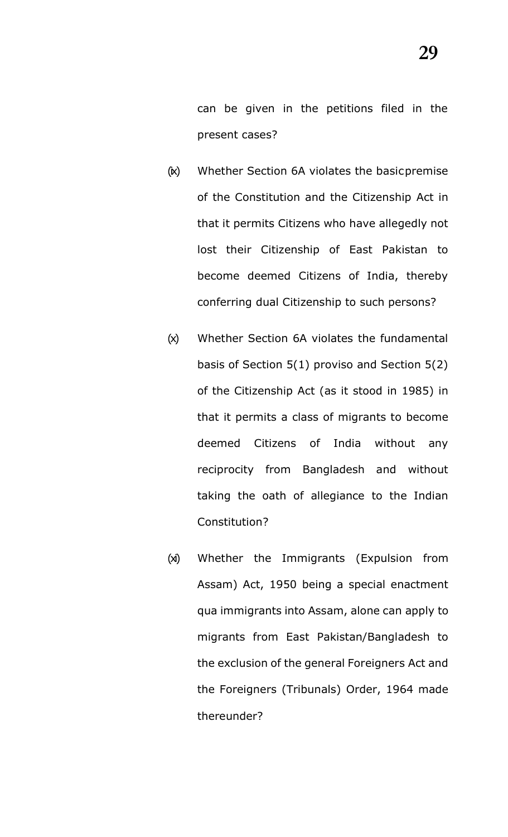can be given in the petitions filed in the present cases?

- (ix) Whether Section 6A violates the basicpremise of the Constitution and the Citizenship Act in that it permits Citizens who have allegedly not lost their Citizenship of East Pakistan to become deemed Citizens of India, thereby conferring dual Citizenship to such persons?
- (x) Whether Section 6A violates the fundamental basis of Section 5(1) proviso and Section 5(2) of the Citizenship Act (as it stood in 1985) in that it permits a class of migrants to become deemed Citizens of India without any reciprocity from Bangladesh and without taking the oath of allegiance to the Indian Constitution?
- (xi) Whether the Immigrants (Expulsion from Assam) Act, 1950 being a special enactment qua immigrants into Assam, alone can apply to migrants from East Pakistan/Bangladesh to the exclusion of the general Foreigners Act and the Foreigners (Tribunals) Order, 1964 made thereunder?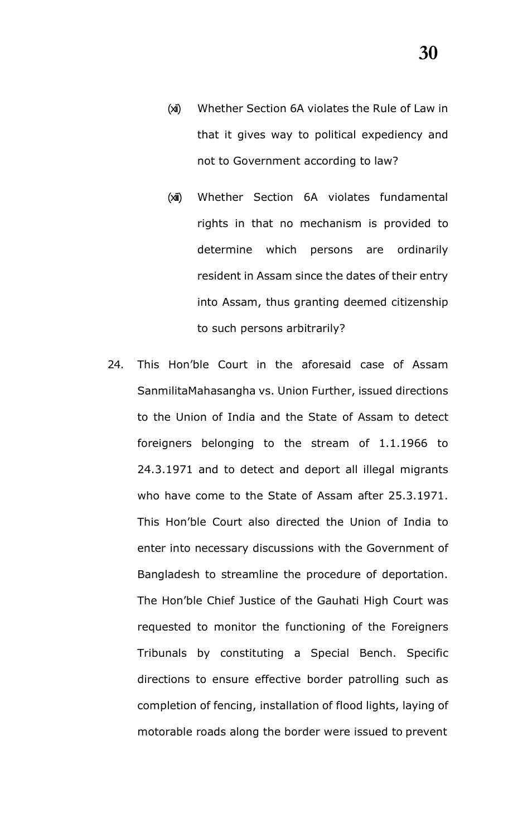- (xii) Whether Section 6A violates the Rule of Law in that it gives way to political expediency and not to Government according to law?
- (xiii) Whether Section 6A violates fundamental rights in that no mechanism is provided to determine which persons are ordinarily resident in Assam since the dates of their entry into Assam, thus granting deemed citizenship to such persons arbitrarily?
- 24. This Hon'ble Court in the aforesaid case of Assam SanmilitaMahasangha vs. Union Further, issued directions to the Union of India and the State of Assam to detect foreigners belonging to the stream of 1.1.1966 to 24.3.1971 and to detect and deport all illegal migrants who have come to the State of Assam after 25.3.1971. This Hon'ble Court also directed the Union of India to enter into necessary discussions with the Government of Bangladesh to streamline the procedure of deportation. The Hon'ble Chief Justice of the Gauhati High Court was requested to monitor the functioning of the Foreigners Tribunals by constituting a Special Bench. Specific directions to ensure effective border patrolling such as completion of fencing, installation of flood lights, laying of motorable roads along the border were issued to prevent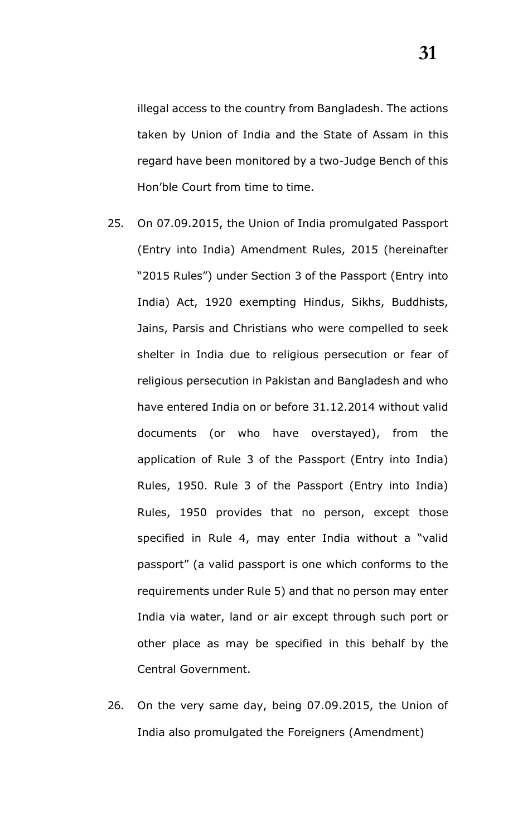illegal access to the country from Bangladesh. The actions taken by Union of India and the State of Assam in this regard have been monitored by a two-Judge Bench of this Hon'ble Court from time to time.

- 25. On 07.09.2015, the Union of India promulgated Passport (Entry into India) Amendment Rules, 2015 (hereinafter "2015 Rules") under Section 3 of the Passport (Entry into India) Act, 1920 exempting Hindus, Sikhs, Buddhists, Jains, Parsis and Christians who were compelled to seek shelter in India due to religious persecution or fear of religious persecution in Pakistan and Bangladesh and who have entered India on or before 31.12.2014 without valid documents (or who have overstayed), from the application of Rule 3 of the Passport (Entry into India) Rules, 1950. Rule 3 of the Passport (Entry into India) Rules, 1950 provides that no person, except those specified in Rule 4, may enter India without a "valid passport" (a valid passport is one which conforms to the requirements under Rule 5) and that no person may enter India via water, land or air except through such port or other place as may be specified in this behalf by the Central Government.
- 26. On the very same day, being 07.09.2015, the Union of India also promulgated the Foreigners (Amendment)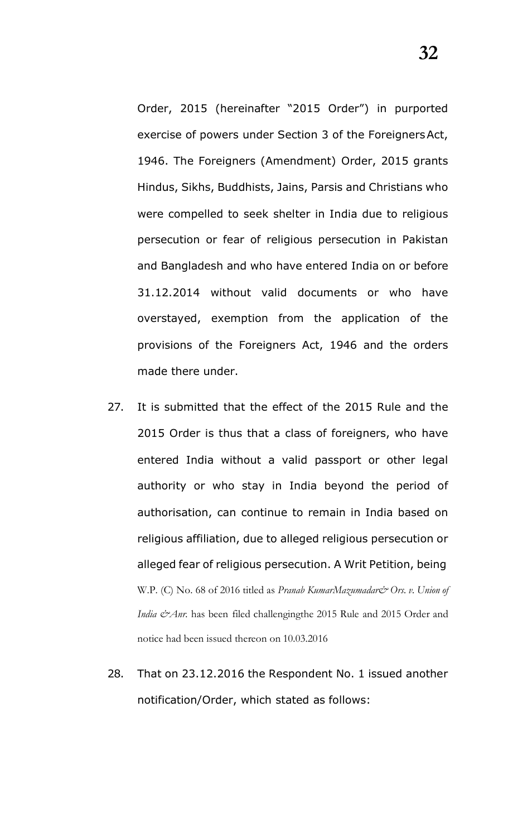Order, 2015 (hereinafter "2015 Order") in purported exercise of powers under Section 3 of the ForeignersAct, 1946. The Foreigners (Amendment) Order, 2015 grants Hindus, Sikhs, Buddhists, Jains, Parsis and Christians who were compelled to seek shelter in India due to religious persecution or fear of religious persecution in Pakistan and Bangladesh and who have entered India on or before 31.12.2014 without valid documents or who have overstayed, exemption from the application of the provisions of the Foreigners Act, 1946 and the orders made there under.

- 27. It is submitted that the effect of the 2015 Rule and the 2015 Order is thus that a class of foreigners, who have entered India without a valid passport or other legal authority or who stay in India beyond the period of authorisation, can continue to remain in India based on religious affiliation, due to alleged religious persecution or alleged fear of religious persecution. A Writ Petition, being W.P. (C) No. 68 of 2016 titled as *Pranab KumarMazumadar& Ors. v. Union of India & Anr.* has been filed challengingthe 2015 Rule and 2015 Order and notice had been issued thereon on 10.03.2016
- 28. That on 23.12.2016 the Respondent No. 1 issued another notification/Order, which stated as follows: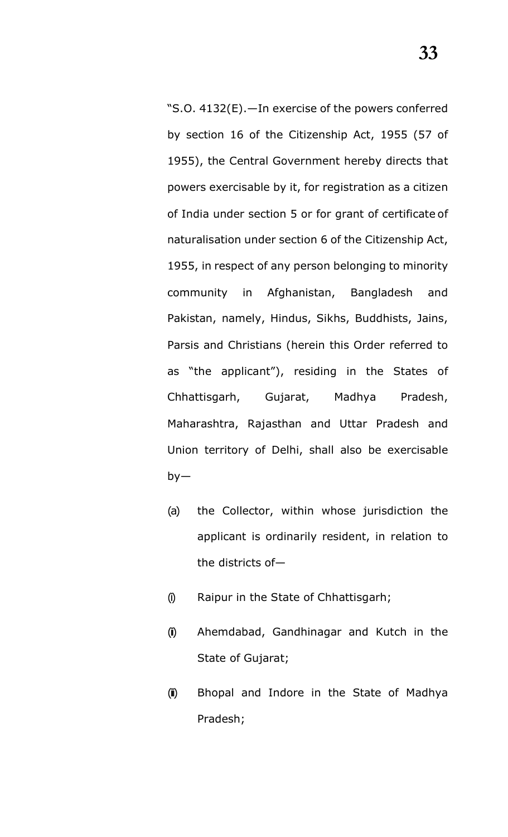"S.O. 4132(E).—In exercise of the powers conferred by section 16 of the Citizenship Act, 1955 (57 of 1955), the Central Government hereby directs that powers exercisable by it, for registration as a citizen of India under section 5 or for grant of certificate of naturalisation under section 6 of the Citizenship Act, 1955, in respect of any person belonging to minority community in Afghanistan, Bangladesh and Pakistan, namely, Hindus, Sikhs, Buddhists, Jains, Parsis and Christians (herein this Order referred to as "the applicant"), residing in the States of Chhattisgarh, Gujarat, Madhya Pradesh, Maharashtra, Rajasthan and Uttar Pradesh and Union territory of Delhi, shall also be exercisable  $by-$ 

- (a) the Collector, within whose jurisdiction the applicant is ordinarily resident, in relation to the districts of—
- (i) Raipur in the State of Chhattisgarh;
- (ii) Ahemdabad, Gandhinagar and Kutch in the State of Gujarat;
- (iii) Bhopal and Indore in the State of Madhya Pradesh;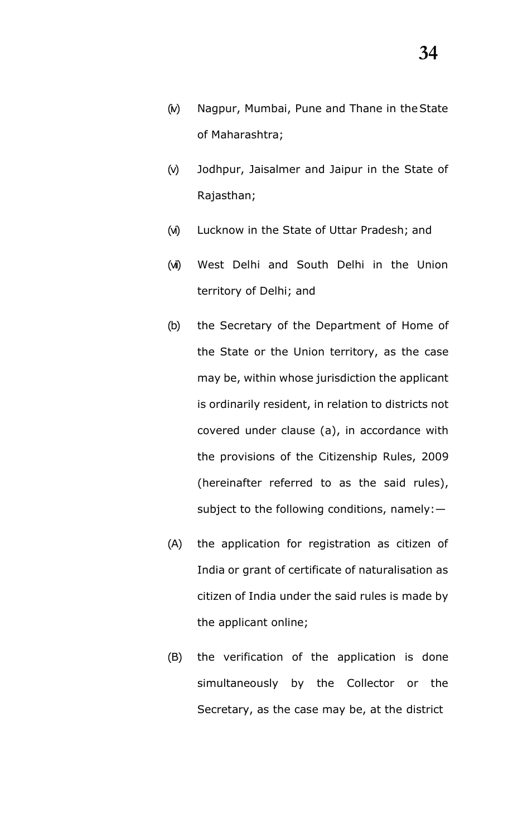- (v) Jodhpur, Jaisalmer and Jaipur in the State of Rajasthan;
- (vi) Lucknow in the State of Uttar Pradesh; and
- (vii) West Delhi and South Delhi in the Union territory of Delhi; and
- (b) the Secretary of the Department of Home of the State or the Union territory, as the case may be, within whose jurisdiction the applicant is ordinarily resident, in relation to districts not covered under clause (a), in accordance with the provisions of the Citizenship Rules, 2009 (hereinafter referred to as the said rules), subject to the following conditions, namely:—
- (A) the application for registration as citizen of India or grant of certificate of naturalisation as citizen of India under the said rules is made by the applicant online;
- (B) the verification of the application is done simultaneously by the Collector or the Secretary, as the case may be, at the district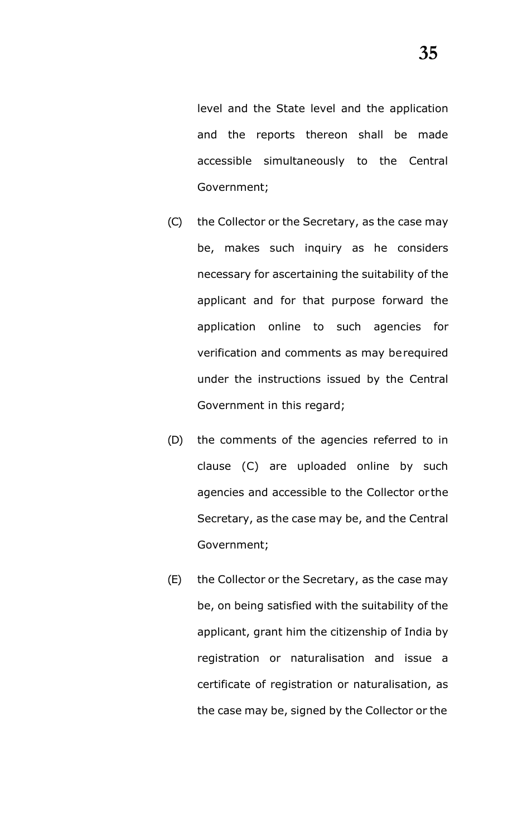level and the State level and the application and the reports thereon shall be made accessible simultaneously to the Central Government;

- (C) the Collector or the Secretary, as the case may be, makes such inquiry as he considers necessary for ascertaining the suitability of the applicant and for that purpose forward the application online to such agencies for verification and comments as may berequired under the instructions issued by the Central Government in this regard;
- (D) the comments of the agencies referred to in clause (C) are uploaded online by such agencies and accessible to the Collector or the Secretary, as the case may be, and the Central Government;
- (E) the Collector or the Secretary, as the case may be, on being satisfied with the suitability of the applicant, grant him the citizenship of India by registration or naturalisation and issue a certificate of registration or naturalisation, as the case may be, signed by the Collector or the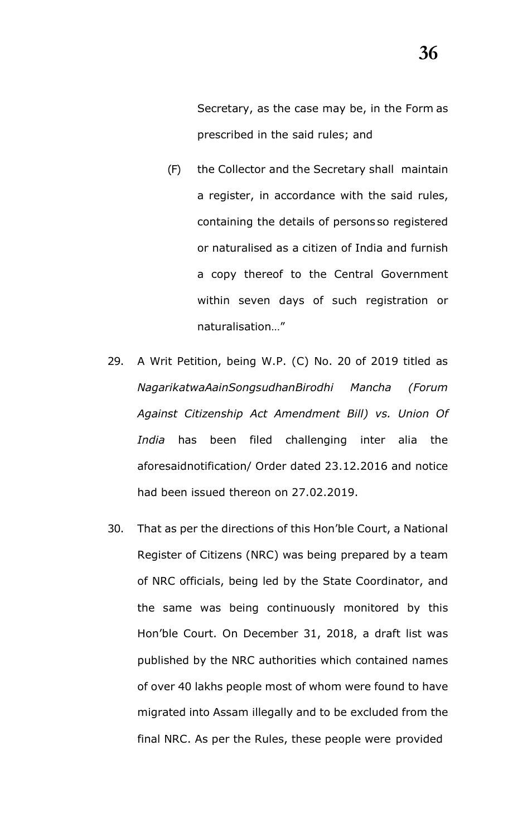Secretary, as the case may be, in the Form as prescribed in the said rules; and

- (F) the Collector and the Secretary shall maintain a register, in accordance with the said rules, containing the details of persons so registered or naturalised as a citizen of India and furnish a copy thereof to the Central Government within seven days of such registration or naturalisation…"
- 29. A Writ Petition, being W.P. (C) No. 20 of 2019 titled as *NagarikatwaAainSongsudhanBirodhi Mancha (Forum Against Citizenship Act Amendment Bill) vs. Union Of India* has been filed challenging inter alia the aforesaidnotification/ Order dated 23.12.2016 and notice had been issued thereon on 27.02.2019.
- 30. That as per the directions of this Hon'ble Court, a National Register of Citizens (NRC) was being prepared by a team of NRC officials, being led by the State Coordinator, and the same was being continuously monitored by this Hon'ble Court. On December 31, 2018, a draft list was published by the NRC authorities which contained names of over 40 lakhs people most of whom were found to have migrated into Assam illegally and to be excluded from the final NRC. As per the Rules, these people were provided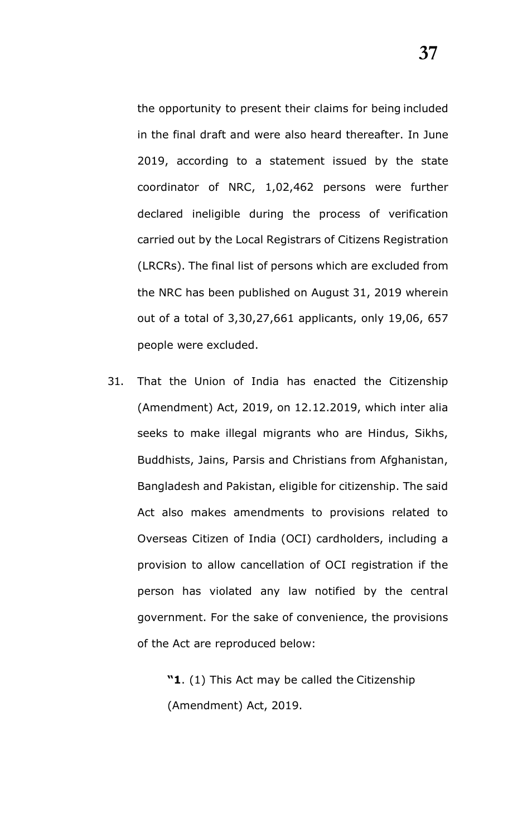the opportunity to present their claims for being included in the final draft and were also heard thereafter. In June 2019, according to a statement issued by the state coordinator of NRC, 1,02,462 persons were further declared ineligible during the process of verification carried out by the Local Registrars of Citizens Registration (LRCRs). The final list of persons which are excluded from the NRC has been published on August 31, 2019 wherein out of a total of 3,30,27,661 applicants, only 19,06, 657 people were excluded.

31. That the Union of India has enacted the Citizenship (Amendment) Act, 2019, on 12.12.2019, which inter alia seeks to make illegal migrants who are Hindus, Sikhs, Buddhists, Jains, Parsis and Christians from Afghanistan, Bangladesh and Pakistan, eligible for citizenship. The said Act also makes amendments to provisions related to Overseas Citizen of India (OCI) cardholders, including a provision to allow cancellation of OCI registration if the person has violated any law notified by the central government. For the sake of convenience, the provisions of the Act are reproduced below:

> **"1**. (1) This Act may be called the Citizenship (Amendment) Act, 2019.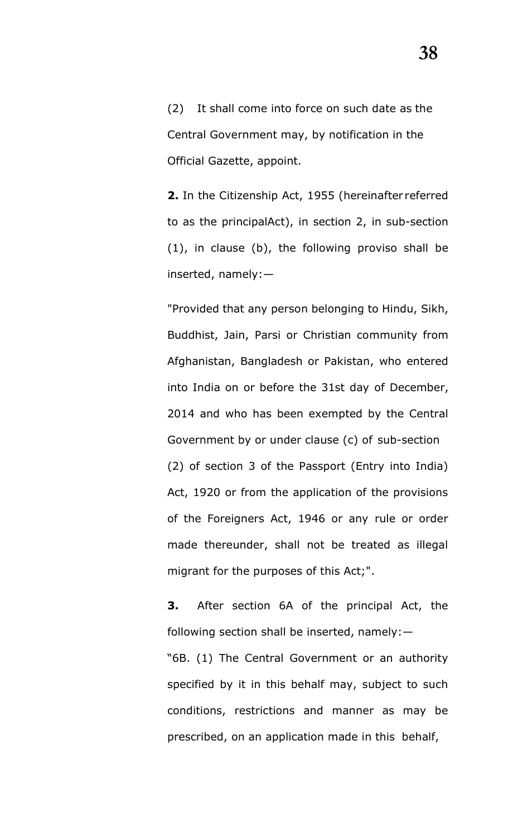(2) It shall come into force on such date as the Central Government may, by notification in the Official Gazette, appoint.

**2.** In the Citizenship Act, 1955 (hereinafter referred to as the principalAct), in section 2, in sub-section (1), in clause (b), the following proviso shall be inserted, namely:—

"Provided that any person belonging to Hindu, Sikh, Buddhist, Jain, Parsi or Christian community from Afghanistan, Bangladesh or Pakistan, who entered into India on or before the 31st day of December, 2014 and who has been exempted by the Central Government by or under clause (c) of sub-section (2) of section 3 of the Passport (Entry into India) Act, 1920 or from the application of the provisions of the Foreigners Act, 1946 or any rule or order made thereunder, shall not be treated as illegal migrant for the purposes of this Act;".

**3.** After section 6A of the principal Act, the following section shall be inserted, namely:— "6B. (1) The Central Government or an authority specified by it in this behalf may, subject to such conditions, restrictions and manner as may be prescribed, on an application made in this behalf,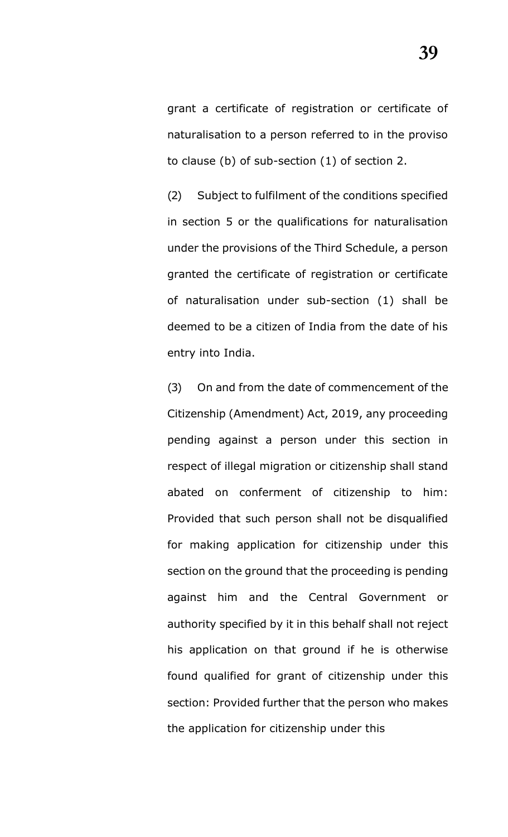grant a certificate of registration or certificate of naturalisation to a person referred to in the proviso to clause (b) of sub-section (1) of section 2.

(2) Subject to fulfilment of the conditions specified in section 5 or the qualifications for naturalisation under the provisions of the Third Schedule, a person granted the certificate of registration or certificate of naturalisation under sub-section (1) shall be deemed to be a citizen of India from the date of his entry into India.

(3) On and from the date of commencement of the Citizenship (Amendment) Act, 2019, any proceeding pending against a person under this section in respect of illegal migration or citizenship shall stand abated on conferment of citizenship to him: Provided that such person shall not be disqualified for making application for citizenship under this section on the ground that the proceeding is pending against him and the Central Government or authority specified by it in this behalf shall not reject his application on that ground if he is otherwise found qualified for grant of citizenship under this section: Provided further that the person who makes the application for citizenship under this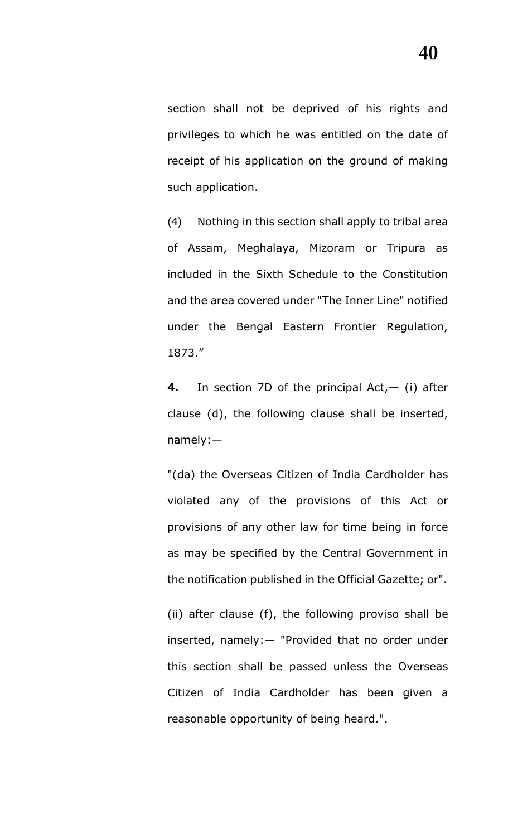section shall not be deprived of his rights and privileges to which he was entitled on the date of receipt of his application on the ground of making such application.

(4) Nothing in this section shall apply to tribal area of Assam, Meghalaya, Mizoram or Tripura as included in the Sixth Schedule to the Constitution and the area covered under "The Inner Line" notified under the Bengal Eastern Frontier Regulation, 1873."

**4.** In section 7D of the principal Act,— (i) after clause (d), the following clause shall be inserted, namely:—

"(da) the Overseas Citizen of India Cardholder has violated any of the provisions of this Act or provisions of any other law for time being in force as may be specified by the Central Government in the notification published in the Official Gazette; or".

(ii) after clause (f), the following proviso shall be inserted, namely:— "Provided that no order under this section shall be passed unless the Overseas Citizen of India Cardholder has been given a reasonable opportunity of being heard.".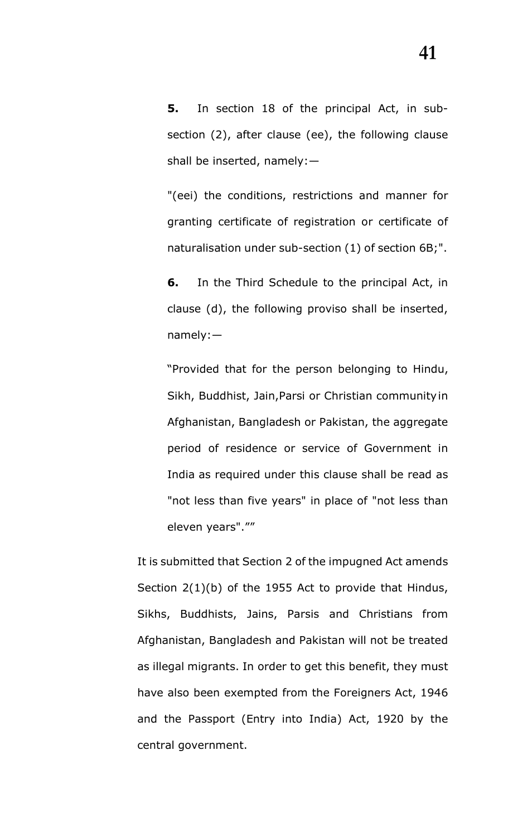**5.** In section 18 of the principal Act, in subsection (2), after clause (ee), the following clause shall be inserted, namely:—

"(eei) the conditions, restrictions and manner for granting certificate of registration or certificate of naturalisation under sub-section (1) of section 6B;".

**6.** In the Third Schedule to the principal Act, in clause (d), the following proviso shall be inserted, namely:—

"Provided that for the person belonging to Hindu, Sikh, Buddhist, Jain,Parsi or Christian communityin Afghanistan, Bangladesh or Pakistan, the aggregate period of residence or service of Government in India as required under this clause shall be read as "not less than five years" in place of "not less than eleven years".""

It is submitted that Section 2 of the impugned Act amends Section 2(1)(b) of the 1955 Act to provide that Hindus, Sikhs, Buddhists, Jains, Parsis and Christians from Afghanistan, Bangladesh and Pakistan will not be treated as illegal migrants. In order to get this benefit, they must have also been exempted from the Foreigners Act, 1946 and the Passport (Entry into India) Act, 1920 by the central government.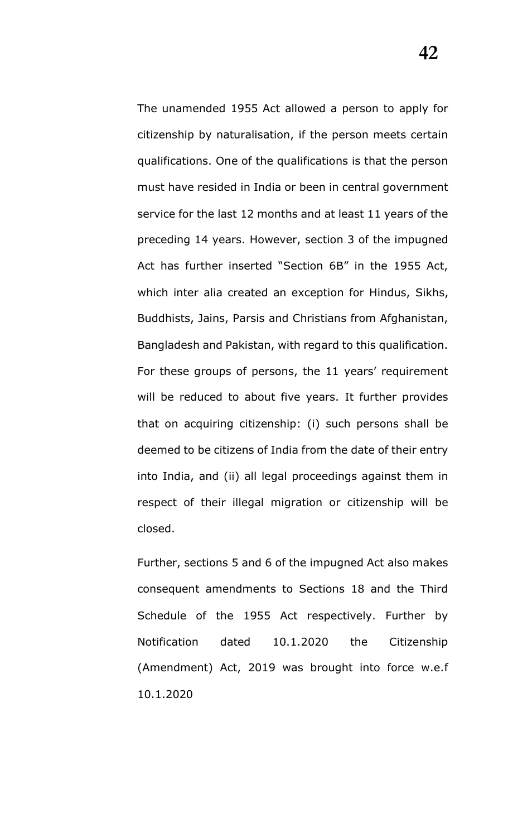The unamended 1955 Act allowed a person to apply for citizenship by naturalisation, if the person meets certain qualifications. One of the qualifications is that the person must have resided in India or been in central government service for the last 12 months and at least 11 years of the preceding 14 years. However, section 3 of the impugned Act has further inserted "Section 6B" in the 1955 Act, which inter alia created an exception for Hindus, Sikhs, Buddhists, Jains, Parsis and Christians from Afghanistan, Bangladesh and Pakistan, with regard to this qualification. For these groups of persons, the 11 years' requirement will be reduced to about five years. It further provides that on acquiring citizenship: (i) such persons shall be deemed to be citizens of India from the date of their entry into India, and (ii) all legal proceedings against them in respect of their illegal migration or citizenship will be closed.

Further, sections 5 and 6 of the impugned Act also makes consequent amendments to Sections 18 and the Third Schedule of the 1955 Act respectively. Further by Notification dated 10.1.2020 the Citizenship (Amendment) Act, 2019 was brought into force w.e.f 10.1.2020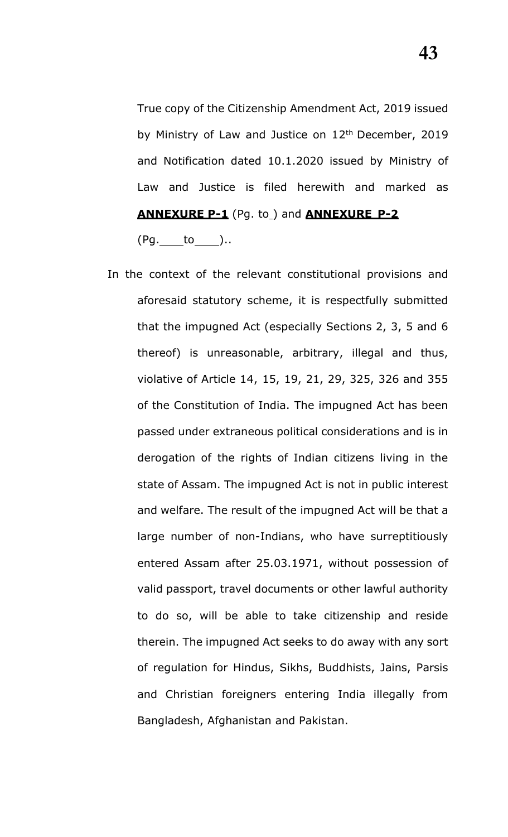True copy of the Citizenship Amendment Act, 2019 issued by Ministry of Law and Justice on 12<sup>th</sup> December, 2019 and Notification dated 10.1.2020 issued by Ministry of Law and Justice is filed herewith and marked as **ANNEXURE P-1** (Pg. to ) and **ANNEXURE P-2**

- $(Pg.$  to  $)$ ..
- In the context of the relevant constitutional provisions and aforesaid statutory scheme, it is respectfully submitted that the impugned Act (especially Sections 2, 3, 5 and 6 thereof) is unreasonable, arbitrary, illegal and thus, violative of Article 14, 15, 19, 21, 29, 325, 326 and 355 of the Constitution of India. The impugned Act has been passed under extraneous political considerations and is in derogation of the rights of Indian citizens living in the state of Assam. The impugned Act is not in public interest and welfare. The result of the impugned Act will be that a large number of non-Indians, who have surreptitiously entered Assam after 25.03.1971, without possession of valid passport, travel documents or other lawful authority to do so, will be able to take citizenship and reside therein. The impugned Act seeks to do away with any sort of regulation for Hindus, Sikhs, Buddhists, Jains, Parsis and Christian foreigners entering India illegally from Bangladesh, Afghanistan and Pakistan.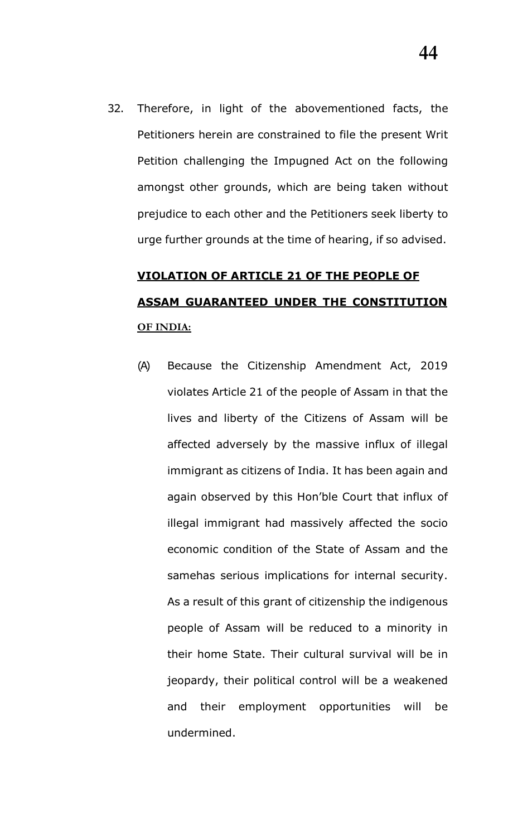32. Therefore, in light of the abovementioned facts, the Petitioners herein are constrained to file the present Writ Petition challenging the Impugned Act on the following amongst other grounds, which are being taken without prejudice to each other and the Petitioners seek liberty to urge further grounds at the time of hearing, if so advised.

# **VIOLATION OF ARTICLE 21 OF THE PEOPLE OF ASSAM GUARANTEED UNDER THE CONSTITUTION OF INDIA:**

(A) Because the Citizenship Amendment Act, 2019 violates Article 21 of the people of Assam in that the lives and liberty of the Citizens of Assam will be affected adversely by the massive influx of illegal immigrant as citizens of India. It has been again and again observed by this Hon'ble Court that influx of illegal immigrant had massively affected the socio economic condition of the State of Assam and the samehas serious implications for internal security. As a result of this grant of citizenship the indigenous people of Assam will be reduced to a minority in their home State. Their cultural survival will be in jeopardy, their political control will be a weakened and their employment opportunities will be undermined.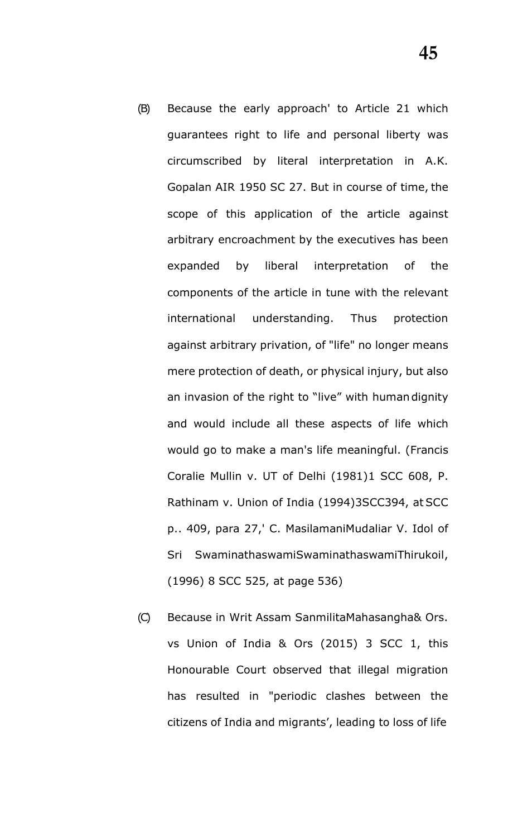- (B) Because the early approach' to Article 21 which guarantees right to life and personal liberty was circumscribed by literal interpretation in A.K. Gopalan AIR 1950 SC 27. But in course of time, the scope of this application of the article against arbitrary encroachment by the executives has been expanded by liberal interpretation of the components of the article in tune with the relevant international understanding. Thus protection against arbitrary privation, of "life" no longer means mere protection of death, or physical injury, but also an invasion of the right to "live" with humandignity and would include all these aspects of life which would go to make a man's life meaningful. (Francis Coralie Mullin v. UT of Delhi (1981)1 SCC 608, P. Rathinam v. Union of India (1994)3SCC394, at SCC p.. 409, para 27,' C. MasilamaniMudaliar V. Idol of Sri SwaminathaswamiSwaminathaswamiThirukoil, (1996) 8 SCC 525, at page 536)
- (C) Because in Writ Assam SanmilitaMahasangha& Ors. vs Union of India & Ors (2015) 3 SCC 1, this Honourable Court observed that illegal migration has resulted in "periodic clashes between the citizens of India and migrants', leading to loss of life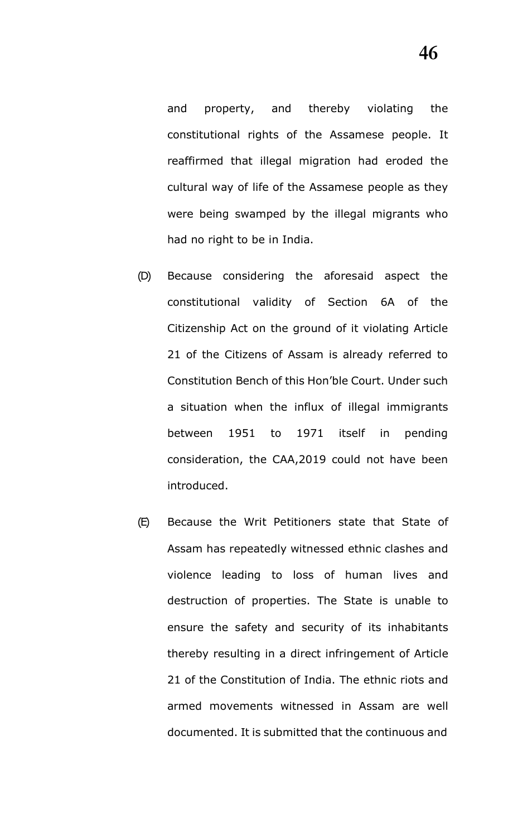and property, and thereby violating the constitutional rights of the Assamese people. It reaffirmed that illegal migration had eroded the cultural way of life of the Assamese people as they were being swamped by the illegal migrants who had no right to be in India.

- (D) Because considering the aforesaid aspect the constitutional validity of Section 6A of the Citizenship Act on the ground of it violating Article 21 of the Citizens of Assam is already referred to Constitution Bench of this Hon'ble Court. Under such a situation when the influx of illegal immigrants between 1951 to 1971 itself in pending consideration, the CAA,2019 could not have been introduced.
- (E) Because the Writ Petitioners state that State of Assam has repeatedly witnessed ethnic clashes and violence leading to loss of human lives and destruction of properties. The State is unable to ensure the safety and security of its inhabitants thereby resulting in a direct infringement of Article 21 of the Constitution of India. The ethnic riots and armed movements witnessed in Assam are well documented. It is submitted that the continuous and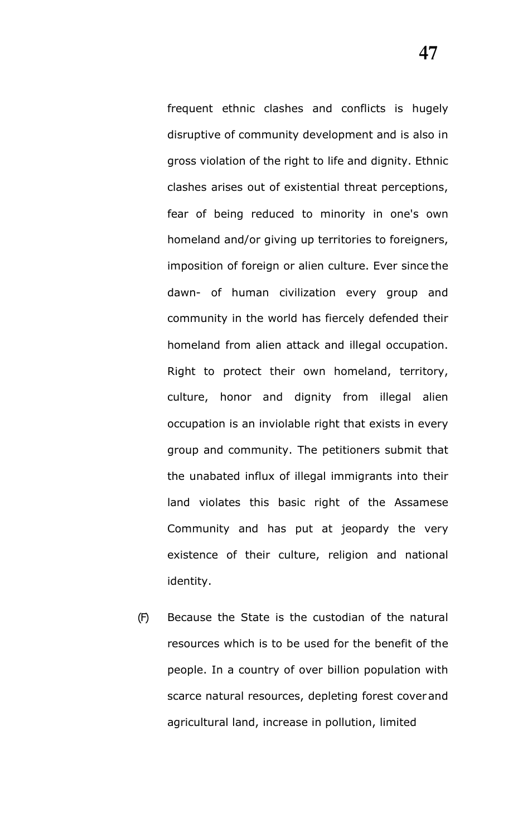frequent ethnic clashes and conflicts is hugely disruptive of community development and is also in gross violation of the right to life and dignity. Ethnic clashes arises out of existential threat perceptions, fear of being reduced to minority in one's own homeland and/or giving up territories to foreigners, imposition of foreign or alien culture. Ever since the dawn- of human civilization every group and community in the world has fiercely defended their homeland from alien attack and illegal occupation. Right to protect their own homeland, territory, culture, honor and dignity from illegal alien occupation is an inviolable right that exists in every group and community. The petitioners submit that the unabated influx of illegal immigrants into their land violates this basic right of the Assamese Community and has put at jeopardy the very existence of their culture, religion and national identity.

(F) Because the State is the custodian of the natural resources which is to be used for the benefit of the people. In a country of over billion population with scarce natural resources, depleting forest coverand agricultural land, increase in pollution, limited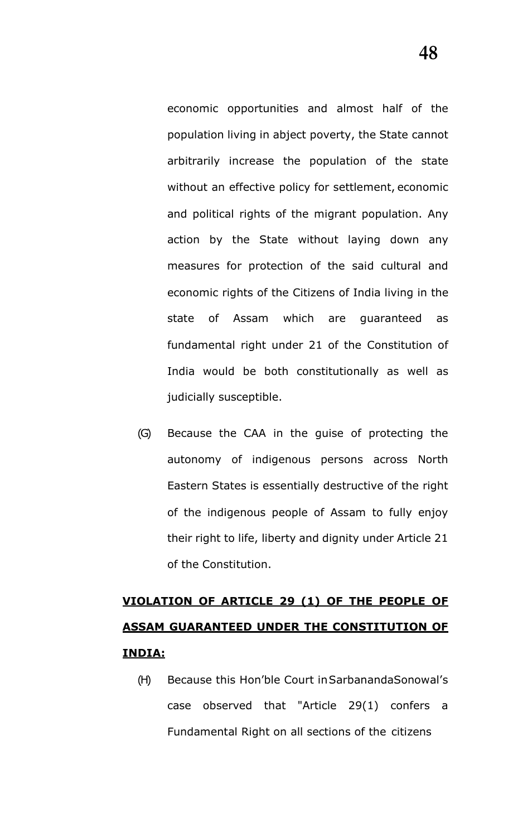economic opportunities and almost half of the population living in abject poverty, the State cannot arbitrarily increase the population of the state without an effective policy for settlement, economic and political rights of the migrant population. Any action by the State without laying down any measures for protection of the said cultural and economic rights of the Citizens of India living in the state of Assam which are guaranteed as fundamental right under 21 of the Constitution of India would be both constitutionally as well as judicially susceptible.

(G) Because the CAA in the guise of protecting the autonomy of indigenous persons across North Eastern States is essentially destructive of the right of the indigenous people of Assam to fully enjoy their right to life, liberty and dignity under Article 21 of the Constitution.

## **VIOLATION OF ARTICLE 29 (1) OF THE PEOPLE OF ASSAM GUARANTEED UNDER THE CONSTITUTION OF INDIA:**

(H) Because this Hon'ble Court inSarbanandaSonowal's case observed that "Article 29(1) confers a Fundamental Right on all sections of the citizens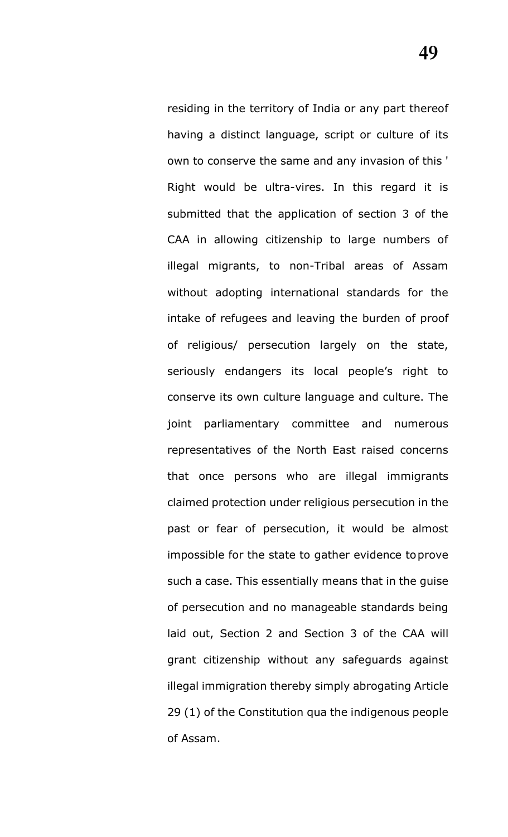residing in the territory of India or any part thereof having a distinct language, script or culture of its own to conserve the same and any invasion of this ' Right would be ultra-vires. In this regard it is submitted that the application of section 3 of the CAA in allowing citizenship to large numbers of illegal migrants, to non-Tribal areas of Assam without adopting international standards for the intake of refugees and leaving the burden of proof of religious/ persecution largely on the state, seriously endangers its local people's right to conserve its own culture language and culture. The joint parliamentary committee and numerous representatives of the North East raised concerns that once persons who are illegal immigrants claimed protection under religious persecution in the past or fear of persecution, it would be almost impossible for the state to gather evidence toprove such a case. This essentially means that in the guise of persecution and no manageable standards being laid out, Section 2 and Section 3 of the CAA will grant citizenship without any safeguards against illegal immigration thereby simply abrogating Article 29 (1) of the Constitution qua the indigenous people of Assam.

**49**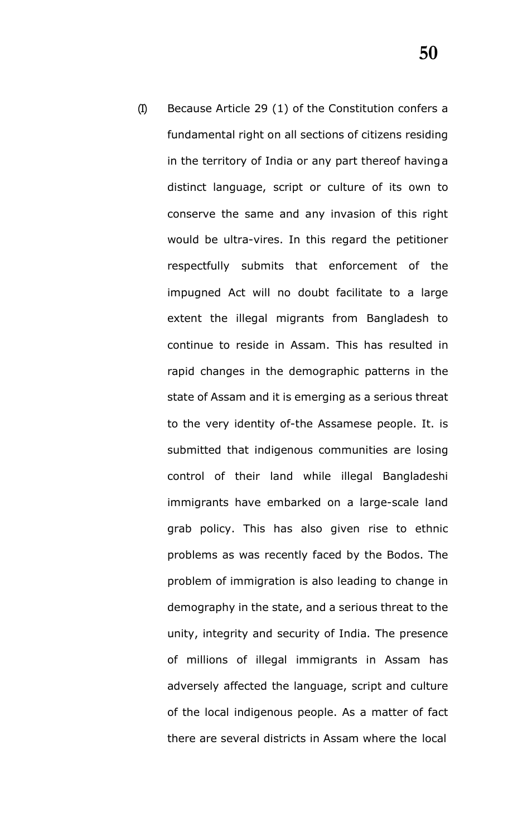(I) Because Article 29 (1) of the Constitution confers a fundamental right on all sections of citizens residing in the territory of India or any part thereof havinga distinct language, script or culture of its own to conserve the same and any invasion of this right would be ultra-vires. In this regard the petitioner respectfully submits that enforcement of the impugned Act will no doubt facilitate to a large extent the illegal migrants from Bangladesh to continue to reside in Assam. This has resulted in rapid changes in the demographic patterns in the state of Assam and it is emerging as a serious threat to the very identity of-the Assamese people. It. is submitted that indigenous communities are losing control of their land while illegal Bangladeshi immigrants have embarked on a large-scale land grab policy. This has also given rise to ethnic problems as was recently faced by the Bodos. The problem of immigration is also leading to change in demography in the state, and a serious threat to the unity, integrity and security of India. The presence of millions of illegal immigrants in Assam has adversely affected the language, script and culture of the local indigenous people. As a matter of fact there are several districts in Assam where the local

**50**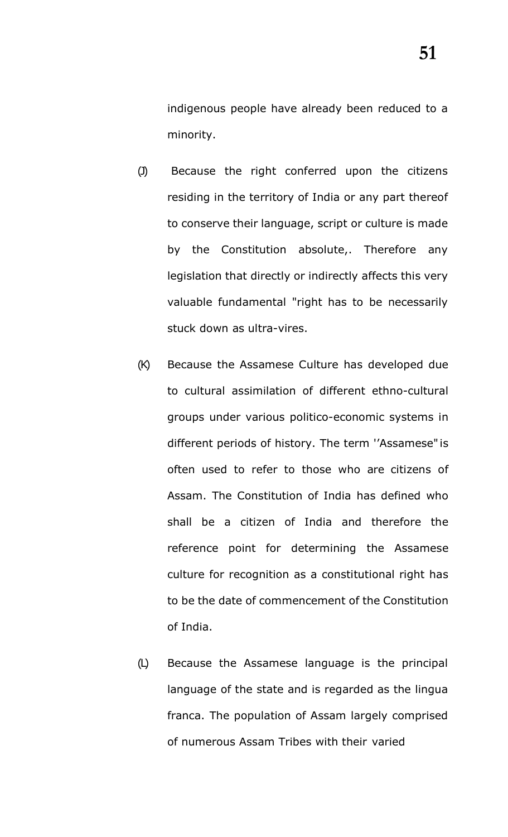indigenous people have already been reduced to a minority.

- (J) Because the right conferred upon the citizens residing in the territory of India or any part thereof to conserve their language, script or culture is made by the Constitution absolute,. Therefore any legislation that directly or indirectly affects this very valuable fundamental "right has to be necessarily stuck down as ultra-vires.
- (K) Because the Assamese Culture has developed due to cultural assimilation of different ethno-cultural groups under various politico-economic systems in different periods of history. The term ''Assamese" is often used to refer to those who are citizens of Assam. The Constitution of India has defined who shall be a citizen of India and therefore the reference point for determining the Assamese culture for recognition as a constitutional right has to be the date of commencement of the Constitution of India.
- (L) Because the Assamese language is the principal language of the state and is regarded as the lingua franca. The population of Assam largely comprised of numerous Assam Tribes with their varied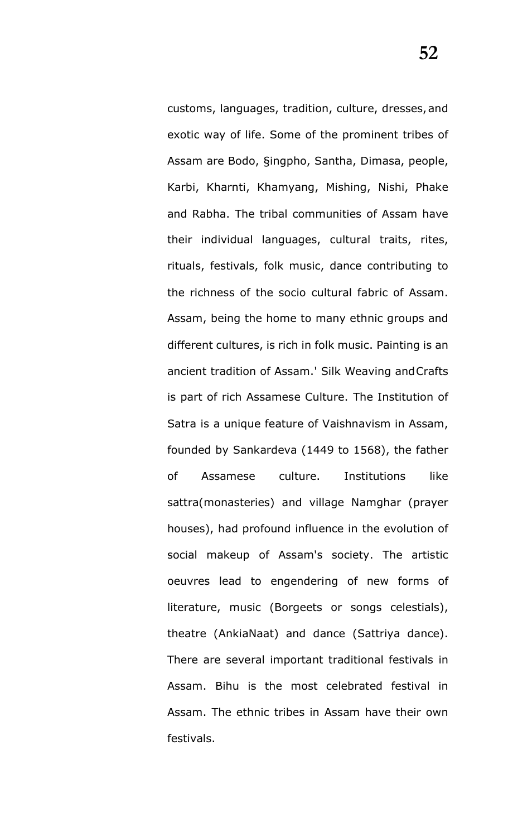customs, languages, tradition, culture, dresses,and exotic way of life. Some of the prominent tribes of Assam are Bodo, §ingpho, Santha, Dimasa, people, Karbi, Kharnti, Khamyang, Mishing, Nishi, Phake and Rabha. The tribal communities of Assam have their individual languages, cultural traits, rites, rituals, festivals, folk music, dance contributing to the richness of the socio cultural fabric of Assam. Assam, being the home to many ethnic groups and different cultures, is rich in folk music. Painting is an ancient tradition of Assam.' Silk Weaving andCrafts is part of rich Assamese Culture. The Institution of Satra is a unique feature of Vaishnavism in Assam, founded by Sankardeva (1449 to 1568), the father of Assamese culture. Institutions like sattra(monasteries) and village Namghar (prayer houses), had profound influence in the evolution of social makeup of Assam's society. The artistic oeuvres lead to engendering of new forms of literature, music (Borgeets or songs celestials), theatre (AnkiaNaat) and dance (Sattriya dance). There are several important traditional festivals in Assam. Bihu is the most celebrated festival in Assam. The ethnic tribes in Assam have their own festivals.

**52**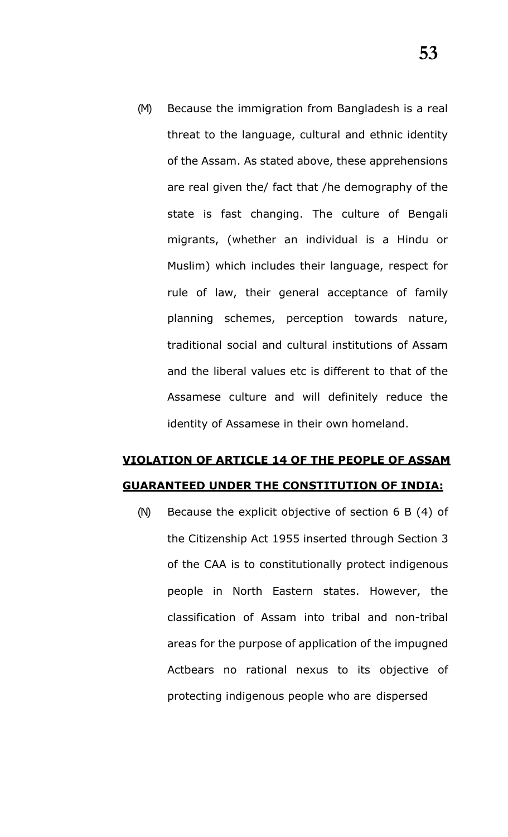(M) Because the immigration from Bangladesh is a real threat to the language, cultural and ethnic identity of the Assam. As stated above, these apprehensions are real given the/ fact that /he demography of the state is fast changing. The culture of Bengali migrants, (whether an individual is a Hindu or Muslim) which includes their language, respect for rule of law, their general acceptance of family planning schemes, perception towards nature, traditional social and cultural institutions of Assam and the liberal values etc is different to that of the Assamese culture and will definitely reduce the identity of Assamese in their own homeland.

#### **VIOLATION OF ARTICLE 14 OF THE PEOPLE OF ASSAM GUARANTEED UNDER THE CONSTITUTION OF INDIA:**

(N) Because the explicit objective of section  $6B(4)$  of the Citizenship Act 1955 inserted through Section 3 of the CAA is to constitutionally protect indigenous people in North Eastern states. However, the classification of Assam into tribal and non-tribal areas for the purpose of application of the impugned Actbears no rational nexus to its objective of protecting indigenous people who are dispersed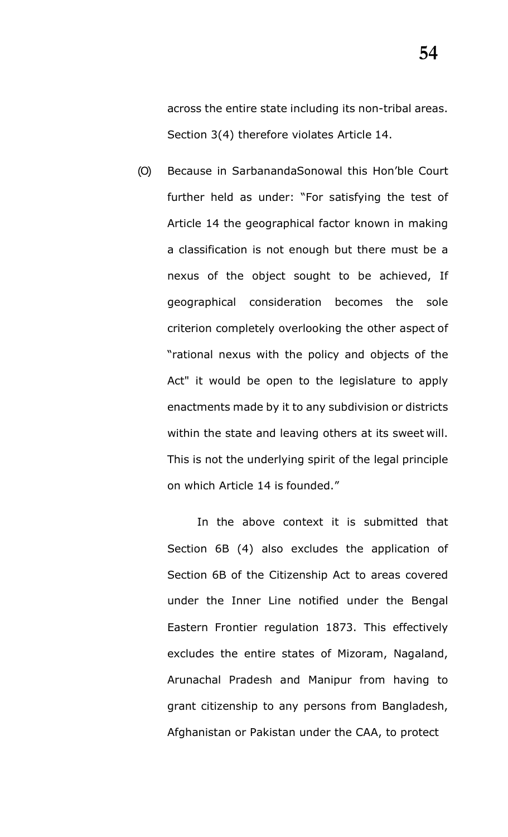across the entire state including its non-tribal areas. Section 3(4) therefore violates Article 14.

(O) Because in SarbanandaSonowal this Hon'ble Court further held as under: "For satisfying the test of Article 14 the geographical factor known in making a classification is not enough but there must be a nexus of the object sought to be achieved, If geographical consideration becomes the sole criterion completely overlooking the other aspect of "rational nexus with the policy and objects of the Act" it would be open to the legislature to apply enactments made by it to any subdivision or districts within the state and leaving others at its sweet will. This is not the underlying spirit of the legal principle on which Article 14 is founded."

In the above context it is submitted that Section 6B (4) also excludes the application of Section 6B of the Citizenship Act to areas covered under the Inner Line notified under the Bengal Eastern Frontier regulation 1873. This effectively excludes the entire states of Mizoram, Nagaland, Arunachal Pradesh and Manipur from having to grant citizenship to any persons from Bangladesh, Afghanistan or Pakistan under the CAA, to protect

**54**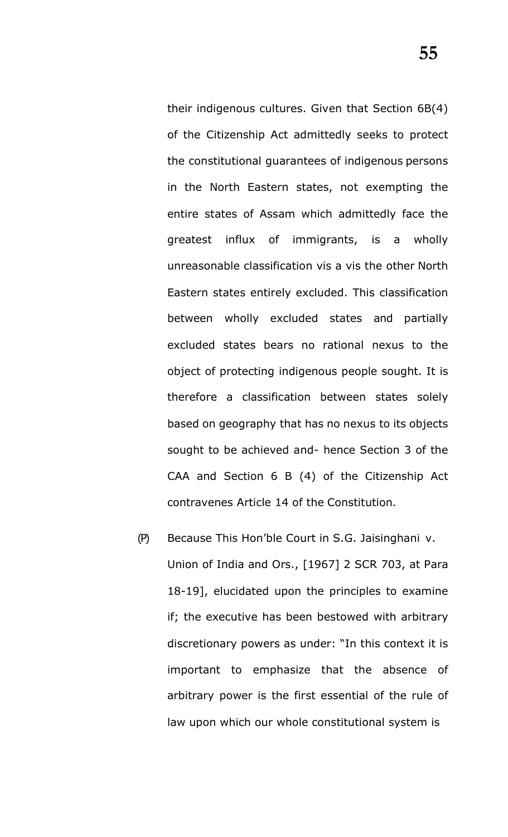their indigenous cultures. Given that Section 6B(4) of the Citizenship Act admittedly seeks to protect the constitutional guarantees of indigenous persons in the North Eastern states, not exempting the entire states of Assam which admittedly face the greatest influx of immigrants, is a wholly unreasonable classification vis a vis the other North Eastern states entirely excluded. This classification between wholly excluded states and partially excluded states bears no rational nexus to the object of protecting indigenous people sought. It is therefore a classification between states solely based on geography that has no nexus to its objects sought to be achieved and- hence Section 3 of the CAA and Section 6 B (4) of the Citizenship Act contravenes Article 14 of the Constitution.

(P) Because This Hon'ble Court in S.G. Jaisinghani v. Union of India and Ors., [1967] 2 SCR 703, at Para 18-19], elucidated upon the principles to examine if; the executive has been bestowed with arbitrary discretionary powers as under: "In this context it is important to emphasize that the absence of arbitrary power is the first essential of the rule of law upon which our whole constitutional system is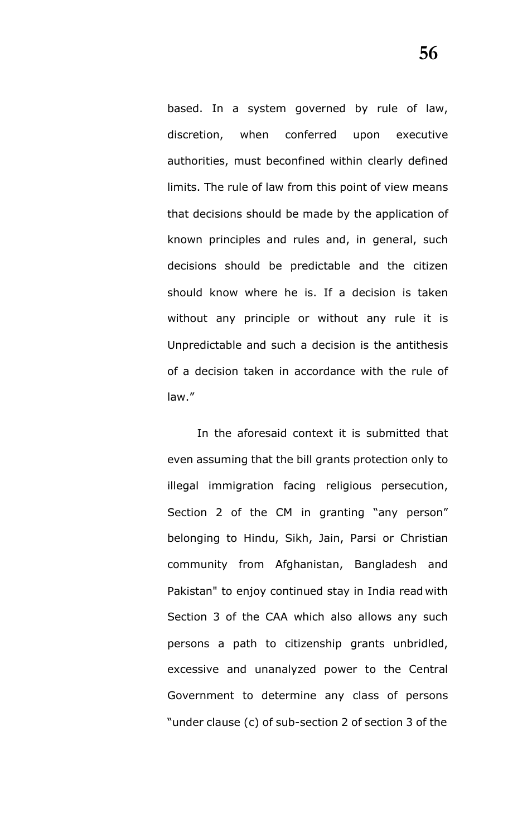based. In a system governed by rule of law, discretion, when conferred upon executive authorities, must beconfined within clearly defined limits. The rule of law from this point of view means that decisions should be made by the application of known principles and rules and, in general, such decisions should be predictable and the citizen should know where he is. If a decision is taken without any principle or without any rule it is Unpredictable and such a decision is the antithesis of a decision taken in accordance with the rule of law."

In the aforesaid context it is submitted that even assuming that the bill grants protection only to illegal immigration facing religious persecution, Section 2 of the CM in granting "any person" belonging to Hindu, Sikh, Jain, Parsi or Christian community from Afghanistan, Bangladesh and Pakistan" to enjoy continued stay in India read with Section 3 of the CAA which also allows any such persons a path to citizenship grants unbridled, excessive and unanalyzed power to the Central Government to determine any class of persons "under clause (c) of sub-section 2 of section 3 of the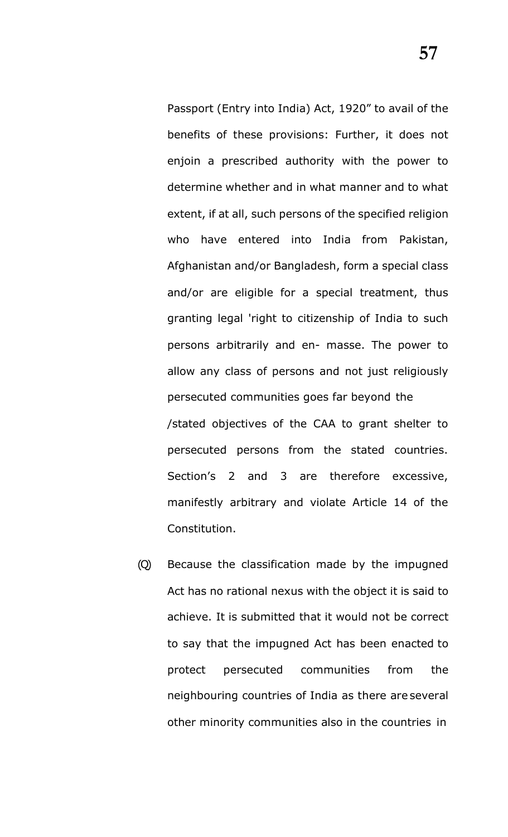Passport (Entry into India) Act, 1920" to avail of the benefits of these provisions: Further, it does not enjoin a prescribed authority with the power to determine whether and in what manner and to what extent, if at all, such persons of the specified religion who have entered into India from Pakistan, Afghanistan and/or Bangladesh, form a special class and/or are eligible for a special treatment, thus granting legal 'right to citizenship of India to such persons arbitrarily and en- masse. The power to allow any class of persons and not just religiously persecuted communities goes far beyond the /stated objectives of the CAA to grant shelter to persecuted persons from the stated countries. Section's 2 and 3 are therefore excessive, manifestly arbitrary and violate Article 14 of the Constitution.

(Q) Because the classification made by the impugned Act has no rational nexus with the object it is said to achieve. It is submitted that it would not be correct to say that the impugned Act has been enacted to protect persecuted communities from the neighbouring countries of India as there are several other minority communities also in the countries in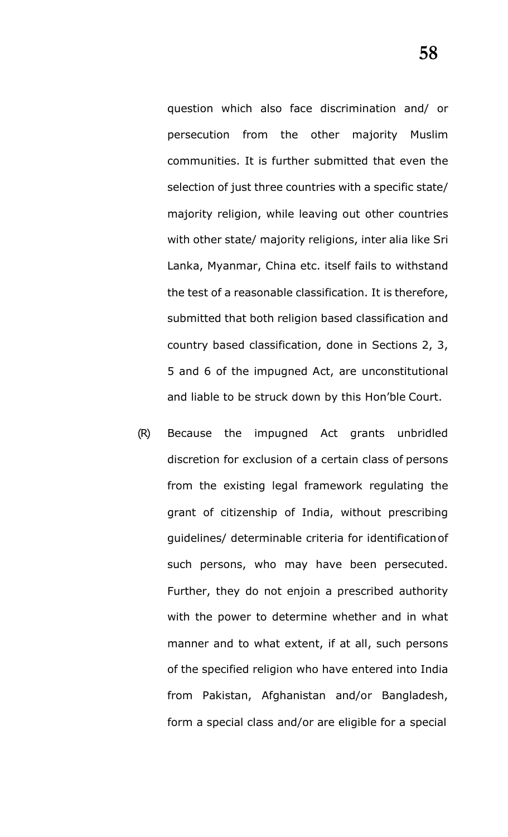question which also face discrimination and/ or persecution from the other majority Muslim communities. It is further submitted that even the selection of just three countries with a specific state/ majority religion, while leaving out other countries with other state/ majority religions, inter alia like Sri Lanka, Myanmar, China etc. itself fails to withstand the test of a reasonable classification. It is therefore, submitted that both religion based classification and country based classification, done in Sections 2, 3, 5 and 6 of the impugned Act, are unconstitutional and liable to be struck down by this Hon'ble Court.

(R) Because the impugned Act grants unbridled discretion for exclusion of a certain class of persons from the existing legal framework regulating the grant of citizenship of India, without prescribing guidelines/ determinable criteria for identificationof such persons, who may have been persecuted. Further, they do not enjoin a prescribed authority with the power to determine whether and in what manner and to what extent, if at all, such persons of the specified religion who have entered into India from Pakistan, Afghanistan and/or Bangladesh, form a special class and/or are eligible for a special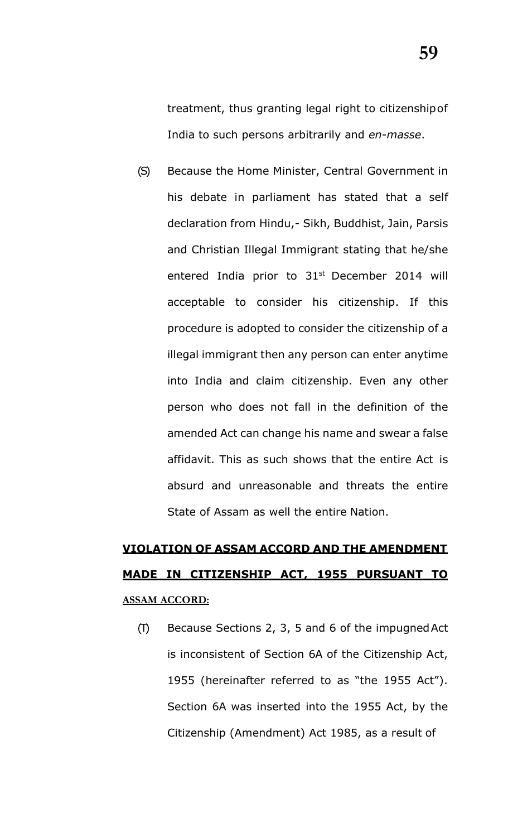treatment, thus granting legal right to citizenshipof India to such persons arbitrarily and *en-masse*.

(S) Because the Home Minister, Central Government in his debate in parliament has stated that a self declaration from Hindu,- Sikh, Buddhist, Jain, Parsis and Christian Illegal Immigrant stating that he/she entered India prior to  $31<sup>st</sup>$  December 2014 will acceptable to consider his citizenship. If this procedure is adopted to consider the citizenship of a illegal immigrant then any person can enter anytime into India and claim citizenship. Even any other person who does not fall in the definition of the amended Act can change his name and swear a false affidavit. This as such shows that the entire Act is absurd and unreasonable and threats the entire State of Assam as well the entire Nation.

## **VIOLATION OF ASSAM ACCORD AND THE AMENDMENT MADE IN CITIZENSHIP ACT, 1955 PURSUANT TO ASSAM ACCORD:**

(T) Because Sections 2, 3, 5 and 6 of the impugnedAct is inconsistent of Section 6A of the Citizenship Act, 1955 (hereinafter referred to as "the 1955 Act"). Section 6A was inserted into the 1955 Act, by the Citizenship (Amendment) Act 1985, as a result of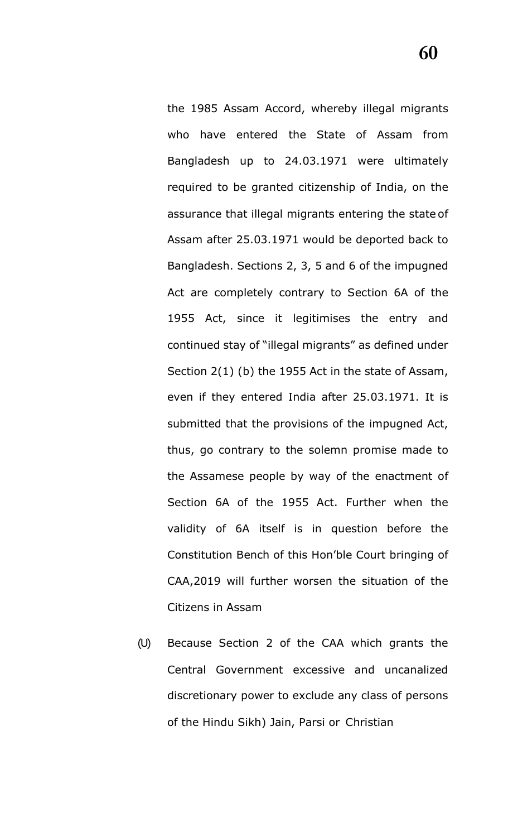the 1985 Assam Accord, whereby illegal migrants who have entered the State of Assam from Bangladesh up to 24.03.1971 were ultimately required to be granted citizenship of India, on the assurance that illegal migrants entering the state of Assam after 25.03.1971 would be deported back to Bangladesh. Sections 2, 3, 5 and 6 of the impugned Act are completely contrary to Section 6A of the 1955 Act, since it legitimises the entry and continued stay of "illegal migrants" as defined under Section 2(1) (b) the 1955 Act in the state of Assam, even if they entered India after 25.03.1971. It is submitted that the provisions of the impugned Act, thus, go contrary to the solemn promise made to the Assamese people by way of the enactment of Section 6A of the 1955 Act. Further when the validity of 6A itself is in question before the Constitution Bench of this Hon'ble Court bringing of CAA,2019 will further worsen the situation of the Citizens in Assam

(U) Because Section 2 of the CAA which grants the Central Government excessive and uncanalized discretionary power to exclude any class of persons of the Hindu Sikh) Jain, Parsi or Christian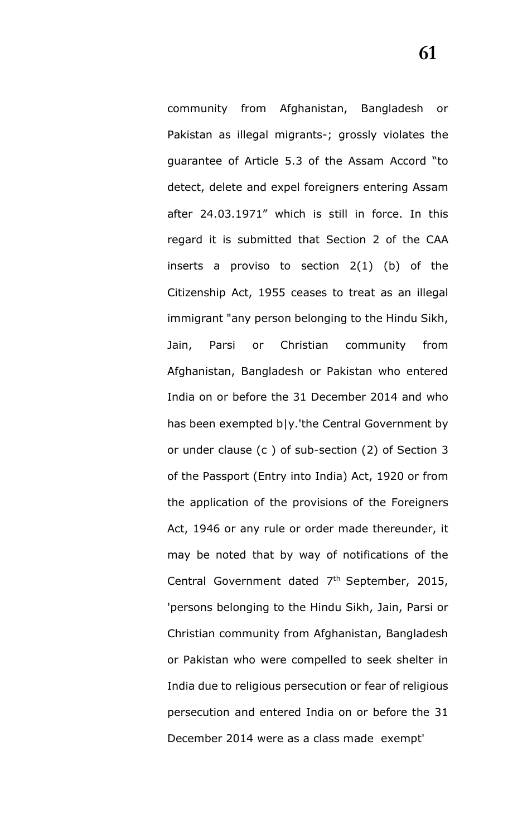community from Afghanistan, Bangladesh or Pakistan as illegal migrants-; grossly violates the guarantee of Article 5.3 of the Assam Accord "to detect, delete and expel foreigners entering Assam after 24.03.1971" which is still in force. In this regard it is submitted that Section 2 of the CAA inserts a proviso to section 2(1) (b) of the Citizenship Act, 1955 ceases to treat as an illegal immigrant "any person belonging to the Hindu Sikh, Jain, Parsi or Christian community from Afghanistan, Bangladesh or Pakistan who entered India on or before the 31 December 2014 and who has been exempted b|y.'the Central Government by or under clause (c ) of sub-section (2) of Section 3 of the Passport (Entry into India) Act, 1920 or from the application of the provisions of the Foreigners Act, 1946 or any rule or order made thereunder, it may be noted that by way of notifications of the Central Government dated 7th September, 2015, 'persons belonging to the Hindu Sikh, Jain, Parsi or Christian community from Afghanistan, Bangladesh or Pakistan who were compelled to seek shelter in India due to religious persecution or fear of religious persecution and entered India on or before the 31 December 2014 were as a class made exempt'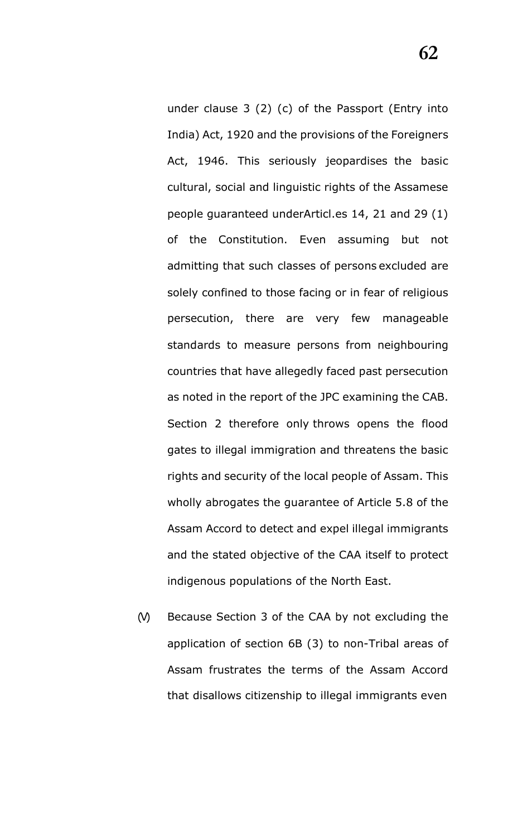under clause 3 (2) (c) of the Passport (Entry into India) Act, 1920 and the provisions of the Foreigners Act, 1946. This seriously jeopardises the basic cultural, social and linguistic rights of the Assamese people guaranteed underArticl.es 14, 21 and 29 (1) of the Constitution. Even assuming but not admitting that such classes of persons excluded are solely confined to those facing or in fear of religious persecution, there are very few manageable standards to measure persons from neighbouring countries that have allegedly faced past persecution as noted in the report of the JPC examining the CAB. Section 2 therefore only throws opens the flood gates to illegal immigration and threatens the basic rights and security of the local people of Assam. This wholly abrogates the guarantee of Article 5.8 of the Assam Accord to detect and expel illegal immigrants and the stated objective of the CAA itself to protect indigenous populations of the North East.

(V) Because Section 3 of the CAA by not excluding the application of section 6B (3) to non-Tribal areas of Assam frustrates the terms of the Assam Accord that disallows citizenship to illegal immigrants even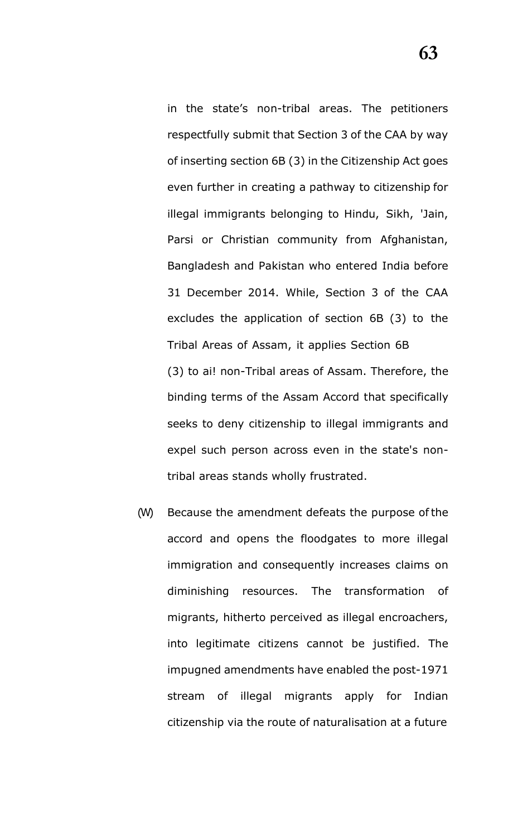in the state's non-tribal areas. The petitioners respectfully submit that Section 3 of the CAA by way of inserting section 6B (3) in the Citizenship Act goes even further in creating a pathway to citizenship for illegal immigrants belonging to Hindu, Sikh, 'Jain, Parsi or Christian community from Afghanistan, Bangladesh and Pakistan who entered India before 31 December 2014. While, Section 3 of the CAA excludes the application of section 6B (3) to the Tribal Areas of Assam, it applies Section 6B (3) to ai! non-Tribal areas of Assam. Therefore, the binding terms of the Assam Accord that specifically seeks to deny citizenship to illegal immigrants and expel such person across even in the state's nontribal areas stands wholly frustrated.

(W) Because the amendment defeats the purpose ofthe accord and opens the floodgates to more illegal immigration and consequently increases claims on diminishing resources. The transformation of migrants, hitherto perceived as illegal encroachers, into legitimate citizens cannot be justified. The impugned amendments have enabled the post-1971 stream of illegal migrants apply for Indian citizenship via the route of naturalisation at a future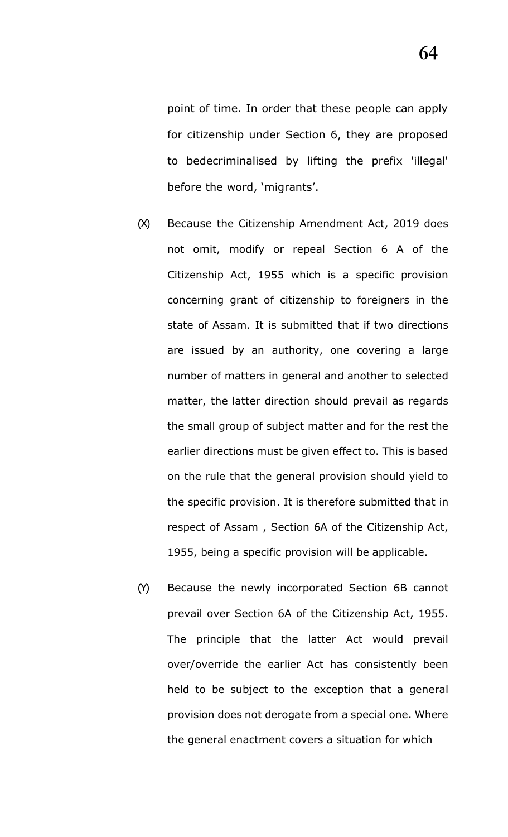point of time. In order that these people can apply for citizenship under Section 6, they are proposed to bedecriminalised by lifting the prefix 'illegal' before the word, 'migrants'.

- (X) Because the Citizenship Amendment Act, 2019 does not omit, modify or repeal Section 6 A of the Citizenship Act, 1955 which is a specific provision concerning grant of citizenship to foreigners in the state of Assam. It is submitted that if two directions are issued by an authority, one covering a large number of matters in general and another to selected matter, the latter direction should prevail as regards the small group of subject matter and for the rest the earlier directions must be given effect to. This is based on the rule that the general provision should yield to the specific provision. It is therefore submitted that in respect of Assam , Section 6A of the Citizenship Act, 1955, being a specific provision will be applicable.
- (Y) Because the newly incorporated Section 6B cannot prevail over Section 6A of the Citizenship Act, 1955. The principle that the latter Act would prevail over/override the earlier Act has consistently been held to be subject to the exception that a general provision does not derogate from a special one. Where the general enactment covers a situation for which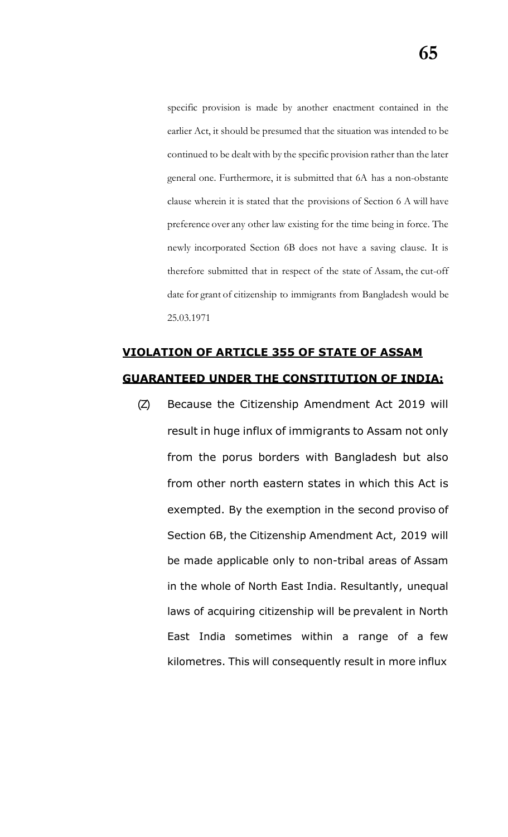specific provision is made by another enactment contained in the earlier Act, it should be presumed that the situation was intended to be continued to be dealt with by the specific provision rather than the later general one. Furthermore, it is submitted that 6A has a non-obstante clause wherein it is stated that the provisions of Section 6 A will have preference over any other law existing for the time being in force. The newly incorporated Section 6B does not have a saving clause. It is therefore submitted that in respect of the state of Assam, the cut-off date for grant of citizenship to immigrants from Bangladesh would be 25.03.1971

### **VIOLATION OF ARTICLE 355 OF STATE OF ASSAM GUARANTEED UNDER THE CONSTITUTION OF INDIA:**

(Z) Because the Citizenship Amendment Act 2019 will result in huge influx of immigrants to Assam not only from the porus borders with Bangladesh but also from other north eastern states in which this Act is exempted. By the exemption in the second proviso of Section 6B, the Citizenship Amendment Act, 2019 will be made applicable only to non-tribal areas of Assam in the whole of North East India. Resultantly, unequal laws of acquiring citizenship will be prevalent in North East India sometimes within a range of a few kilometres. This will consequently result in more influx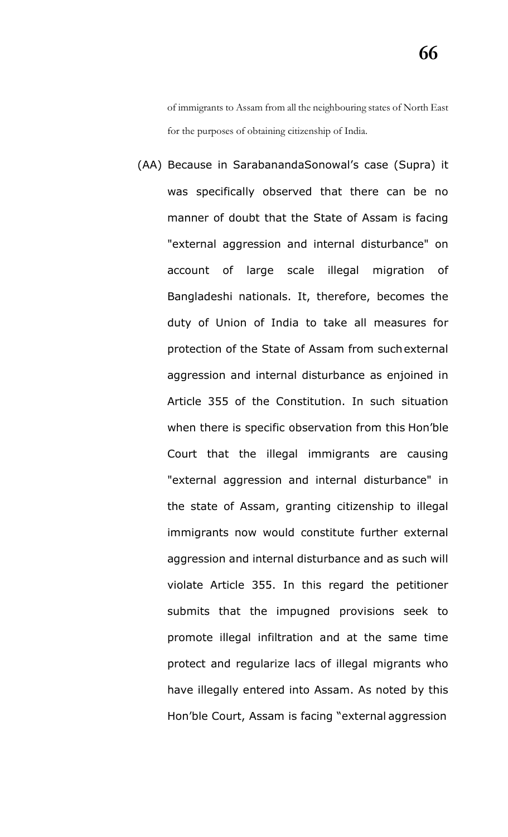of immigrants to Assam from all the neighbouring states of North East for the purposes of obtaining citizenship of India.

(AA) Because in SarabanandaSonowal's case (Supra) it was specifically observed that there can be no manner of doubt that the State of Assam is facing "external aggression and internal disturbance" on account of large scale illegal migration of Bangladeshi nationals. It, therefore, becomes the duty of Union of India to take all measures for protection of the State of Assam from suchexternal aggression and internal disturbance as enjoined in Article 355 of the Constitution. In such situation when there is specific observation from this Hon'ble Court that the illegal immigrants are causing "external aggression and internal disturbance" in the state of Assam, granting citizenship to illegal immigrants now would constitute further external aggression and internal disturbance and as such will violate Article 355. In this regard the petitioner submits that the impugned provisions seek to promote illegal infiltration and at the same time protect and regularize lacs of illegal migrants who have illegally entered into Assam. As noted by this Hon'ble Court, Assam is facing "external aggression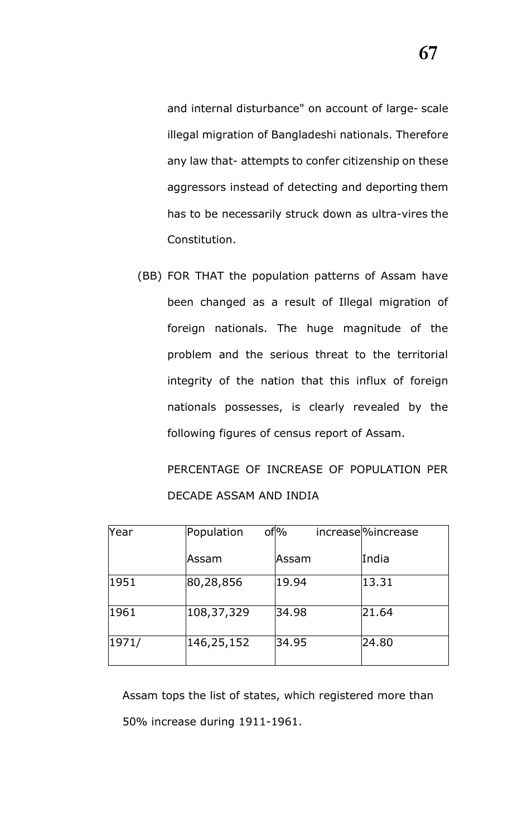and internal disturbance" on account of large- scale illegal migration of Bangladeshi nationals. Therefore any law that- attempts to confer citizenship on these aggressors instead of detecting and deporting them has to be necessarily struck down as ultra-vires the Constitution.

(BB) FOR THAT the population patterns of Assam have been changed as a result of Illegal migration of foreign nationals. The huge magnitude of the problem and the serious threat to the territorial integrity of the nation that this influx of foreign nationals possesses, is clearly revealed by the following figures of census report of Assam.

PERCENTAGE OF INCREASE OF POPULATION PER DECADE ASSAM AND INDIA

| Year  | Population   | $of \frac{9}{6}$ | increase %increase |
|-------|--------------|------------------|--------------------|
|       | Assam        | Assam            | India              |
| 1951  | 80,28,856    | 19.94            | 13.31              |
| 1961  | 108, 37, 329 | 34.98            | 21.64              |
| 1971/ | 146,25,152   | 34.95            | 24.80              |

Assam tops the list of states, which registered more than 50% increase during 1911-1961.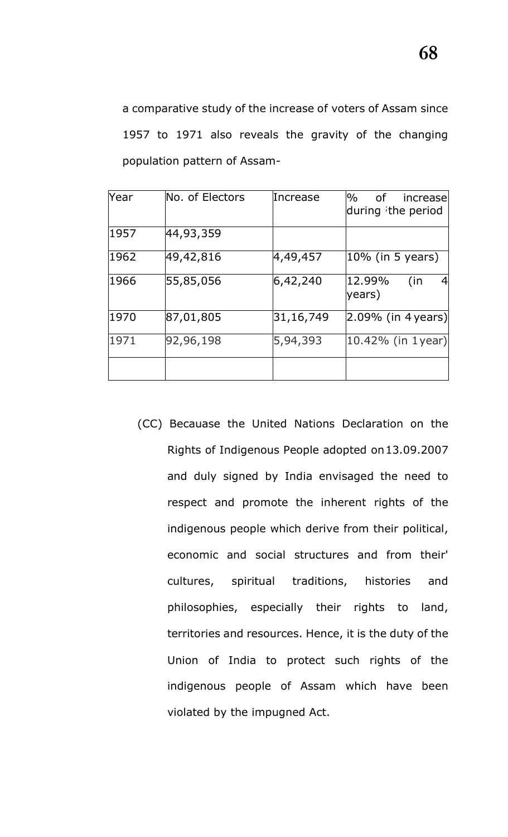a comparative study of the increase of voters of Assam since 1957 to 1971 also reveals the gravity of the changing population pattern of Assam-

| <b>Year</b> | No. of Electors | lIncrease   | $\%$<br>of<br>increase<br>during the period |
|-------------|-----------------|-------------|---------------------------------------------|
| 1957        | 44,93,359       |             |                                             |
| 1962        | 49,42,816       | 4,49,457    | $10\%$ (in 5 years)                         |
| 1966        | 55,85,056       | 6,42,240    | 12.99%<br>(in<br>$\overline{4}$<br>years)   |
| 1970        | 87,01,805       | 31, 16, 749 | $2.09\%$ (in 4 years)                       |
| 1971        | 92,96,198       | 5, 94, 393  | 10.42% (in $1$ year)                        |
|             |                 |             |                                             |

(CC) Becauase the United Nations Declaration on the Rights of Indigenous People adopted on13.09.2007 and duly signed by India envisaged the need to respect and promote the inherent rights of the indigenous people which derive from their political, economic and social structures and from their' cultures, spiritual traditions, histories and philosophies, especially their rights to land, territories and resources. Hence, it is the duty of the Union of India to protect such rights of the indigenous people of Assam which have been violated by the impugned Act.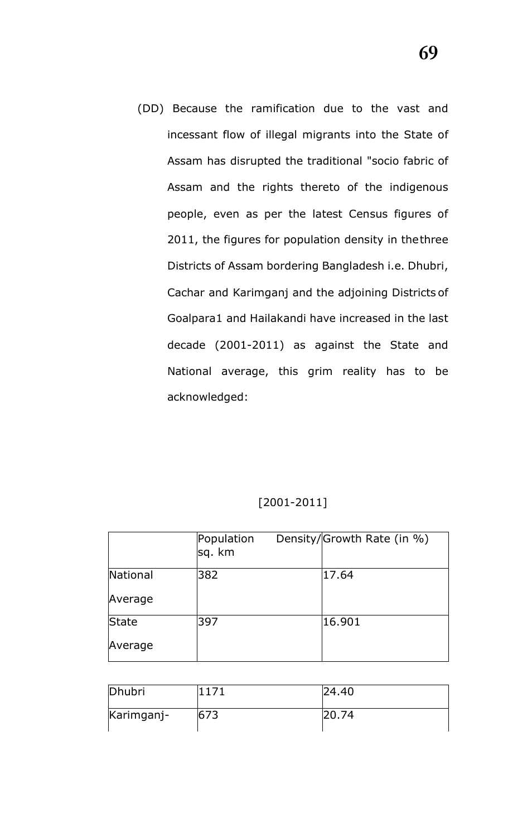(DD) Because the ramification due to the vast and incessant flow of illegal migrants into the State of Assam has disrupted the traditional "socio fabric of Assam and the rights thereto of the indigenous people, even as per the latest Census figures of 2011, the figures for population density in thethree Districts of Assam bordering Bangladesh i.e. Dhubri, Cachar and Karimganj and the adjoining Districts of Goalpara1 and Hailakandi have increased in the last decade (2001-2011) as against the State and National average, this grim reality has to be acknowledged:

[2001-2011]

|                     | Population<br>sq. km | Density/Growth Rate (in %) |
|---------------------|----------------------|----------------------------|
| National<br>Average | 382                  | 17.64                      |
| State<br>Average    | 397                  | 16.901                     |

| Dhubri     | 1171 | 24.40 |
|------------|------|-------|
| Karimganj- |      | 20.74 |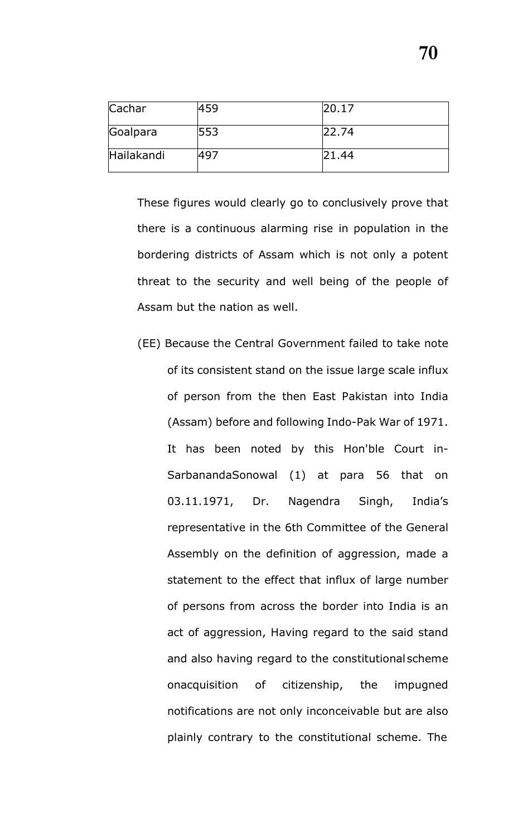| Cachar     | 459 | 20.17 |
|------------|-----|-------|
| Goalpara   | 553 | 22.74 |
| Hailakandi | 497 | 21.44 |

These figures would clearly go to conclusively prove that there is a continuous alarming rise in population in the bordering districts of Assam which is not only a potent threat to the security and well being of the people of Assam but the nation as well.

(EE) Because the Central Government failed to take note of its consistent stand on the issue large scale influx of person from the then East Pakistan into India (Assam) before and following Indo-Pak War of 1971. It has been noted by this Hon'ble Court in-SarbanandaSonowal (1) at para 56 that on 03.11.1971, Dr. Nagendra Singh, India's representative in the 6th Committee of the General Assembly on the definition of aggression, made a statement to the effect that influx of large number of persons from across the border into India is an act of aggression, Having regard to the said stand and also having regard to the constitutional scheme onacquisition of citizenship, the impugned notifications are not only inconceivable but are also plainly contrary to the constitutional scheme. The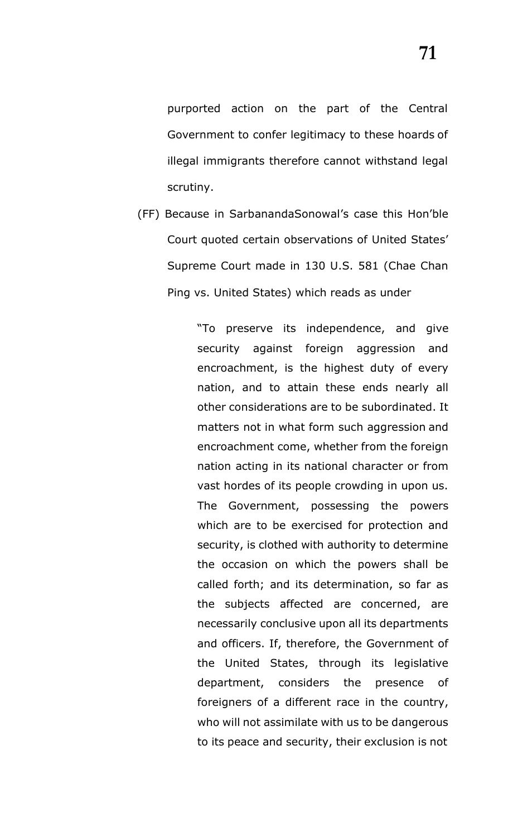purported action on the part of the Central Government to confer legitimacy to these hoards of illegal immigrants therefore cannot withstand legal scrutiny.

(FF) Because in SarbanandaSonowal's case this Hon'ble Court quoted certain observations of United States' Supreme Court made in 130 U.S. 581 (Chae Chan Ping vs. United States) which reads as under

> "To preserve its independence, and give security against foreign aggression and encroachment, is the highest duty of every nation, and to attain these ends nearly all other considerations are to be subordinated. It matters not in what form such aggression and encroachment come, whether from the foreign nation acting in its national character or from vast hordes of its people crowding in upon us. The Government, possessing the powers which are to be exercised for protection and security, is clothed with authority to determine the occasion on which the powers shall be called forth; and its determination, so far as the subjects affected are concerned, are necessarily conclusive upon all its departments and officers. If, therefore, the Government of the United States, through its legislative department, considers the presence of foreigners of a different race in the country, who will not assimilate with us to be dangerous to its peace and security, their exclusion is not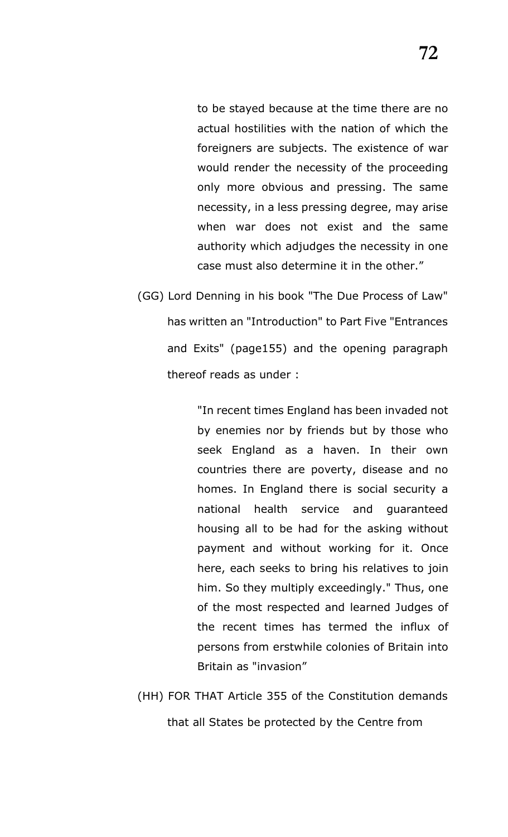to be stayed because at the time there are no actual hostilities with the nation of which the foreigners are subjects. The existence of war would render the necessity of the proceeding only more obvious and pressing. The same necessity, in a less pressing degree, may arise when war does not exist and the same authority which adjudges the necessity in one case must also determine it in the other."

(GG) Lord Denning in his book "The Due Process of Law" has written an "Introduction" to Part Five "Entrances and Exits" (page155) and the opening paragraph thereof reads as under :

> "In recent times England has been invaded not by enemies nor by friends but by those who seek England as a haven. In their own countries there are poverty, disease and no homes. In England there is social security a national health service and guaranteed housing all to be had for the asking without payment and without working for it. Once here, each seeks to bring his relatives to join him. So they multiply exceedingly." Thus, one of the most respected and learned Judges of the recent times has termed the influx of persons from erstwhile colonies of Britain into Britain as "invasion"

(HH) FOR THAT Article 355 of the Constitution demands that all States be protected by the Centre from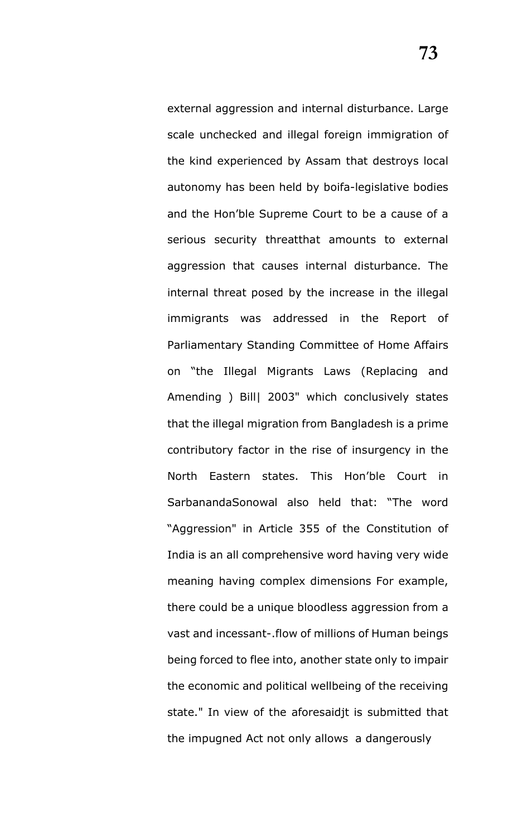external aggression and internal disturbance. Large scale unchecked and illegal foreign immigration of the kind experienced by Assam that destroys local autonomy has been held by boifa-legislative bodies and the Hon'ble Supreme Court to be a cause of a serious security threatthat amounts to external aggression that causes internal disturbance. The internal threat posed by the increase in the illegal immigrants was addressed in the Report of Parliamentary Standing Committee of Home Affairs on "the Illegal Migrants Laws (Replacing and Amending ) Bill| 2003" which conclusively states that the illegal migration from Bangladesh is a prime contributory factor in the rise of insurgency in the North Eastern states. This Hon'ble Court in SarbanandaSonowal also held that: "The word "Aggression" in Article 355 of the Constitution of India is an all comprehensive word having very wide meaning having complex dimensions For example, there could be a unique bloodless aggression from a vast and incessant-.flow of millions of Human beings being forced to flee into, another state only to impair the economic and political wellbeing of the receiving state." In view of the aforesaidjt is submitted that the impugned Act not only allows a dangerously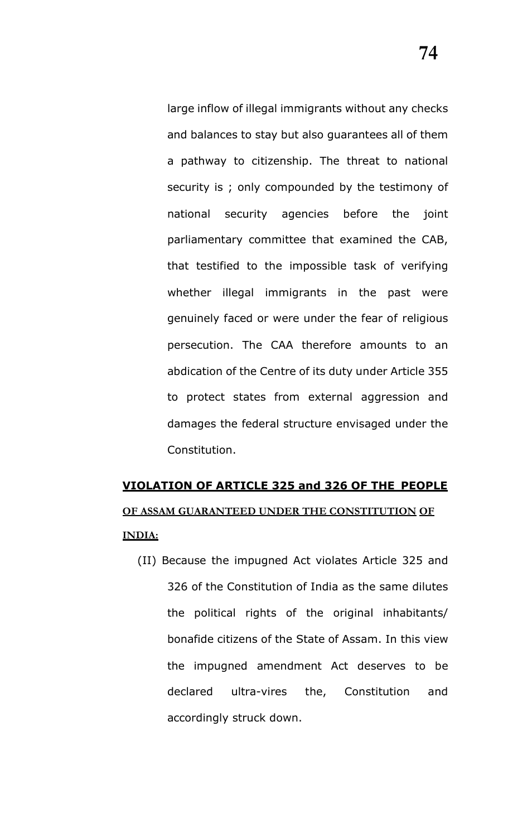large inflow of illegal immigrants without any checks and balances to stay but also guarantees all of them a pathway to citizenship. The threat to national security is ; only compounded by the testimony of national security agencies before the joint parliamentary committee that examined the CAB, that testified to the impossible task of verifying whether illegal immigrants in the past were genuinely faced or were under the fear of religious persecution. The CAA therefore amounts to an abdication of the Centre of its duty under Article 355 to protect states from external aggression and damages the federal structure envisaged under the Constitution.

# **VIOLATION OF ARTICLE 325 and 326 OF THE PEOPLE OF ASSAM GUARANTEED UNDER THE CONSTITUTION OF INDIA:**

(II) Because the impugned Act violates Article 325 and 326 of the Constitution of India as the same dilutes the political rights of the original inhabitants/ bonafide citizens of the State of Assam. In this view the impugned amendment Act deserves to be declared ultra-vires the, Constitution and accordingly struck down.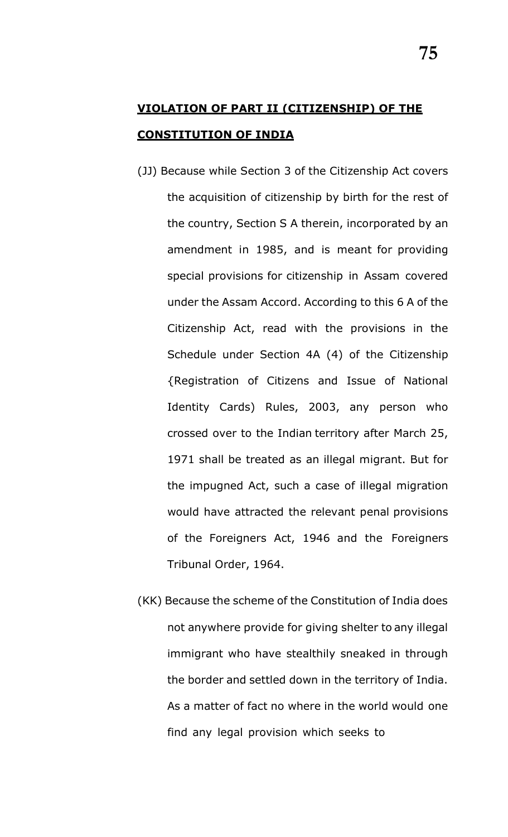## **VIOLATION OF PART II (CITIZENSHIP) OF THE CONSTITUTION OF INDIA**

- (JJ) Because while Section 3 of the Citizenship Act covers the acquisition of citizenship by birth for the rest of the country, Section S A therein, incorporated by an amendment in 1985, and is meant for providing special provisions for citizenship in Assam covered under the Assam Accord. According to this 6 A of the Citizenship Act, read with the provisions in the Schedule under Section 4A (4) of the Citizenship {Registration of Citizens and Issue of National Identity Cards) Rules, 2003, any person who crossed over to the Indian territory after March 25, 1971 shall be treated as an illegal migrant. But for the impugned Act, such a case of illegal migration would have attracted the relevant penal provisions of the Foreigners Act, 1946 and the Foreigners Tribunal Order, 1964.
- (KK) Because the scheme of the Constitution of India does not anywhere provide for giving shelter to any illegal immigrant who have stealthily sneaked in through the border and settled down in the territory of India. As a matter of fact no where in the world would one find any legal provision which seeks to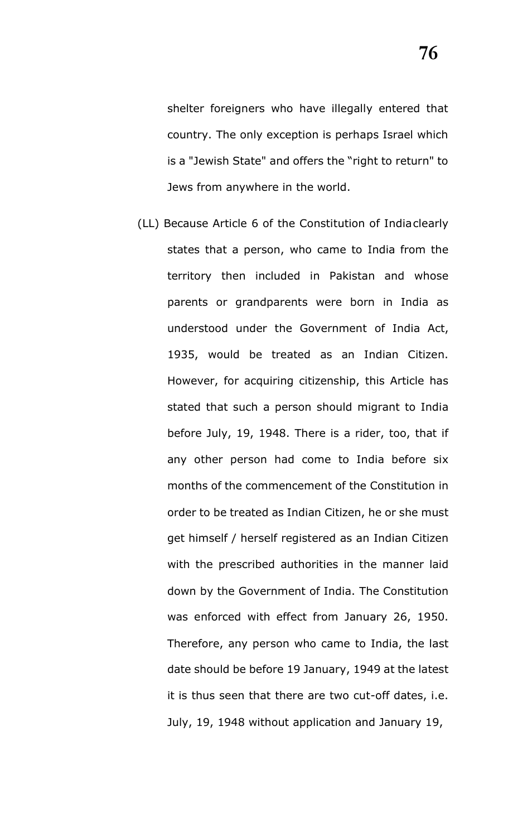shelter foreigners who have illegally entered that country. The only exception is perhaps Israel which is a "Jewish State" and offers the "right to return" to Jews from anywhere in the world.

(LL) Because Article 6 of the Constitution of Indiaclearly states that a person, who came to India from the territory then included in Pakistan and whose parents or grandparents were born in India as understood under the Government of India Act, 1935, would be treated as an Indian Citizen. However, for acquiring citizenship, this Article has stated that such a person should migrant to India before July, 19, 1948. There is a rider, too, that if any other person had come to India before six months of the commencement of the Constitution in order to be treated as Indian Citizen, he or she must get himself / herself registered as an Indian Citizen with the prescribed authorities in the manner laid down by the Government of India. The Constitution was enforced with effect from January 26, 1950. Therefore, any person who came to India, the last date should be before 19 January, 1949 at the latest it is thus seen that there are two cut-off dates, i.e. July, 19, 1948 without application and January 19,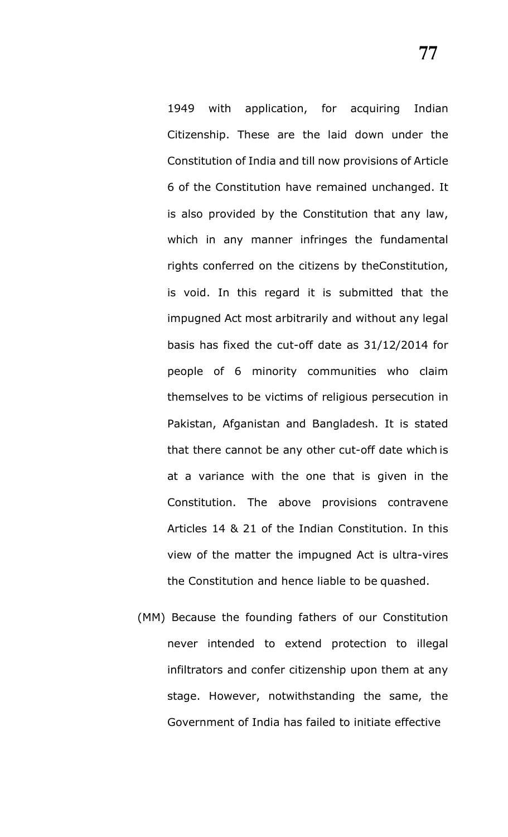1949 with application, for acquiring Indian Citizenship. These are the laid down under the Constitution of India and till now provisions of Article 6 of the Constitution have remained unchanged. It is also provided by the Constitution that any law, which in any manner infringes the fundamental rights conferred on the citizens by theConstitution, is void. In this regard it is submitted that the impugned Act most arbitrarily and without any legal basis has fixed the cut-off date as 31/12/2014 for people of 6 minority communities who claim themselves to be victims of religious persecution in Pakistan, Afganistan and Bangladesh. It is stated that there cannot be any other cut-off date which is at a variance with the one that is given in the Constitution. The above provisions contravene Articles 14 & 21 of the Indian Constitution. In this view of the matter the impugned Act is ultra-vires the Constitution and hence liable to be quashed.

(MM) Because the founding fathers of our Constitution never intended to extend protection to illegal infiltrators and confer citizenship upon them at any stage. However, notwithstanding the same, the Government of India has failed to initiate effective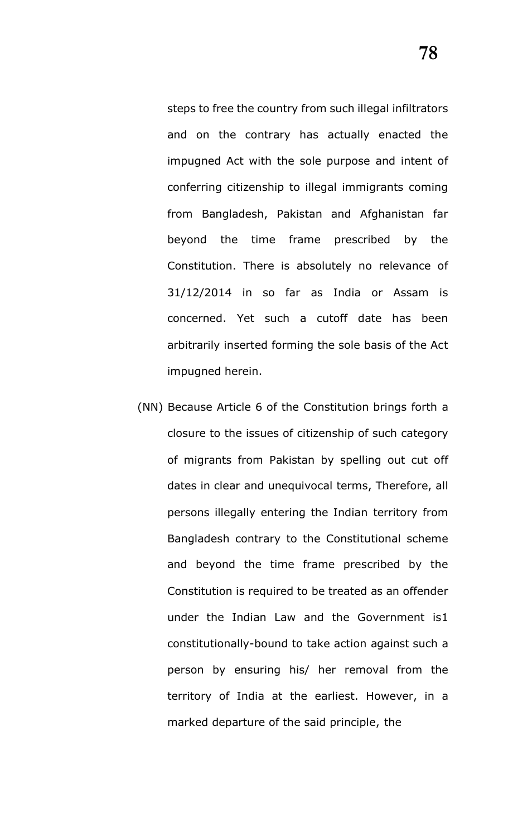steps to free the country from such illegal infiltrators and on the contrary has actually enacted the impugned Act with the sole purpose and intent of conferring citizenship to illegal immigrants coming from Bangladesh, Pakistan and Afghanistan far beyond the time frame prescribed by the Constitution. There is absolutely no relevance of 31/12/2014 in so far as India or Assam is concerned. Yet such a cutoff date has been arbitrarily inserted forming the sole basis of the Act impugned herein.

(NN) Because Article 6 of the Constitution brings forth a closure to the issues of citizenship of such category of migrants from Pakistan by spelling out cut off dates in clear and unequivocal terms, Therefore, all persons illegally entering the Indian territory from Bangladesh contrary to the Constitutional scheme and beyond the time frame prescribed by the Constitution is required to be treated as an offender under the Indian Law and the Government is1 constitutionally-bound to take action against such a person by ensuring his/ her removal from the territory of India at the earliest. However, in a marked departure of the said principle, the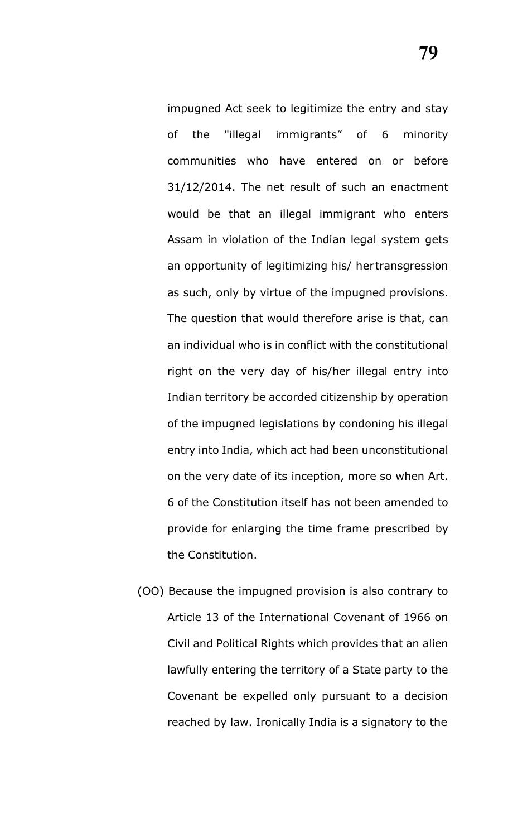impugned Act seek to legitimize the entry and stay of the "illegal immigrants" of 6 minority communities who have entered on or before 31/12/2014. The net result of such an enactment would be that an illegal immigrant who enters Assam in violation of the Indian legal system gets an opportunity of legitimizing his/ her transgression as such, only by virtue of the impugned provisions. The question that would therefore arise is that, can an individual who is in conflict with the constitutional right on the very day of his/her illegal entry into Indian territory be accorded citizenship by operation of the impugned legislations by condoning his illegal entry into India, which act had been unconstitutional on the very date of its inception, more so when Art. 6 of the Constitution itself has not been amended to provide for enlarging the time frame prescribed by the Constitution.

(OO) Because the impugned provision is also contrary to Article 13 of the International Covenant of 1966 on Civil and Political Rights which provides that an alien lawfully entering the territory of a State party to the Covenant be expelled only pursuant to a decision reached by law. Ironically India is a signatory to the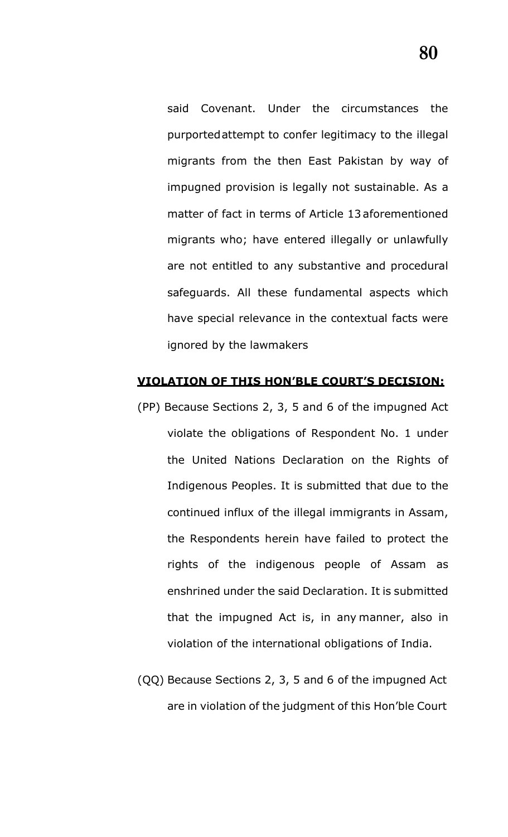said Covenant. Under the circumstances the purportedattempt to confer legitimacy to the illegal migrants from the then East Pakistan by way of impugned provision is legally not sustainable. As a matter of fact in terms of Article 13 aforementioned migrants who; have entered illegally or unlawfully are not entitled to any substantive and procedural safeguards. All these fundamental aspects which have special relevance in the contextual facts were ignored by the lawmakers

#### **VIOLATION OF THIS HON'BLE COURT'S DECISION:**

- (PP) Because Sections 2, 3, 5 and 6 of the impugned Act violate the obligations of Respondent No. 1 under the United Nations Declaration on the Rights of Indigenous Peoples. It is submitted that due to the continued influx of the illegal immigrants in Assam, the Respondents herein have failed to protect the rights of the indigenous people of Assam as enshrined under the said Declaration. It is submitted that the impugned Act is, in any manner, also in violation of the international obligations of India.
- (QQ) Because Sections 2, 3, 5 and 6 of the impugned Act are in violation of the judgment of this Hon'ble Court

**80**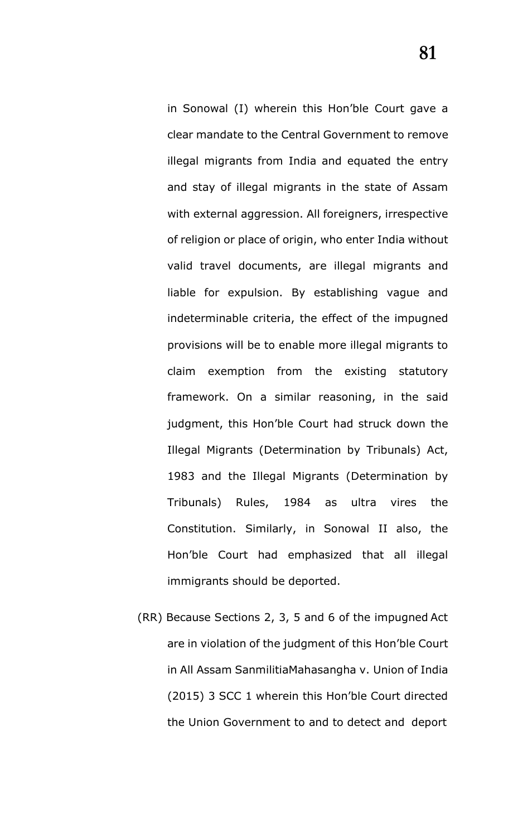in Sonowal (I) wherein this Hon'ble Court gave a clear mandate to the Central Government to remove illegal migrants from India and equated the entry and stay of illegal migrants in the state of Assam with external aggression. All foreigners, irrespective of religion or place of origin, who enter India without valid travel documents, are illegal migrants and liable for expulsion. By establishing vague and indeterminable criteria, the effect of the impugned provisions will be to enable more illegal migrants to claim exemption from the existing statutory framework. On a similar reasoning, in the said judgment, this Hon'ble Court had struck down the Illegal Migrants (Determination by Tribunals) Act, 1983 and the Illegal Migrants (Determination by Tribunals) Rules, 1984 as ultra vires the Constitution. Similarly, in Sonowal II also, the Hon'ble Court had emphasized that all illegal immigrants should be deported.

(RR) Because Sections 2, 3, 5 and 6 of the impugned Act are in violation of the judgment of this Hon'ble Court in All Assam SanmilitiaMahasangha v. Union of India (2015) 3 SCC 1 wherein this Hon'ble Court directed the Union Government to and to detect and deport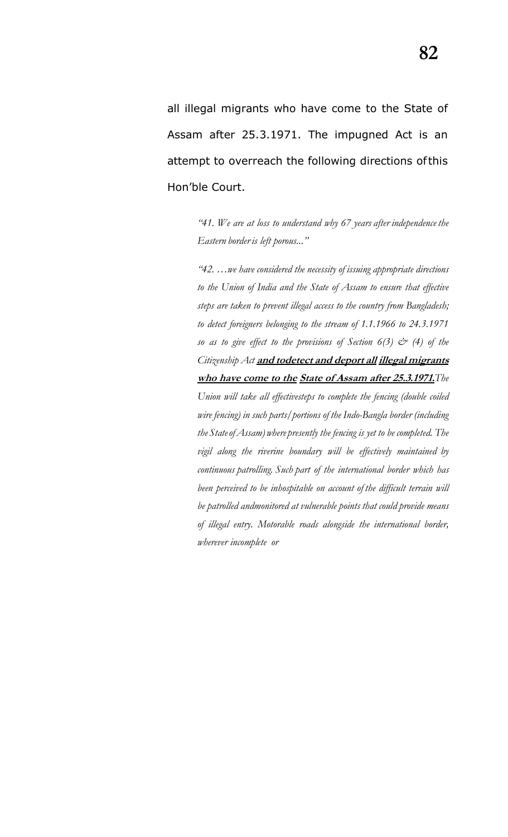all illegal migrants who have come to the State of Assam after 25.3.1971. The impugned Act is an attempt to overreach the following directions ofthis Hon'ble Court.

> *"41. We are at loss to understand why 67 years after independence the Eastern border is left porous..."*

> *"42. …we have considered the necessity of issuing appropriate directions to the Union of India and the State of Assam to ensure that effective steps are taken to prevent illegal access to the country from Bangladesh; to detect foreigners belonging to the stream of 1.1.1966 to 24.3.1971 so as to give effect to the provisions of Section 6(3) & (4) of the Citizenship Act* **and todetect and deport all illegal migrants who have come to the State of Assam after 25.3.1971.***The Union will take all effectivesteps to complete the fencing (double coiled wire fencing) in such parts/portions of the Indo-Bangla border (including the StateofAssam) where presently the fencing is yet to be completed. The vigil along the riverine boundary will be effectively maintained by continuous patrolling. Such part of the international border which has been perceived to be inhospitable on account of the difficult terrain will be patrolled andmonitored at vulnerable points that could provide means of illegal entry. Motorable roads alongside the international border, wherever incomplete or*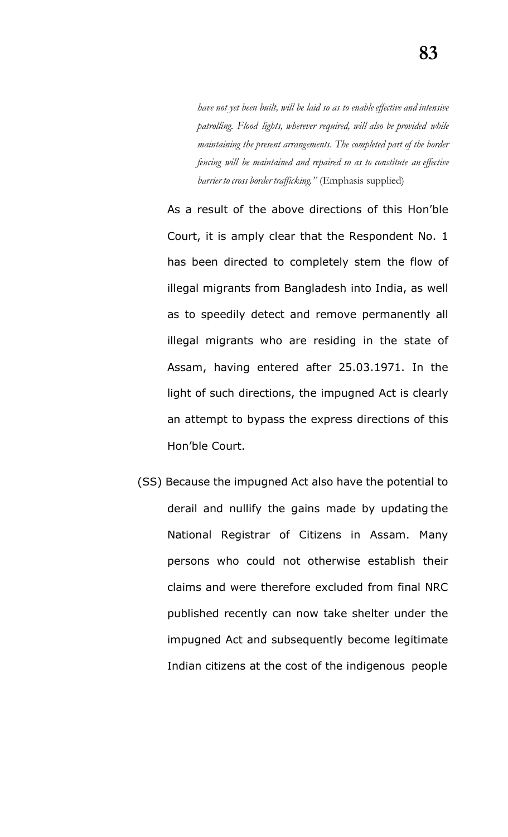*have not yet been built, will be laid so as to enable effective and intensive patrolling. Flood lights, wherever required, will also be provided while maintaining the present arrangements. The completed part of the border fencing will be maintained and repaired so as to constitute an effective barrier to cross border trafficking.*" (Emphasis supplied)

As a result of the above directions of this Hon'ble Court, it is amply clear that the Respondent No. 1 has been directed to completely stem the flow of illegal migrants from Bangladesh into India, as well as to speedily detect and remove permanently all illegal migrants who are residing in the state of Assam, having entered after 25.03.1971. In the light of such directions, the impugned Act is clearly an attempt to bypass the express directions of this Hon'ble Court.

(SS) Because the impugned Act also have the potential to derail and nullify the gains made by updating the National Registrar of Citizens in Assam. Many persons who could not otherwise establish their claims and were therefore excluded from final NRC published recently can now take shelter under the impugned Act and subsequently become legitimate Indian citizens at the cost of the indigenous people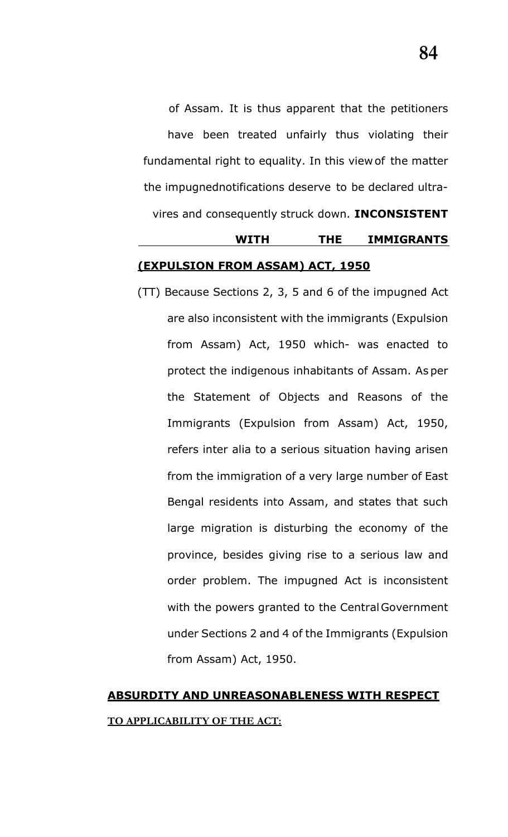of Assam. It is thus apparent that the petitioners have been treated unfairly thus violating their fundamental right to equality. In this view of the matter the impugnednotifications deserve to be declared ultravires and consequently struck down. **INCONSISTENT**

## **WITH THE IMMIGRANTS (EXPULSION FROM ASSAM) ACT, 1950**

(TT) Because Sections 2, 3, 5 and 6 of the impugned Act are also inconsistent with the immigrants (Expulsion from Assam) Act, 1950 which- was enacted to protect the indigenous inhabitants of Assam. As per the Statement of Objects and Reasons of the Immigrants (Expulsion from Assam) Act, 1950, refers inter alia to a serious situation having arisen from the immigration of a very large number of East Bengal residents into Assam, and states that such large migration is disturbing the economy of the province, besides giving rise to a serious law and order problem. The impugned Act is inconsistent with the powers granted to the Central Government under Sections 2 and 4 of the Immigrants (Expulsion from Assam) Act, 1950.

## **ABSURDITY AND UNREASONABLENESS WITH RESPECT TO APPLICABILITY OF THE ACT:**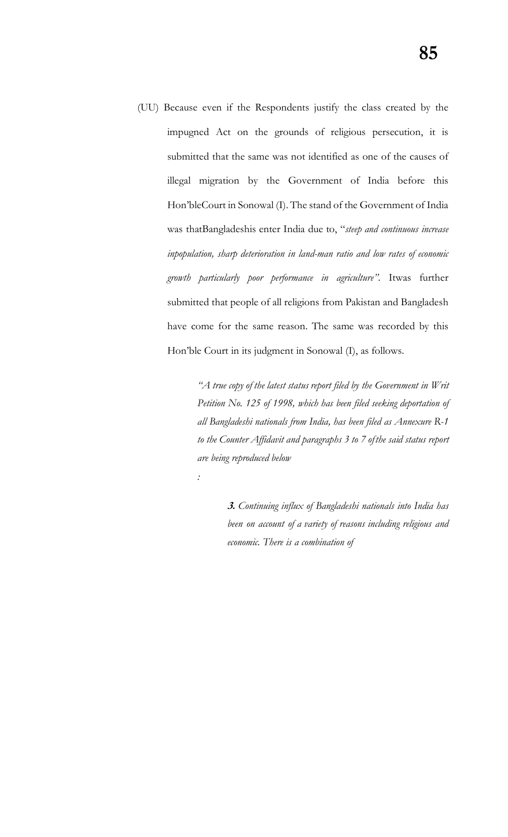(UU) Because even if the Respondents justify the class created by the impugned Act on the grounds of religious persecution, it is submitted that the same was not identified as one of the causes of illegal migration by the Government of India before this Hon'bleCourt in Sonowal (I). The stand of the Government of India was thatBangladeshis enter India due to, "*steep and continuous increase inpopulation, sharp deterioration in land-man ratio and low rates of economic growth particularly poor performance in agriculture".* Itwas further submitted that people of all religions from Pakistan and Bangladesh have come for the same reason. The same was recorded by this

Hon'ble Court in its judgment in Sonowal (I), as follows.

*"A true copy of the latest status report filed by the Government in Writ Petition No. 125 of 1998, which has been filed seeking deportation of all Bangladeshi nationals from India, has been filed as Annexure R-1 to the Counter Affidavit and paragraphs 3 to 7 ofthe said status report are being reproduced below*

*:*

**3.** *Continuing influx of Bangladeshi nationals into India has been on account of a variety of reasons including religious and economic. There is a combination of*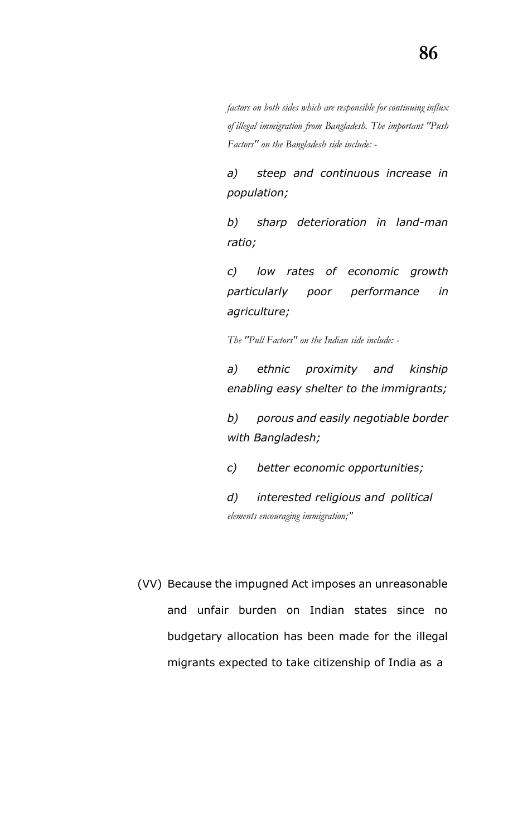*factors on both sides which are responsible for continuing influx of illegal immigration from Bangladesh. The important "Push Factors" on the Bangladesh side include: -*

*a) steep and continuous increase in population;*

*b) sharp deterioration in land-man ratio;*

*c) low rates of economic growth particularly poor performance in agriculture;*

*The "Pull Factors" on the Indian side include: -*

*a) ethnic proximity and kinship enabling easy shelter to the immigrants;*

*b) porous and easily negotiable border with Bangladesh;*

*c) better economic opportunities;*

*d) interested religious and political elements encouraging immigration;"*

(VV) Because the impugned Act imposes an unreasonable and unfair burden on Indian states since no budgetary allocation has been made for the illegal migrants expected to take citizenship of India as a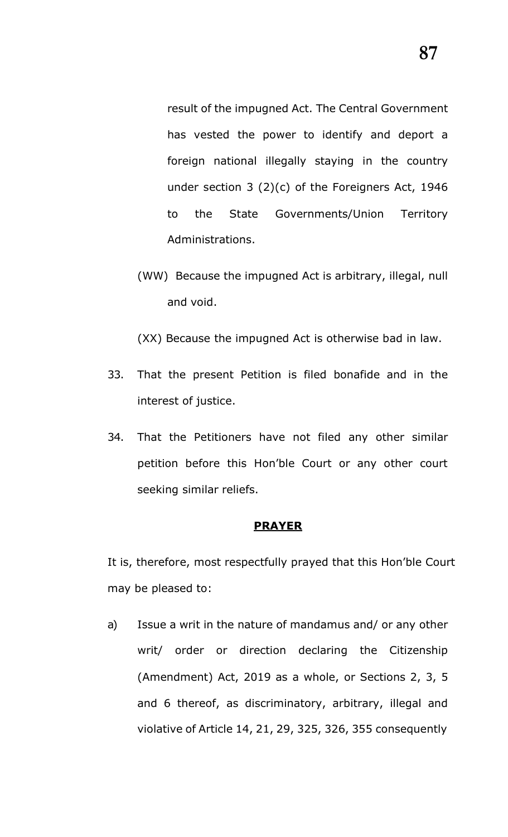result of the impugned Act. The Central Government has vested the power to identify and deport a foreign national illegally staying in the country under section 3 (2)(c) of the Foreigners Act, 1946 to the State Governments/Union Territory Administrations.

- (WW) Because the impugned Act is arbitrary, illegal, null and void.
- (XX) Because the impugned Act is otherwise bad in law.
- 33. That the present Petition is filed bonafide and in the interest of justice.
- 34. That the Petitioners have not filed any other similar petition before this Hon'ble Court or any other court seeking similar reliefs.

#### **PRAYER**

It is, therefore, most respectfully prayed that this Hon'ble Court may be pleased to:

a) Issue a writ in the nature of mandamus and/ or any other writ/ order or direction declaring the Citizenship (Amendment) Act, 2019 as a whole, or Sections 2, 3, 5 and 6 thereof, as discriminatory, arbitrary, illegal and violative of Article 14, 21, 29, 325, 326, 355 consequently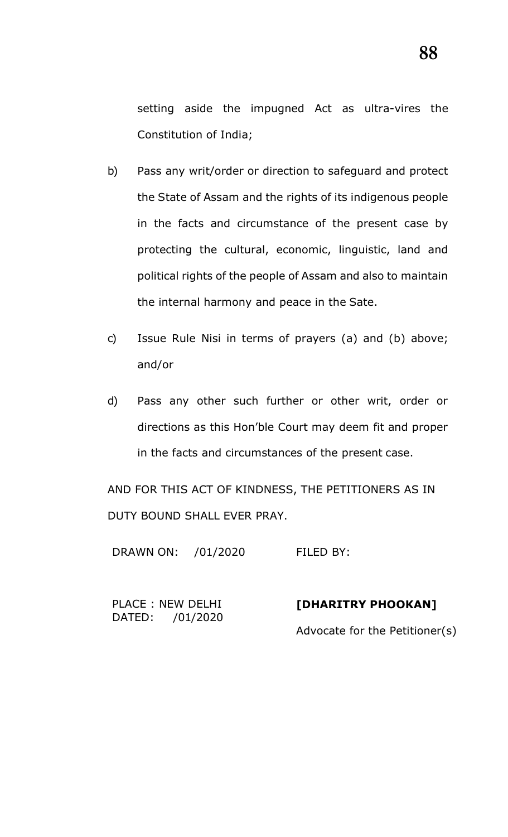setting aside the impugned Act as ultra-vires the Constitution of India;

- b) Pass any writ/order or direction to safeguard and protect the State of Assam and the rights of its indigenous people in the facts and circumstance of the present case by protecting the cultural, economic, linguistic, land and political rights of the people of Assam and also to maintain the internal harmony and peace in the Sate.
- c) Issue Rule Nisi in terms of prayers (a) and (b) above; and/or
- d) Pass any other such further or other writ, order or directions as this Hon'ble Court may deem fit and proper in the facts and circumstances of the present case.

AND FOR THIS ACT OF KINDNESS, THE PETITIONERS AS IN DUTY BOUND SHALL EVER PRAY.

DRAWN ON: /01/2020 FILED BY:

PLACE : NEW DELHI DATED: /01/2020

### **[DHARITRY PHOOKAN]**

Advocate for the Petitioner(s)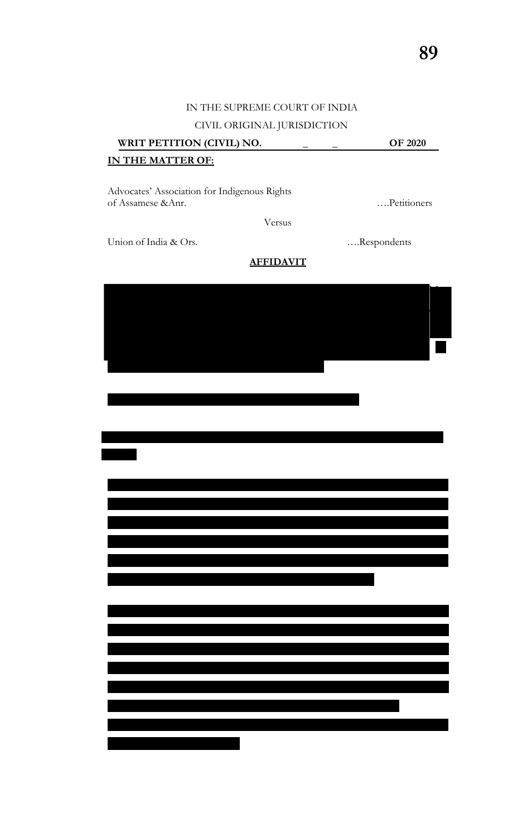## IN THE SUPREME COURT OF INDIA CIVIL ORIGINAL JURISDICTION

#### **WRIT PETITION (CIVIL) NO. \_**

## **IN THE MATTER OF:**

Advocates' Association for Indigenous Rights of Assamese &Anr. ….Petitioners

Versus

Union of India & Ors. <br>
....Respondents

#### **AFFIDAVIT**

I, SamudraguptaDutta, President of Advocates' Association Indigenous Rights of Assamese, Guwahati, S/o Shri DevenDu aged about 40 years R/o House No.12, for

and conversant with the facts of the case and authorized and competent to swear this affidavit.

2. That the Petitioner has no personal interest in the litigation and neither the petitioner nor anybody in the petitioner organization would in any manner benefit from the reliefs sought in the present litigation save as a member of general public. The petition is not guided by self-gain or the institution, and no motive

3. That the accompanying Writ Petition [Pages 1 to ]  $S_{\rm F}$  and  $P_{\rm F}$  and  $P_{\rm F}$  and  $P_{\rm F}$  and  $P_{\rm F}$  and  $P_{\rm F}$  and  $P_{\rm F}$  and  $P_{\rm F}$  $A$  have been drawn by my Advocate under my Advocate under my Advocate under my Advocate under my Advocate under my Advocate under my Advocate under my Advocate under my Advocate under my Advocate under my Advocate under instructions. I have read and understood the contents of the above and I say that the same are true and correct to my 4. That the annexures filed with the petition are true copiesof

**\_ OF 2020**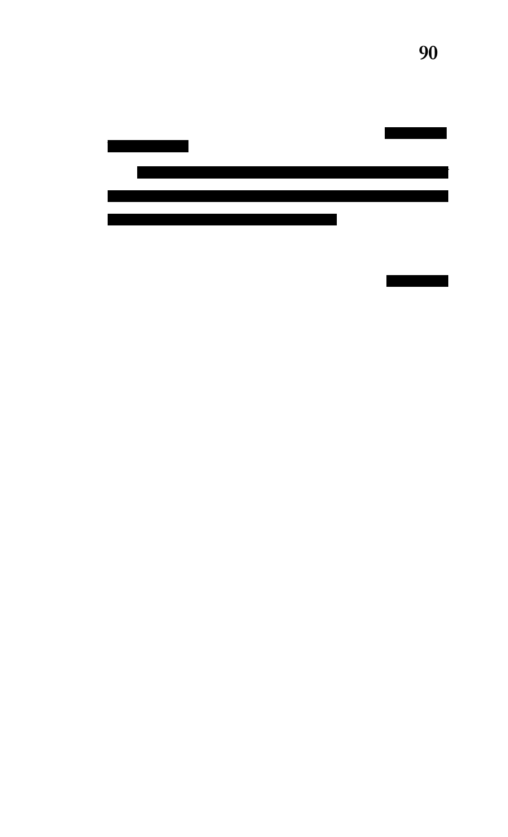

**90**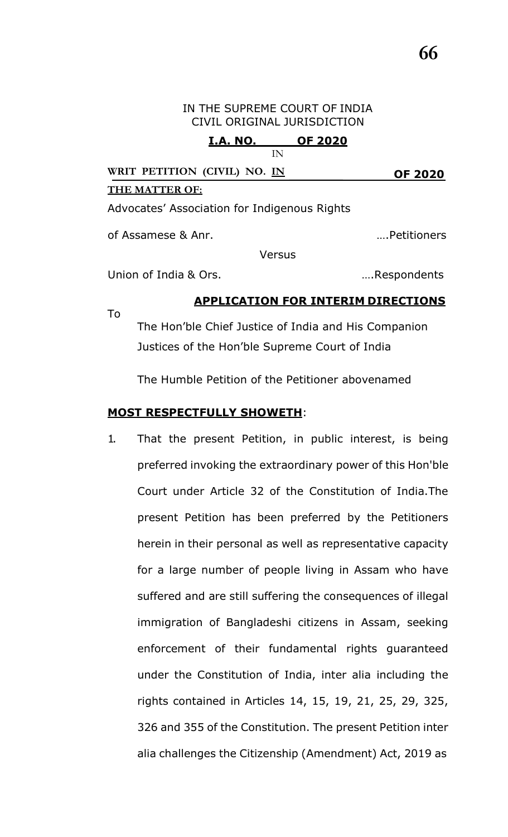#### IN THE SUPREME COURT OF INDIA CIVIL ORIGINAL JURISDICTION

#### **I.A. NO. OF 2020** IN

**WRIT PETITION (CIVIL) NO. IN** 

**OF 2020**

**THE MATTER OF:**

Advocates' Association for Indigenous Rights

of Assamese & Anr. ….Petitioners

Versus

Union of India & Ors. **Example 19 and Struck and America** and Muslim and Muslim and Muslim and Muslim and Muslim and Muslim and Muslim and Muslim and Muslim and Muslim and Muslim and Muslim and Muslim and Muslim and Muslim

To

## **APPLICATION FOR INTERIM DIRECTIONS**

The Hon'ble Chief Justice of India and His Companion Justices of the Hon'ble Supreme Court of India

The Humble Petition of the Petitioner abovenamed

### **MOST RESPECTFULLY SHOWETH**:

1. That the present Petition, in public interest, is being preferred invoking the extraordinary power of this Hon'ble Court under Article 32 of the Constitution of India.The present Petition has been preferred by the Petitioners herein in their personal as well as representative capacity for a large number of people living in Assam who have suffered and are still suffering the consequences of illegal immigration of Bangladeshi citizens in Assam, seeking enforcement of their fundamental rights guaranteed under the Constitution of India, inter alia including the rights contained in Articles 14, 15, 19, 21, 25, 29, 325, 326 and 355 of the Constitution. The present Petition inter alia challenges the Citizenship (Amendment) Act, 2019 as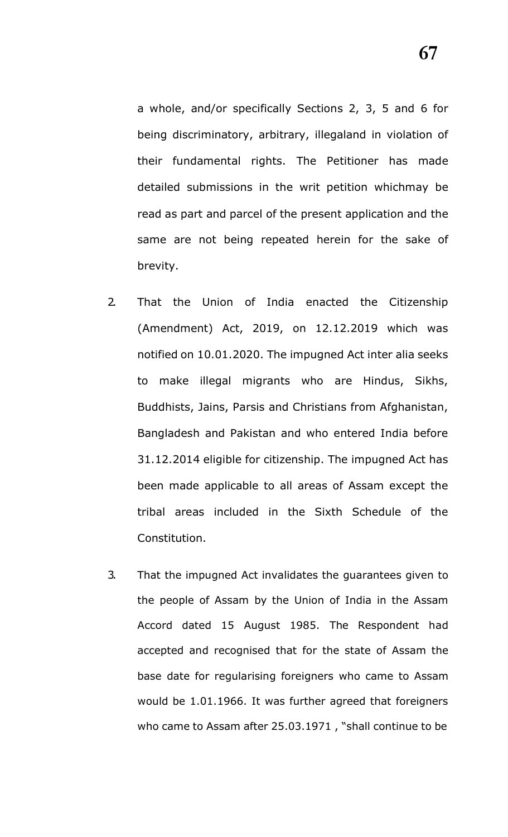a whole, and/or specifically Sections 2, 3, 5 and 6 for being discriminatory, arbitrary, illegaland in violation of their fundamental rights. The Petitioner has made detailed submissions in the writ petition whichmay be read as part and parcel of the present application and the same are not being repeated herein for the sake of brevity.

- 2. That the Union of India enacted the Citizenship (Amendment) Act, 2019, on 12.12.2019 which was notified on 10.01.2020. The impugned Act inter alia seeks to make illegal migrants who are Hindus, Sikhs, Buddhists, Jains, Parsis and Christians from Afghanistan, Bangladesh and Pakistan and who entered India before 31.12.2014 eligible for citizenship. The impugned Act has been made applicable to all areas of Assam except the tribal areas included in the Sixth Schedule of the Constitution.
- 3. That the impugned Act invalidates the guarantees given to the people of Assam by the Union of India in the Assam Accord dated 15 August 1985. The Respondent had accepted and recognised that for the state of Assam the base date for regularising foreigners who came to Assam would be 1.01.1966. It was further agreed that foreigners who came to Assam after 25.03.1971 , "shall continue to be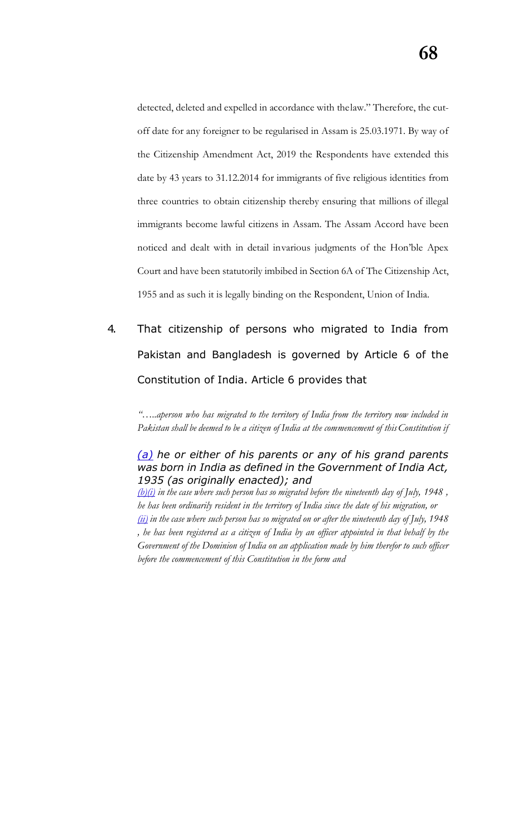detected, deleted and expelled in accordance with thelaw." Therefore, the cutoff date for any foreigner to be regularised in Assam is 25.03.1971. By way of the Citizenship Amendment Act, 2019 the Respondents have extended this date by 43 years to 31.12.2014 for immigrants of five religious identities from three countries to obtain citizenship thereby ensuring that millions of illegal immigrants become lawful citizens in Assam. The Assam Accord have been noticed and dealt with in detail invarious judgments of the Hon'ble Apex Court and have been statutorily imbibed in Section 6A of The Citizenship Act, 1955 and as such it is legally binding on the Respondent, Union of India.

4. That citizenship of persons who migrated to India from Pakistan and Bangladesh is governed by Article 6 of the Constitution of India. Article 6 provides that

*"…..aperson who has migrated to the territory of India from the territory now included in Pakistan shall be deemed to be a citizen of India at the commencement of thisConstitution if*

#### *(a) he or either of his parents or any of his grand parents was born in India as defined in the Government of India Act, 1935 (as originally enacted); and*

*(b)(i) in the case where such person has so migrated before the nineteenth day of July, 1948 , he has been ordinarily resident in the territory of India since the date of his migration, or (ii) in the case where such person has so migrated on or after the nineteenth day of July, 1948 , he has been registered as a citizen of India by an officer appointed in that behalf by the Government of the Dominion of India on an application made by him therefor to such officer before the commencement of this Constitution in the form and*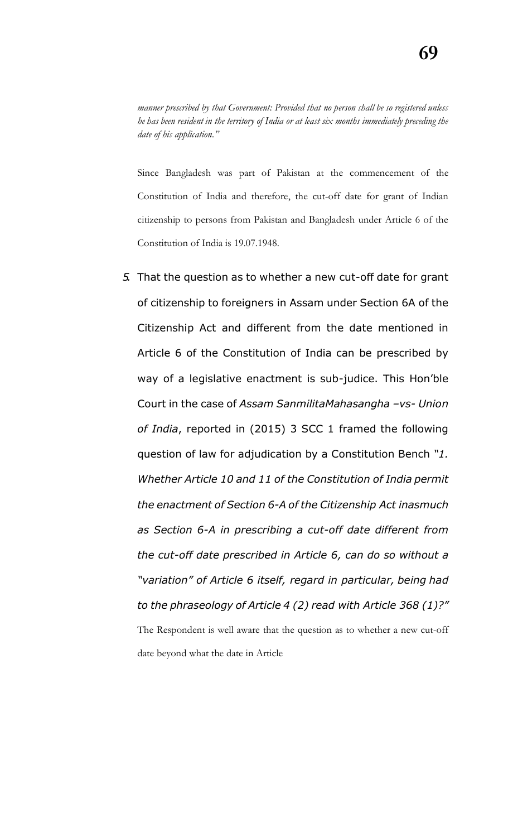*manner prescribed by that Government: Provided that no person shall be so registered unless he has been resident in the territory of India or at least six months immediately preceding the date of his application."*

Since Bangladesh was part of Pakistan at the commencement of the Constitution of India and therefore, the cut-off date for grant of Indian citizenship to persons from Pakistan and Bangladesh under Article 6 of the Constitution of India is 19.07.1948.

*5.* That the question as to whether a new cut-off date for grant of citizenship to foreigners in Assam under Section 6A of the Citizenship Act and different from the date mentioned in Article 6 of the Constitution of India can be prescribed by way of a legislative enactment is sub-judice. This Hon'ble Court in the case of *Assam SanmilitaMahasangha –vs- Union of India*, reported in (2015) 3 SCC 1 framed the following question of law for adjudication by a Constitution Bench *"1. Whether Article 10 and 11 of the Constitution of India permit the enactment of Section 6-A of the Citizenship Act inasmuch as Section 6-A in prescribing a cut-off date different from the cut-off date prescribed in Article 6, can do so without a "variation" of Article 6 itself, regard in particular, being had to the phraseology of Article 4 (2) read with Article 368 (1)?"* The Respondent is well aware that the question as to whether a new cut-off date beyond what the date in Article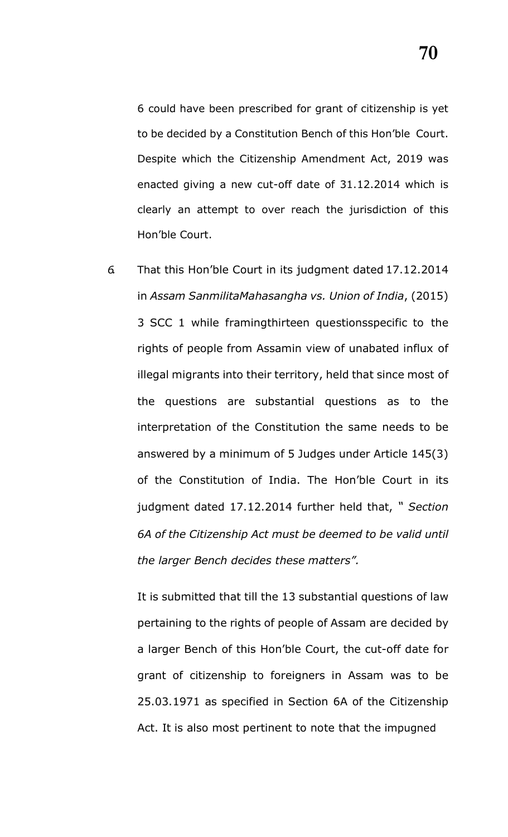6 could have been prescribed for grant of citizenship is yet to be decided by a Constitution Bench of this Hon'ble Court. Despite which the Citizenship Amendment Act, 2019 was enacted giving a new cut-off date of 31.12.2014 which is clearly an attempt to over reach the jurisdiction of this Hon'ble Court.

*6.* That this Hon'ble Court in its judgment dated 17.12.2014 in *Assam SanmilitaMahasangha vs. Union of India*, (2015) 3 SCC 1 while framingthirteen questionsspecific to the rights of people from Assamin view of unabated influx of illegal migrants into their territory, held that since most of the questions are substantial questions as to the interpretation of the Constitution the same needs to be answered by a minimum of 5 Judges under Article 145(3) of the Constitution of India. The Hon'ble Court in its judgment dated 17.12.2014 further held that, *" Section 6A of the Citizenship Act must be deemed to be valid until the larger Bench decides these matters".*

It is submitted that till the 13 substantial questions of law pertaining to the rights of people of Assam are decided by a larger Bench of this Hon'ble Court, the cut-off date for grant of citizenship to foreigners in Assam was to be 25.03.1971 as specified in Section 6A of the Citizenship Act. It is also most pertinent to note that the impugned

**70**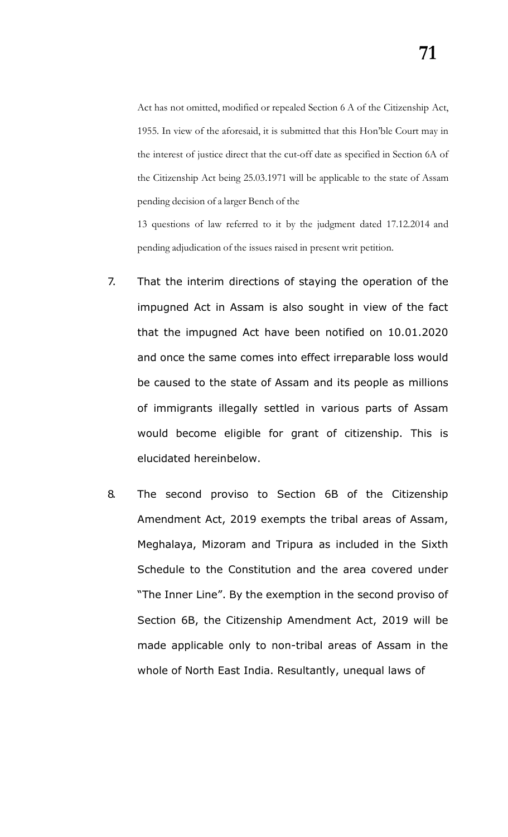Act has not omitted, modified or repealed Section 6 A of the Citizenship Act, 1955. In view of the aforesaid, it is submitted that this Hon'ble Court may in the interest of justice direct that the cut-off date as specified in Section 6A of the Citizenship Act being 25.03.1971 will be applicable to the state of Assam pending decision of a larger Bench of the

13 questions of law referred to it by the judgment dated 17.12.2014 and pending adjudication of the issues raised in present writ petition.

- 7. That the interim directions of staying the operation of the impugned Act in Assam is also sought in view of the fact that the impugned Act have been notified on 10.01.2020 and once the same comes into effect irreparable loss would be caused to the state of Assam and its people as millions of immigrants illegally settled in various parts of Assam would become eligible for grant of citizenship. This is elucidated hereinbelow.
- 8. The second proviso to Section 6B of the Citizenship Amendment Act, 2019 exempts the tribal areas of Assam, Meghalaya, Mizoram and Tripura as included in the Sixth Schedule to the Constitution and the area covered under "The Inner Line". By the exemption in the second proviso of Section 6B, the Citizenship Amendment Act, 2019 will be made applicable only to non-tribal areas of Assam in the whole of North East India. Resultantly, unequal laws of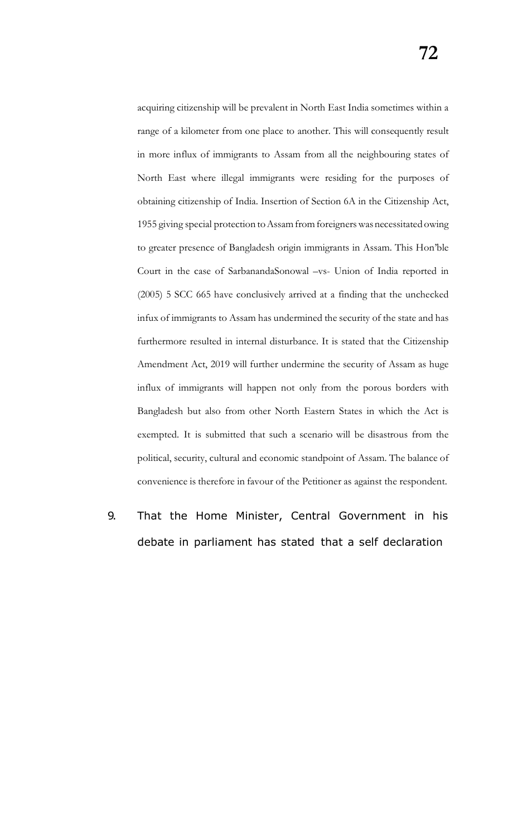acquiring citizenship will be prevalent in North East India sometimes within a range of a kilometer from one place to another. This will consequently result in more influx of immigrants to Assam from all the neighbouring states of North East where illegal immigrants were residing for the purposes of obtaining citizenship of India. Insertion of Section 6A in the Citizenship Act, 1955 giving special protection to Assam from foreigners was necessitated owing to greater presence of Bangladesh origin immigrants in Assam. This Hon'ble Court in the case of SarbanandaSonowal –vs- Union of India reported in (2005) 5 SCC 665 have conclusively arrived at a finding that the unchecked infux of immigrants to Assam has undermined the security of the state and has furthermore resulted in internal disturbance. It is stated that the Citizenship Amendment Act, 2019 will further undermine the security of Assam as huge influx of immigrants will happen not only from the porous borders with Bangladesh but also from other North Eastern States in which the Act is exempted. It is submitted that such a scenario will be disastrous from the political, security, cultural and economic standpoint of Assam. The balance of convenience is therefore in favour of the Petitioner as against the respondent.

9. That the Home Minister, Central Government in his debate in parliament has stated that a self declaration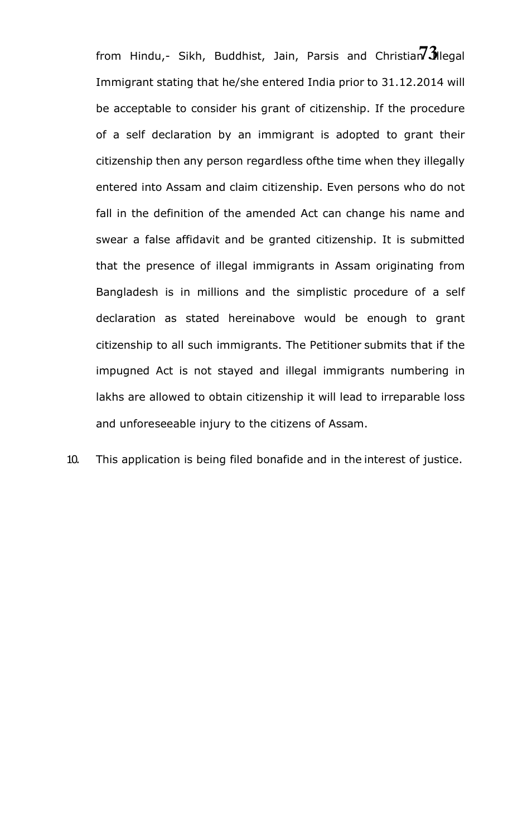from Hindu,- Sikh, Buddhist, Jain, Parsis and Christian  $73$ legal Immigrant stating that he/she entered India prior to 31.12.2014 will be acceptable to consider his grant of citizenship. If the procedure of a self declaration by an immigrant is adopted to grant their citizenship then any person regardless ofthe time when they illegally entered into Assam and claim citizenship. Even persons who do not fall in the definition of the amended Act can change his name and swear a false affidavit and be granted citizenship. It is submitted that the presence of illegal immigrants in Assam originating from Bangladesh is in millions and the simplistic procedure of a self declaration as stated hereinabove would be enough to grant citizenship to all such immigrants. The Petitioner submits that if the impugned Act is not stayed and illegal immigrants numbering in lakhs are allowed to obtain citizenship it will lead to irreparable loss and unforeseeable injury to the citizens of Assam.

10. This application is being filed bonafide and in the interest of justice.